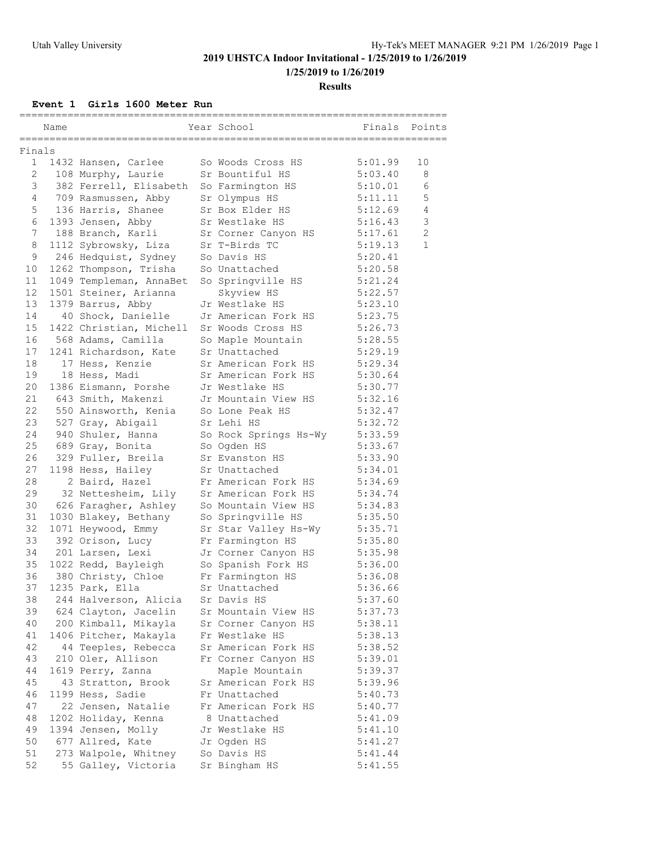**1/25/2019 to 1/26/2019**

#### **Results**

**Event 1 Girls 1600 Meter Run**

|                 | =========== |                         |                       | _____________________ |                |
|-----------------|-------------|-------------------------|-----------------------|-----------------------|----------------|
|                 | Name        |                         | Year School           | Finals Points         |                |
| Finals          |             |                         |                       |                       |                |
| 1               |             | 1432 Hansen, Carlee     | So Woods Cross HS     | 5:01.99               | 10             |
| $\overline{2}$  |             | 108 Murphy, Laurie      | Sr Bountiful HS       | 5:03.40               | 8              |
| 3               |             | 382 Ferrell, Elisabeth  | So Farmington HS      | 5:10.01               | 6              |
| 4               |             | 709 Rasmussen, Abby     | Sr Olympus HS         | 5:11.11               | 5              |
| 5               |             | 136 Harris, Shanee      | Sr Box Elder HS       | 5:12.69               | $\overline{4}$ |
| 6               |             | 1393 Jensen, Abby       | Sr Westlake HS        | 5:16.43               | $\mathsf 3$    |
| $7\phantom{.0}$ |             | 188 Branch, Karli       | Sr Corner Canyon HS   | 5:17.61               | $\overline{2}$ |
| 8               |             | 1112 Sybrowsky, Liza    | Sr T-Birds TC         | 5:19.13               | $\mathbf{1}$   |
| 9               |             | 246 Hedquist, Sydney    | So Davis HS           | 5:20.41               |                |
| 10              |             | 1262 Thompson, Trisha   | So Unattached         | 5:20.58               |                |
| 11              |             | 1049 Templeman, AnnaBet | So Springville HS     | 5:21.24               |                |
| 12              |             | 1501 Steiner, Arianna   | Skyview HS            | 5:22.57               |                |
| 13              |             | 1379 Barrus, Abby       | Jr Westlake HS        | 5:23.10               |                |
| 14              |             | 40 Shock, Danielle      | Jr American Fork HS   | 5:23.75               |                |
| 15              |             | 1422 Christian, Michell | Sr Woods Cross HS     | 5:26.73               |                |
| 16              |             | 568 Adams, Camilla      | So Maple Mountain     | 5:28.55               |                |
| 17              |             | 1241 Richardson, Kate   | Sr Unattached         | 5:29.19               |                |
| 18              |             | 17 Hess, Kenzie         | Sr American Fork HS   | 5:29.34               |                |
| 19              |             | 18 Hess, Madi           | Sr American Fork HS   | 5:30.64               |                |
| 20              |             | 1386 Eismann, Porshe    | Jr Westlake HS        | 5:30.77               |                |
| 21              |             | 643 Smith, Makenzi      | Jr Mountain View HS   | 5:32.16               |                |
| 22              |             | 550 Ainsworth, Kenia    | So Lone Peak HS       | 5:32.47               |                |
| 23              |             | 527 Gray, Abigail       | Sr Lehi HS            | 5:32.72               |                |
| 24              |             | 940 Shuler, Hanna       | So Rock Springs Hs-Wy | 5:33.59               |                |
| 25              |             | 689 Gray, Bonita        | So Ogden HS           | 5:33.67               |                |
| 26              |             | 329 Fuller, Breila      | Sr Evanston HS        | 5:33.90               |                |
| 27              |             | 1198 Hess, Hailey       | Sr Unattached         | 5:34.01               |                |
| 28              |             | 2 Baird, Hazel          | Fr American Fork HS   | 5:34.69               |                |
| 29              |             | 32 Nettesheim, Lily     | Sr American Fork HS   | 5:34.74               |                |
| 30              |             | 626 Faragher, Ashley    | So Mountain View HS   | 5:34.83               |                |
| 31              |             | 1030 Blakey, Bethany    | So Springville HS     | 5:35.50               |                |
| 32              |             | 1071 Heywood, Emmy      | Sr Star Valley Hs-Wy  | 5:35.71               |                |
| 33              |             | 392 Orison, Lucy        | Fr Farmington HS      | 5:35.80               |                |
| 34              |             | 201 Larsen, Lexi        | Jr Corner Canyon HS   | 5:35.98               |                |
| 35              |             | 1022 Redd, Bayleigh     | So Spanish Fork HS    | 5:36.00               |                |
| 36              |             | 380 Christy, Chloe      | Fr Farmington HS      | 5:36.08               |                |
| 37              |             | 1235 Park, Ella         | Sr Unattached         | 5:36.66               |                |
| 38              |             | 244 Halverson, Alicia   | Sr Davis HS           | 5:37.60               |                |
| 39              |             | 624 Clayton, Jacelin    | Sr Mountain View HS   | 5:37.73               |                |
| 40              |             | 200 Kimball, Mikayla    | Sr Corner Canyon HS   | 5:38.11               |                |
| 41              |             | 1406 Pitcher, Makayla   | Fr Westlake HS        | 5:38.13               |                |
| 42              |             | 44 Teeples, Rebecca     | Sr American Fork HS   | 5:38.52               |                |
| 43              |             | 210 Oler, Allison       | Fr Corner Canyon HS   | 5:39.01               |                |
| 44              |             | 1619 Perry, Zanna       | Maple Mountain        | 5:39.37               |                |
| 45              |             | 43 Stratton, Brook      | Sr American Fork HS   | 5:39.96               |                |
| 46              |             | 1199 Hess, Sadie        | Fr Unattached         | 5:40.73               |                |
| 47              |             | 22 Jensen, Natalie      | Fr American Fork HS   | 5:40.77               |                |
| 48              |             | 1202 Holiday, Kenna     | 8 Unattached          | 5:41.09               |                |
| 49              |             | 1394 Jensen, Molly      | Jr Westlake HS        | 5:41.10               |                |
| 50              |             | 677 Allred, Kate        | Jr Ogden HS           | 5:41.27               |                |
| 51              |             | 273 Walpole, Whitney    | So Davis HS           | 5:41.44               |                |
| 52              |             | 55 Galley, Victoria     | Sr Bingham HS         | 5:41.55               |                |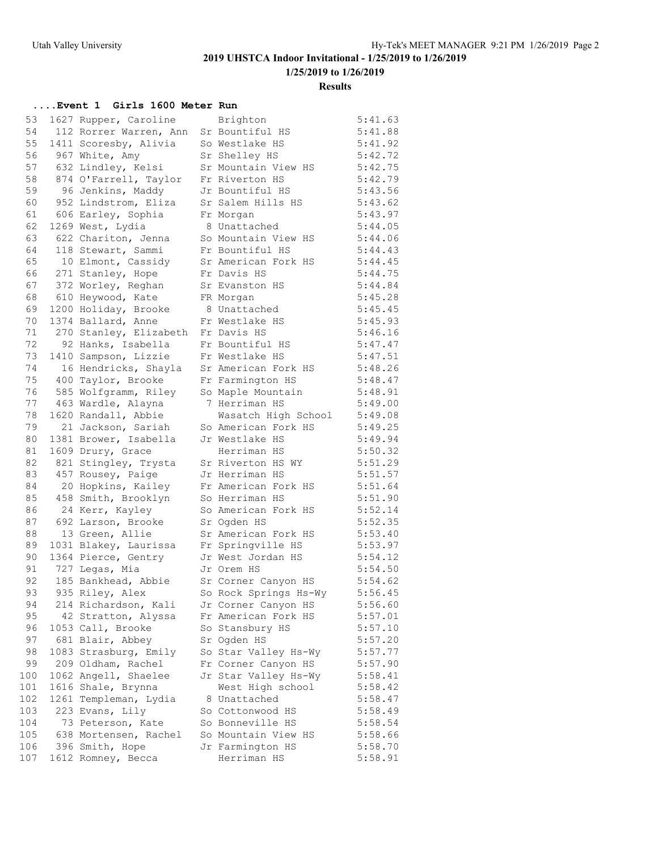**1/25/2019 to 1/26/2019**

#### **Results**

### **....Event 1 Girls 1600 Meter Run**

| 53  | 1627 Rupper, Caroline  | Brighton              | 5:41.63 |
|-----|------------------------|-----------------------|---------|
| 54  | 112 Rorrer Warren, Ann | Sr Bountiful HS       | 5:41.88 |
| 55  | 1411 Scoresby, Alivia  | So Westlake HS        | 5:41.92 |
| 56  | 967 White, Amy         | Sr Shelley HS         | 5:42.72 |
| 57  | 632 Lindley, Kelsi     | Sr Mountain View HS   | 5:42.75 |
| 58  | 874 O'Farrell, Taylor  | Fr Riverton HS        | 5:42.79 |
| 59  | 96 Jenkins, Maddy      | Jr Bountiful HS       | 5:43.56 |
| 60  | 952 Lindstrom, Eliza   | Sr Salem Hills HS     | 5:43.62 |
| 61  | 606 Earley, Sophia     | Fr Morgan             | 5:43.97 |
| 62  | 1269 West, Lydia       | 8 Unattached          | 5:44.05 |
| 63  | 622 Chariton, Jenna    | So Mountain View HS   | 5:44.06 |
| 64  | 118 Stewart, Sammi     | Fr Bountiful HS       | 5:44.43 |
| 65  | 10 Elmont, Cassidy     | Sr American Fork HS   | 5:44.45 |
| 66  | 271 Stanley, Hope      | Fr Davis HS           | 5:44.75 |
| 67  | 372 Worley, Reghan     | Sr Evanston HS        | 5:44.84 |
| 68  | 610 Heywood, Kate      | FR Morgan             | 5:45.28 |
| 69  | 1200 Holiday, Brooke   | 8 Unattached          | 5:45.45 |
| 70  | 1374 Ballard, Anne     | Fr Westlake HS        | 5:45.93 |
| 71  | 270 Stanley, Elizabeth | Fr Davis HS           | 5:46.16 |
| 72  | 92 Hanks, Isabella     | Fr Bountiful HS       | 5:47.47 |
| 73  | 1410 Sampson, Lizzie   | Fr Westlake HS        | 5:47.51 |
| 74  | 16 Hendricks, Shayla   | Sr American Fork HS   | 5:48.26 |
| 75  | 400 Taylor, Brooke     | Fr Farmington HS      | 5:48.47 |
| 76  | 585 Wolfgramm, Riley   | So Maple Mountain     | 5:48.91 |
| 77  | 463 Wardle, Alayna     | 7 Herriman HS         | 5:49.00 |
| 78  | 1620 Randall, Abbie    | Wasatch High School   | 5:49.08 |
| 79  | 21 Jackson, Sariah     | So American Fork HS   | 5:49.25 |
| 80  | 1381 Brower, Isabella  | Jr Westlake HS        | 5:49.94 |
| 81  | 1609 Drury, Grace      | Herriman HS           | 5:50.32 |
| 82  | 821 Stingley, Trysta   | Sr Riverton HS WY     | 5:51.29 |
| 83  | 457 Rousey, Paige      | Jr Herriman HS        | 5:51.57 |
| 84  | 20 Hopkins, Kailey     | Fr American Fork HS   | 5:51.64 |
| 85  | 458 Smith, Brooklyn    | So Herriman HS        | 5:51.90 |
| 86  | 24 Kerr, Kayley        | So American Fork HS   | 5:52.14 |
| 87  | 692 Larson, Brooke     | Sr Ogden HS           | 5:52.35 |
| 88  | 13 Green, Allie        | Sr American Fork HS   | 5:53.40 |
| 89  | 1031 Blakey, Laurissa  | Fr Springville HS     | 5:53.97 |
| 90  | 1364 Pierce, Gentry    | Jr West Jordan HS     | 5:54.12 |
| 91  | 727 Legas, Mia         | Jr Orem HS            | 5:54.50 |
| 92  | 185 Bankhead, Abbie    | Sr Corner Canyon HS   | 5:54.62 |
| 93  | 935 Riley, Alex        | So Rock Springs Hs-Wy | 5:56.45 |
| 94  | 214 Richardson, Kali   | Jr Corner Canyon HS   | 5:56.60 |
| 95  | 42 Stratton, Alyssa    | Fr American Fork HS   | 5:57.01 |
| 96  | 1053 Call, Brooke      | So Stansbury HS       | 5:57.10 |
| 97  | 681 Blair, Abbey       | Sr Oqden HS           | 5:57.20 |
| 98  | 1083 Strasburg, Emily  | So Star Valley Hs-Wy  | 5:57.77 |
| 99  | 209 Oldham, Rachel     | Fr Corner Canyon HS   | 5:57.90 |
| 100 | 1062 Angell, Shaelee   | Jr Star Valley Hs-Wy  | 5:58.41 |
| 101 | 1616 Shale, Brynna     | West High school      | 5:58.42 |
| 102 | 1261 Templeman, Lydia  | 8 Unattached          | 5:58.47 |
| 103 | 223 Evans, Lily        | So Cottonwood HS      | 5:58.49 |
| 104 | 73 Peterson, Kate      | So Bonneville HS      | 5:58.54 |
| 105 | 638 Mortensen, Rachel  | So Mountain View HS   | 5:58.66 |
| 106 | 396 Smith, Hope        | Jr Farmington HS      | 5:58.70 |
| 107 | 1612 Romney, Becca     | Herriman HS           | 5:58.91 |
|     |                        |                       |         |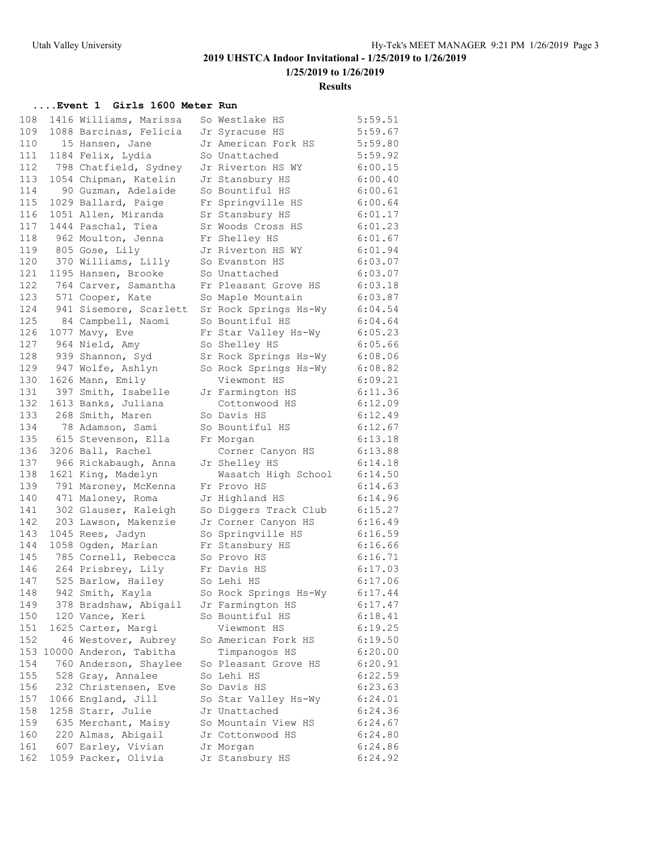**1/25/2019 to 1/26/2019**

#### **Results**

### **....Event 1 Girls 1600 Meter Run**

| 108        | 1416 Williams, Marissa | So Westlake HS        | 5:59.51 |
|------------|------------------------|-----------------------|---------|
| 109        | 1088 Barcinas, Felicia | Jr Syracuse HS        | 5:59.67 |
| 110        | 15 Hansen, Jane        | Jr American Fork HS   | 5:59.80 |
| 111        | 1184 Felix, Lydia      | So Unattached         | 5:59.92 |
| 112        | 798 Chatfield, Sydney  | Jr Riverton HS WY     | 6:00.15 |
| 113        | 1054 Chipman, Katelin  | Jr Stansbury HS       | 6:00.40 |
| 114        | 90 Guzman, Adelaide    | So Bountiful HS       | 6:00.61 |
| 115        | 1029 Ballard, Paige    | Fr Springville HS     | 6:00.64 |
| 116        | 1051 Allen, Miranda    | Sr Stansbury HS       | 6:01.17 |
| 117        | 1444 Paschal, Tiea     | Sr Woods Cross HS     | 6:01.23 |
| 118        | 962 Moulton, Jenna     | Fr Shelley HS         | 6:01.67 |
| 119        | 805 Gose, Lily         | Jr Riverton HS WY     | 6:01.94 |
| 120        | 370 Williams, Lilly    | So Evanston HS        | 6:03.07 |
| 121        | 1195 Hansen, Brooke    | So Unattached         | 6:03.07 |
| 122        | 764 Carver, Samantha   | Fr Pleasant Grove HS  | 6:03.18 |
| 123        | 571 Cooper, Kate       | So Maple Mountain     | 6:03.87 |
| 124        | 941 Sisemore, Scarlett | Sr Rock Springs Hs-Wy | 6:04.54 |
| 125        | 84 Campbell, Naomi     | So Bountiful HS       | 6:04.64 |
| 126        | 1077 Mavy, Eve         | Fr Star Valley Hs-Wy  | 6:05.23 |
| 127        | 964 Nield, Amy         | So Shelley HS         | 6:05.66 |
| 128        | 939 Shannon, Syd       | Sr Rock Springs Hs-Wy | 6:08.06 |
| 129        | 947 Wolfe, Ashlyn      | So Rock Springs Hs-Wy | 6:08.82 |
| 130        |                        | Viewmont HS           |         |
|            | 1626 Mann, Emily       |                       | 6:09.21 |
| 131<br>132 | 397 Smith, Isabelle    | Jr Farmington HS      | 6:11.36 |
|            | 1613 Banks, Juliana    | Cottonwood HS         | 6:12.09 |
| 133        | 268 Smith, Maren       | So Davis HS           | 6:12.49 |
| 134        | 78 Adamson, Sami       | So Bountiful HS       | 6:12.67 |
| 135        | 615 Stevenson, Ella    | Fr Morgan             | 6:13.18 |
| 136        | 3206 Ball, Rachel      | Corner Canyon HS      | 6:13.88 |
| 137        | 966 Rickabaugh, Anna   | Jr Shelley HS         | 6:14.18 |
| 138        | 1621 King, Madelyn     | Wasatch High School   | 6:14.50 |
| 139        | 791 Maroney, McKenna   | Fr Provo HS           | 6:14.63 |
| 140        | 471 Maloney, Roma      | Jr Highland HS        | 6:14.96 |
| 141        | 302 Glauser, Kaleigh   | So Diggers Track Club | 6:15.27 |
| 142        | 203 Lawson, Makenzie   | Jr Corner Canyon HS   | 6:16.49 |
| 143        | 1045 Rees, Jadyn       | So Springville HS     | 6:16.59 |
| 144        | 1058 Ogden, Marian     | Fr Stansbury HS       | 6:16.66 |
| 145        | 785 Cornell, Rebecca   | So Provo HS           | 6:16.71 |
| 146        | 264 Prisbrey, Lily     | Fr Davis HS           | 6:17.03 |
| 147        | 525 Barlow, Hailey     | So Lehi HS            | 6:17.06 |
| 148        | 942 Smith, Kayla       | So Rock Springs Hs-Wy | 6:17.44 |
| 149        | 378 Bradshaw, Abigail  | Jr Farmington HS      | 6:17.47 |
| 150        | 120 Vance, Keri        | So Bountiful HS       | 6:18.41 |
| 151        | 1625 Carter, Margi     | Viewmont HS           | 6:19.25 |
| 152        | 46 Westover, Aubrey    | So American Fork HS   | 6:19.50 |
| 153        | 10000 Anderon, Tabitha | Timpanogos HS         | 6:20.00 |
| 154        | 760 Anderson, Shaylee  | So Pleasant Grove HS  | 6:20.91 |
| 155        | 528 Gray, Annalee      | So Lehi HS            | 6:22.59 |
| 156        | 232 Christensen, Eve   | So Davis HS           | 6:23.63 |
| 157        | 1066 England, Jill     | So Star Valley Hs-Wy  | 6:24.01 |
| 158        | 1258 Starr, Julie      | Jr Unattached         | 6:24.36 |
| 159        | 635 Merchant, Maisy    | So Mountain View HS   | 6:24.67 |
| 160        | 220 Almas, Abigail     | Jr Cottonwood HS      | 6:24.80 |
| 161        | 607 Earley, Vivian     | Jr Morgan             | 6:24.86 |
| 162        | 1059 Packer, Olivia    | Jr Stansbury HS       | 6:24.92 |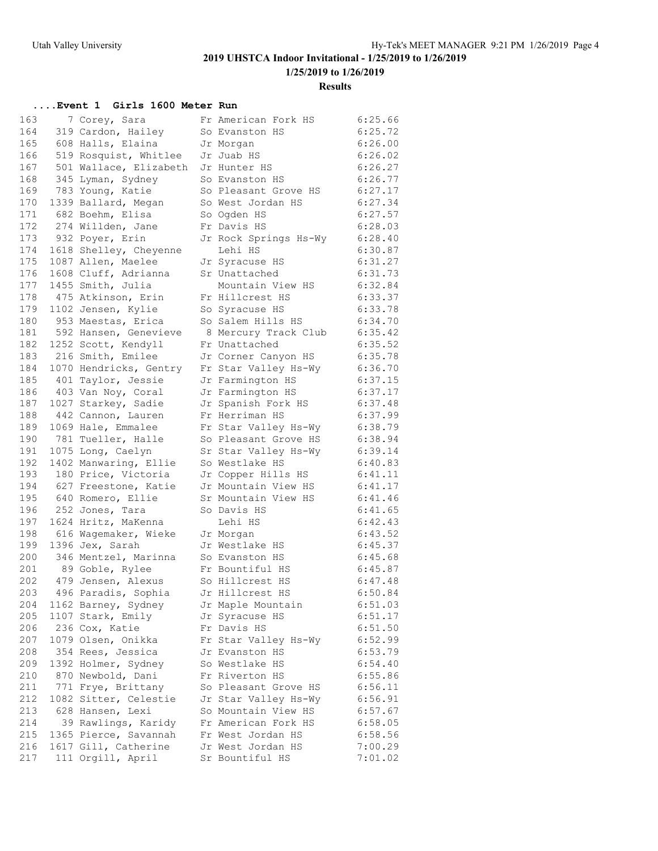**1/25/2019 to 1/26/2019**

#### **Results**

### **....Event 1 Girls 1600 Meter Run**

| 163 | 7 Corey, Sara          | Fr American Fork HS   | 6:25.66 |
|-----|------------------------|-----------------------|---------|
| 164 | 319 Cardon, Hailey     | So Evanston HS        | 6:25.72 |
| 165 | 608 Halls, Elaina      | Jr Morgan             | 6:26.00 |
| 166 | 519 Rosquist, Whitlee  | Jr Juab HS            | 6:26.02 |
| 167 | 501 Wallace, Elizabeth | Jr Hunter HS          | 6:26.27 |
| 168 | 345 Lyman, Sydney      | So Evanston HS        | 6:26.77 |
| 169 | 783 Young, Katie       | So Pleasant Grove HS  | 6:27.17 |
| 170 | 1339 Ballard, Megan    | So West Jordan HS     | 6:27.34 |
| 171 | 682 Boehm, Elisa       | So Ogden HS           | 6:27.57 |
| 172 | 274 Willden, Jane      | Fr Davis HS           | 6:28.03 |
| 173 | 932 Poyer, Erin        | Jr Rock Springs Hs-Wy | 6:28.40 |
| 174 | 1618 Shelley, Cheyenne | Lehi HS               | 6:30.87 |
| 175 | 1087 Allen, Maelee     | Jr Syracuse HS        | 6:31.27 |
| 176 | 1608 Cluff, Adrianna   | Sr Unattached         | 6:31.73 |
| 177 | 1455 Smith, Julia      | Mountain View HS      | 6:32.84 |
| 178 | 475 Atkinson, Erin     | Fr Hillcrest HS       | 6:33.37 |
| 179 | 1102 Jensen, Kylie     | So Syracuse HS        | 6:33.78 |
| 180 | 953 Maestas, Erica     | So Salem Hills HS     | 6:34.70 |
| 181 | 592 Hansen, Genevieve  | 8 Mercury Track Club  | 6:35.42 |
| 182 | 1252 Scott, Kendyll    | Fr Unattached         | 6:35.52 |
| 183 | 216 Smith, Emilee      | Jr Corner Canyon HS   | 6:35.78 |
| 184 | 1070 Hendricks, Gentry | Fr Star Valley Hs-Wy  | 6:36.70 |
| 185 | 401 Taylor, Jessie     | Jr Farmington HS      | 6:37.15 |
| 186 | 403 Van Noy, Coral     | Jr Farmington HS      | 6:37.17 |
| 187 | 1027 Starkey, Sadie    | Jr Spanish Fork HS    | 6:37.48 |
| 188 | 442 Cannon, Lauren     | Fr Herriman HS        | 6:37.99 |
| 189 | 1069 Hale, Emmalee     | Fr Star Valley Hs-Wy  | 6:38.79 |
| 190 | 781 Tueller, Halle     | So Pleasant Grove HS  | 6:38.94 |
| 191 | 1075 Long, Caelyn      | Sr Star Valley Hs-Wy  | 6:39.14 |
| 192 | 1402 Manwaring, Ellie  | So Westlake HS        | 6:40.83 |
| 193 | 180 Price, Victoria    | Jr Copper Hills HS    | 6:41.11 |
| 194 | 627 Freestone, Katie   | Jr Mountain View HS   | 6:41.17 |
| 195 | 640 Romero, Ellie      | Sr Mountain View HS   | 6:41.46 |
| 196 | 252 Jones, Tara        | So Davis HS           | 6:41.65 |
| 197 | 1624 Hritz, MaKenna    | Lehi HS               | 6:42.43 |
| 198 | 616 Waqemaker, Wieke   | Jr Morgan             | 6:43.52 |
| 199 | 1396 Jex, Sarah        | Jr Westlake HS        | 6:45.37 |
| 200 | 346 Mentzel, Marinna   | So Evanston HS        | 6:45.68 |
| 201 | 89 Goble, Rylee        | Fr Bountiful HS       | 6:45.87 |
| 202 | 479 Jensen, Alexus     | So Hillcrest HS       | 6:47.48 |
| 203 | 496 Paradis, Sophia    | Jr Hillcrest HS       | 6:50.84 |
| 204 | 1162 Barney, Sydney    | Jr Maple Mountain     | 6:51.03 |
| 205 | 1107 Stark, Emily      | Jr Syracuse HS        | 6:51.17 |
| 206 | 236 Cox, Katie         | Fr Davis HS           | 6:51.50 |
| 207 | 1079 Olsen, Onikka     | Fr Star Valley Hs-Wy  | 6:52.99 |
| 208 | 354 Rees, Jessica      | Jr Evanston HS        | 6:53.79 |
| 209 | 1392 Holmer, Sydney    | So Westlake HS        | 6:54.40 |
| 210 | 870 Newbold, Dani      | Fr Riverton HS        | 6:55.86 |
| 211 | 771 Frye, Brittany     | So Pleasant Grove HS  | 6:56.11 |
| 212 | 1082 Sitter, Celestie  | Jr Star Valley Hs-Wy  | 6:56.91 |
| 213 | 628 Hansen, Lexi       | So Mountain View HS   | 6:57.67 |
| 214 | 39 Rawlings, Karidy    | Fr American Fork HS   | 6:58.05 |
| 215 | 1365 Pierce, Savannah  | Fr West Jordan HS     | 6:58.56 |
| 216 | 1617 Gill, Catherine   | Jr West Jordan HS     | 7:00.29 |
| 217 | 111 Orgill, April      | Sr Bountiful HS       | 7:01.02 |
|     |                        |                       |         |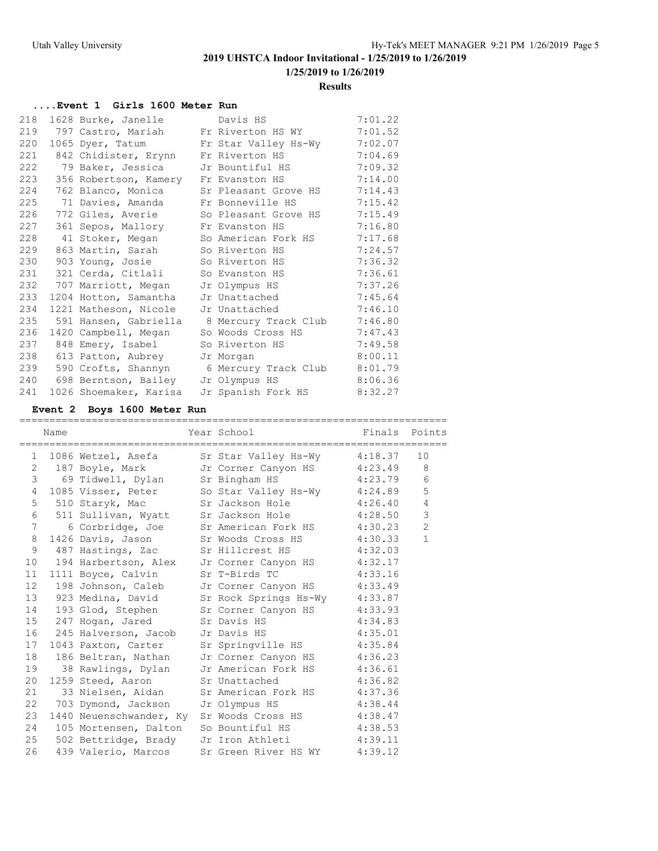**1/25/2019 to 1/26/2019**

#### **Results**

### **....Event 1 Girls 1600 Meter Run**

| 218 |                        | 1628 Burke, Janelle Davis HS                   | 7:01.22 |
|-----|------------------------|------------------------------------------------|---------|
|     |                        | 219 797 Castro, Mariah Fr Riverton HS WY       | 7:01.52 |
| 220 | 1065 Dyer, Tatum       | Fr Star Valley Hs-Wy                           | 7:02.07 |
| 221 | 842 Chidister, Erynn   | Fr Riverton HS                                 | 7:04.69 |
| 222 | 79 Baker, Jessica      | Jr Bountiful HS                                | 7:09.32 |
| 223 |                        | 356 Robertson, Kamery Fr Evanston HS           | 7:14.00 |
| 224 |                        | 762 Blanco, Monica Sr Pleasant Grove HS        | 7:14.43 |
| 225 | 71 Davies, Amanda      | Fr Bonneville HS                               | 7:15.42 |
| 226 |                        | 772 Giles, Averie      So Pleasant Grove HS    | 7:15.49 |
| 227 | 361 Sepos, Mallory     | Fr Evanston HS                                 | 7:16.80 |
| 228 |                        | 41 Stoker, Megan So American Fork HS           | 7:17.68 |
| 229 | 863 Martin, Sarah      | So Riverton HS                                 | 7:24.57 |
| 230 |                        | 903 Young, Josie So Riverton HS                | 7:36.32 |
| 231 | 321 Cerda, Citlali     | So Evanston HS                                 | 7:36.61 |
| 232 | 707 Marriott, Megan    | Jr Olympus HS                                  | 7:37.26 |
| 233 | 1204 Hotton, Samantha  | Jr Unattached                                  | 7:45.64 |
| 234 | 1221 Matheson, Nicole  | Jr Unattached                                  | 7:46.10 |
| 235 |                        | 591 Hansen, Gabriella     8 Mercury Track Club | 7:46.80 |
| 236 | 1420 Campbell, Megan   | So Woods Cross HS                              | 7:47.43 |
| 237 | 848 Emery, Isabel      | So Riverton HS                                 | 7:49.58 |
| 238 | 613 Patton, Aubrey     | Jr Morgan                                      | 8:00.11 |
| 239 |                        | 590 Crofts, Shannyn 6 Mercury Track Club       | 8:01.79 |
| 240 |                        | 698 Berntson, Bailey Jr Olympus HS             | 8:06.36 |
| 241 | 1026 Shoemaker, Karisa | Jr Spanish Fork HS 8:32.27                     |         |

|                 | Name |  | Year School                                 Finals   Points                                    |                |
|-----------------|------|--|------------------------------------------------------------------------------------------------|----------------|
|                 |      |  | 1 1086 Wetzel, Asefa Sr Star Valley Hs-Wy 4:18.37                                              | 10             |
|                 |      |  | 2 187 Boyle, Mark Jr Corner Canyon HS 4:23.49                                                  | 8              |
|                 |      |  | 3 69 Tidwell, Dylan Sr Bingham HS 4:23.79                                                      | 6              |
|                 |      |  | 4 1085 Visser, Peter So Star Valley Hs-Wy 4:24.89<br>5 510 Staryk, Mac Sr Jackson Hole 4:26.40 | $\mathbf 5$    |
|                 |      |  |                                                                                                | $\overline{4}$ |
|                 |      |  | 6 511 Sullivan, Wyatt Sr Jackson Hole 4:28.50                                                  | $\mathsf 3$    |
| $7\overline{ }$ |      |  | 6 Corbridge, Joe Sr American Fork HS 4:30.23                                                   | $\overline{c}$ |
| 8               |      |  | 1426 Davis, Jason Sr Woods Cross HS 4:30.33                                                    | $\mathbf{1}$   |
| 9               |      |  | 487 Hastings, Zac Sr Hillcrest HS 4:32.03                                                      |                |
| 10              |      |  | 194 Harbertson, Alex Jr Corner Canyon HS 4:32.17                                               |                |
| 11              |      |  | 1111 Boyce, Calvin Sr T-Birds TC 4:33.16                                                       |                |
| 12              |      |  | 198 Johnson, Caleb Jr Corner Canyon HS 4:33.49                                                 |                |
|                 |      |  | 13 923 Medina, David Sr Rock Springs Hs-Wy 4:33.87                                             |                |
|                 |      |  | 14 193 Glod, Stephen Sr Corner Canyon HS 4:33.93<br>15 247 Hogan, Jared Sr Davis HS 4:34.83    |                |
|                 |      |  |                                                                                                |                |
| 16              |      |  | 245 Halverson, Jacob Jr Davis HS (245 A:35.01)                                                 |                |
| 17              |      |  | 1043 Paxton, Carter Sr Springville HS 4:35.84                                                  |                |
| 18              |      |  | 186 Beltran, Nathan Jr Corner Canyon HS 4:36.23                                                |                |
| 19              |      |  | 38 Rawlings, Dylan Jr American Fork HS 4:36.61                                                 |                |
| 20              |      |  | 1259 Steed, Aaron Sr Unattached 4:36.82                                                        |                |
| 21              |      |  | 33 Nielsen, Aidan Sr American Fork HS 4:37.36                                                  |                |
| 22              |      |  | 703 Dymond, Jackson Jr Olympus HS (4:38.44                                                     |                |
|                 |      |  | 23 1440 Neuenschwander, Ky Sr Woods Cross HS 4:38.47                                           |                |
| 24              |      |  | 105 Mortensen, Dalton So Bountiful HS 4:38.53                                                  |                |
|                 |      |  | 25 502 Bettridge, Brady Jr Iron Athleti 4:39.11                                                |                |
| 26              |      |  | 439 Valerio, Marcos Sr Green River HS WY 4:39.12                                               |                |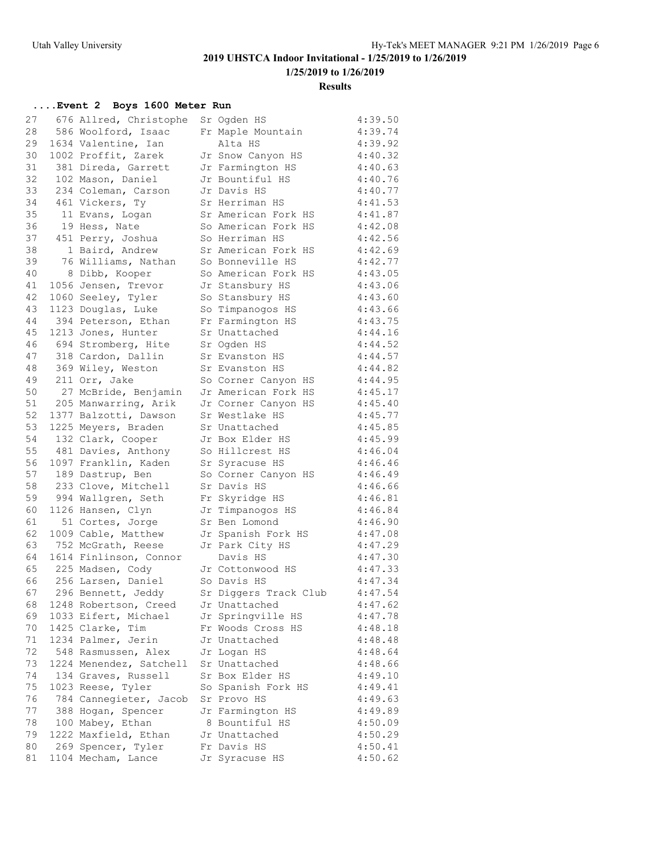**1/25/2019 to 1/26/2019**

#### **Results**

| 27 | 676 Allred, Christophe  | Sr Ogden HS                           | 4:39.50 |
|----|-------------------------|---------------------------------------|---------|
| 28 | 586 Woolford, Isaac     | Fr Maple Mountain                     | 4:39.74 |
| 29 | 1634 Valentine, Ian     | Alta HS                               | 4:39.92 |
| 30 | 1002 Proffit, Zarek     | Jr Snow Canyon HS                     | 4:40.32 |
| 31 | 381 Direda, Garrett     | Jr Farmington HS                      | 4:40.63 |
| 32 | 102 Mason, Daniel       | Jr Bountiful HS                       | 4:40.76 |
| 33 | 234 Coleman, Carson     | Jr Davis HS                           | 4:40.77 |
| 34 | 461 Vickers, Ty         | Sr Herriman HS                        | 4:41.53 |
| 35 | 11 Evans, Logan         | Sr American Fork HS                   | 4:41.87 |
| 36 | 19 Hess, Nate           | So American Fork HS                   | 4:42.08 |
| 37 | 451 Perry, Joshua       | So Herriman HS                        | 4:42.56 |
| 38 | 1 Baird, Andrew         | Sr American Fork HS                   | 4:42.69 |
| 39 | 76 Williams, Nathan     | So Bonneville HS                      | 4:42.77 |
| 40 | 8 Dibb, Kooper          | So American Fork HS                   | 4:43.05 |
| 41 | 1056 Jensen, Trevor     | Jr Stansbury HS                       | 4:43.06 |
| 42 | 1060 Seeley, Tyler      | So Stansbury HS                       | 4:43.60 |
| 43 | 1123 Douglas, Luke      | So Timpanogos HS                      | 4:43.66 |
| 44 | 394 Peterson, Ethan     | Fr Farmington HS                      | 4:43.75 |
| 45 | 1213 Jones, Hunter      | Sr Unattached                         | 4:44.16 |
| 46 | 694 Stromberg, Hite     | Sr Ogden HS                           | 4:44.52 |
| 47 | 318 Cardon, Dallin      | Sr Evanston HS                        | 4:44.57 |
| 48 | 369 Wiley, Weston       | Sr Evanston HS                        | 4:44.82 |
| 49 | 211 Orr, Jake           | So Corner Canyon HS                   | 4:44.95 |
| 50 | 27 McBride, Benjamin    | Jr American Fork HS                   | 4:45.17 |
| 51 | 205 Manwarring, Arik    | Jr Corner Canyon HS                   | 4:45.40 |
| 52 | 1377 Balzotti, Dawson   | Sr Westlake HS                        | 4:45.77 |
| 53 | 1225 Meyers, Braden     | Sr Unattached                         | 4:45.85 |
| 54 | 132 Clark, Cooper       | Jr Box Elder HS                       | 4:45.99 |
| 55 | 481 Davies, Anthony     | So Hillcrest HS                       | 4:46.04 |
| 56 | 1097 Franklin, Kaden    | Sr Syracuse HS                        | 4:46.46 |
| 57 | 189 Dastrup, Ben        | So Corner Canyon HS                   | 4:46.49 |
| 58 | 233 Clove, Mitchell     | Sr Davis HS                           | 4:46.66 |
| 59 | 994 Wallgren, Seth      | Fr Skyridge HS                        | 4:46.81 |
| 60 | 1126 Hansen, Clyn       | Jr Timpanogos HS                      | 4:46.84 |
| 61 | 51 Cortes, Jorge        | Sr Ben Lomond                         | 4:46.90 |
| 62 | 1009 Cable, Matthew     |                                       | 4:47.08 |
| 63 | 752 McGrath, Reese      | Jr Spanish Fork HS<br>Jr Park City HS | 4:47.29 |
| 64 | 1614 Finlinson, Connor  | Davis HS                              | 4:47.30 |
| 65 | 225 Madsen, Cody        | Jr Cottonwood HS                      | 4:47.33 |
| 66 | 256 Larsen, Daniel      | So Davis HS                           | 4:47.34 |
| 67 | 296 Bennett, Jeddy      | Sr Diggers Track Club                 | 4:47.54 |
|    |                         |                                       |         |
| 68 | 1248 Robertson, Creed   | Jr Unattached                         | 4:47.62 |
| 69 | 1033 Eifert, Michael    | Jr Springville HS                     | 4:47.78 |
| 70 | 1425 Clarke, Tim        | Fr Woods Cross HS                     | 4:48.18 |
| 71 | 1234 Palmer, Jerin      | Jr Unattached                         | 4:48.48 |
| 72 | 548 Rasmussen, Alex     | Jr Logan HS                           | 4:48.64 |
| 73 | 1224 Menendez, Satchell | Sr Unattached                         | 4:48.66 |
| 74 | 134 Graves, Russell     | Sr Box Elder HS                       | 4:49.10 |
| 75 | 1023 Reese, Tyler       | So Spanish Fork HS                    | 4:49.41 |
| 76 | 784 Cannegieter, Jacob  | Sr Provo HS                           | 4:49.63 |
| 77 | 388 Hogan, Spencer      | Jr Farmington HS                      | 4:49.89 |
| 78 | 100 Mabey, Ethan        | 8 Bountiful HS                        | 4:50.09 |
| 79 | 1222 Maxfield, Ethan    | Jr Unattached                         | 4:50.29 |
| 80 | 269 Spencer, Tyler      | Fr Davis HS                           | 4:50.41 |
| 81 | 1104 Mecham, Lance      | Jr Syracuse HS                        | 4:50.62 |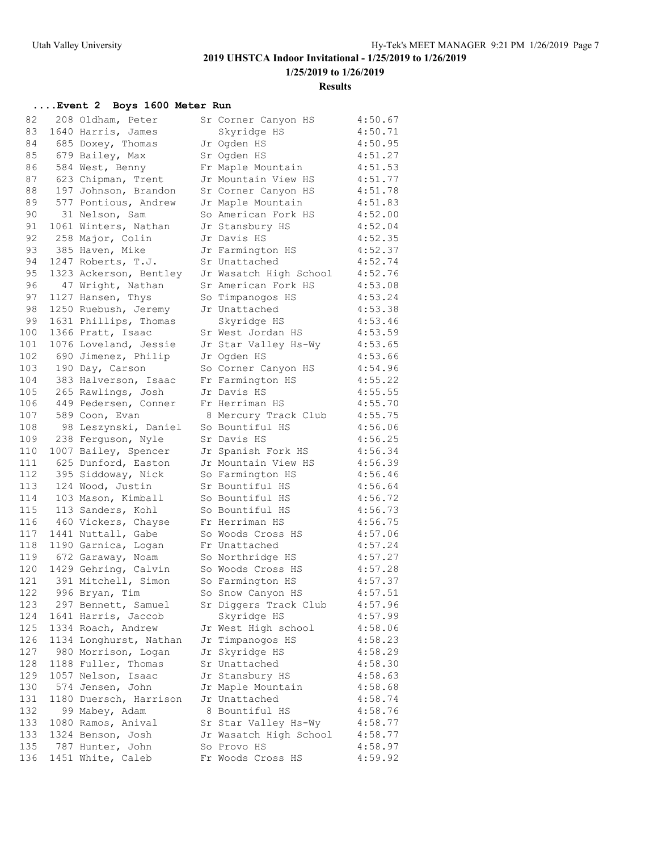**1/25/2019 to 1/26/2019**

#### **Results**

| 82  | 208 Oldham, Peter      | Sr Corner Canyon HS    | 4:50.67 |
|-----|------------------------|------------------------|---------|
| 83  | 1640 Harris, James     | Skyridge HS            | 4:50.71 |
| 84  | 685 Doxey, Thomas      | Jr Ogden HS            | 4:50.95 |
| 85  | 679 Bailey, Max        | Sr Oqden HS            | 4:51.27 |
| 86  | 584 West, Benny        | Fr Maple Mountain      | 4:51.53 |
| 87  | 623 Chipman, Trent     | Jr Mountain View HS    | 4:51.77 |
| 88  | 197 Johnson, Brandon   | Sr Corner Canyon HS    | 4:51.78 |
| 89  | 577 Pontious, Andrew   | Jr Maple Mountain      | 4:51.83 |
| 90  | 31 Nelson, Sam         | So American Fork HS    | 4:52.00 |
| 91  | 1061 Winters, Nathan   | Jr Stansbury HS        | 4:52.04 |
| 92  | 258 Major, Colin       | Jr Davis HS            | 4:52.35 |
| 93  | 385 Haven, Mike        | Jr Farmington HS       | 4:52.37 |
| 94  | 1247 Roberts, T.J.     | Sr Unattached          | 4:52.74 |
| 95  | 1323 Ackerson, Bentley | Jr Wasatch High School | 4:52.76 |
| 96  | 47 Wright, Nathan      | Sr American Fork HS    | 4:53.08 |
| 97  | 1127 Hansen, Thys      | So Timpanogos HS       | 4:53.24 |
| 98  | 1250 Ruebush, Jeremy   | Jr Unattached          | 4:53.38 |
| 99  | 1631 Phillips, Thomas  | Skyridge HS            | 4:53.46 |
| 100 | 1366 Pratt, Isaac      | Sr West Jordan HS      | 4:53.59 |
| 101 | 1076 Loveland, Jessie  | Jr Star Valley Hs-Wy   | 4:53.65 |
| 102 | 690 Jimenez, Philip    | Jr Ogden HS            | 4:53.66 |
| 103 | 190 Day, Carson        | So Corner Canyon HS    | 4:54.96 |
| 104 | 383 Halverson, Isaac   | Fr Farmington HS       | 4:55.22 |
| 105 | 265 Rawlings, Josh     | Jr Davis HS            | 4:55.55 |
| 106 | 449 Pedersen, Conner   | Fr Herriman HS         | 4:55.70 |
| 107 | 589 Coon, Evan         | 8 Mercury Track Club   | 4:55.75 |
| 108 | 98 Leszynski, Daniel   | So Bountiful HS        | 4:56.06 |
| 109 | 238 Ferguson, Nyle     | Sr Davis HS            | 4:56.25 |
| 110 | 1007 Bailey, Spencer   | Jr Spanish Fork HS     | 4:56.34 |
| 111 | 625 Dunford, Easton    | Jr Mountain View HS    | 4:56.39 |
| 112 | 395 Siddoway, Nick     | So Farmington HS       | 4:56.46 |
| 113 | 124 Wood, Justin       | Sr Bountiful HS        | 4:56.64 |
| 114 | 103 Mason, Kimball     | So Bountiful HS        | 4:56.72 |
| 115 | 113 Sanders, Kohl      | So Bountiful HS        | 4:56.73 |
| 116 | 460 Vickers, Chayse    | Fr Herriman HS         | 4:56.75 |
| 117 | 1441 Nuttall, Gabe     | So Woods Cross HS      | 4:57.06 |
| 118 | 1190 Garnica, Logan    | Fr Unattached          | 4:57.24 |
| 119 | 672 Garaway, Noam      | So Northridge HS       | 4:57.27 |
| 120 | 1429 Gehring, Calvin   | So Woods Cross HS      | 4:57.28 |
| 121 | 391 Mitchell, Simon    | So Farmington HS       | 4:57.37 |
| 122 | 996 Bryan, Tim         | So Snow Canyon HS      | 4:57.51 |
| 123 | 297 Bennett, Samuel    | Sr Diggers Track Club  | 4:57.96 |
| 124 | 1641 Harris, Jaccob    | Skyridge HS            | 4:57.99 |
| 125 | 1334 Roach, Andrew     | Jr West High school    | 4:58.06 |
| 126 | 1134 Longhurst, Nathan | Jr Timpanogos HS       | 4:58.23 |
| 127 | 980 Morrison, Logan    | Jr Skyridge HS         | 4:58.29 |
| 128 | 1188 Fuller, Thomas    | Sr Unattached          | 4:58.30 |
| 129 | 1057 Nelson, Isaac     | Jr Stansbury HS        | 4:58.63 |
| 130 | 574 Jensen, John       | Jr Maple Mountain      | 4:58.68 |
| 131 | 1180 Duersch, Harrison | Jr Unattached          | 4:58.74 |
| 132 | 99 Mabey, Adam         | 8 Bountiful HS         | 4:58.76 |
| 133 | 1080 Ramos, Anival     | Sr Star Valley Hs-Wy   | 4:58.77 |
| 133 | 1324 Benson, Josh      | Jr Wasatch High School | 4:58.77 |
| 135 | 787 Hunter, John       | So Provo HS            | 4:58.97 |
| 136 | 1451 White, Caleb      | Fr Woods Cross HS      | 4:59.92 |
|     |                        |                        |         |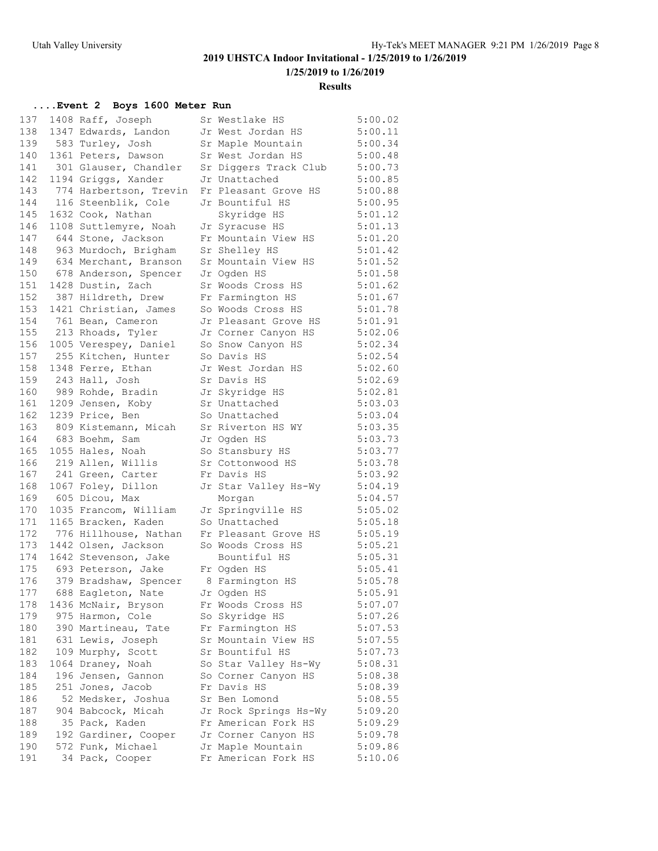**1/25/2019 to 1/26/2019**

#### **Results**

| 137 | 1408 Raff, Joseph      | Sr Westlake HS                              | 5:00.02 |
|-----|------------------------|---------------------------------------------|---------|
| 138 | 1347 Edwards, Landon   | Jr West Jordan HS                           | 5:00.11 |
| 139 | 583 Turley, Josh       | Sr Maple Mountain                           | 5:00.34 |
| 140 | 1361 Peters, Dawson    | Sr West Jordan HS                           | 5:00.48 |
| 141 | 301 Glauser, Chandler  | Sr Diggers Track Club                       | 5:00.73 |
| 142 | 1194 Griggs, Xander    | Jr Unattached                               | 5:00.85 |
| 143 | 774 Harbertson, Trevin | Fr Pleasant Grove HS                        | 5:00.88 |
| 144 | 116 Steenblik, Cole    | Jr Bountiful HS                             | 5:00.95 |
| 145 | 1632 Cook, Nathan      | Skyridge HS                                 | 5:01.12 |
| 146 | 1108 Suttlemyre, Noah  | Jr Syracuse HS                              | 5:01.13 |
| 147 | 644 Stone, Jackson     | Fr Mountain View HS                         | 5:01.20 |
| 148 | 963 Murdoch, Brigham   | Sr Shelley HS                               | 5:01.42 |
| 149 | 634 Merchant, Branson  | Sr Mountain View HS                         | 5:01.52 |
| 150 | 678 Anderson, Spencer  | Jr Oqden HS                                 | 5:01.58 |
| 151 | 1428 Dustin, Zach      | Sr Woods Cross HS                           | 5:01.62 |
| 152 | 387 Hildreth, Drew     | Fr Farmington HS                            | 5:01.67 |
| 153 | 1421 Christian, James  | So Woods Cross HS                           | 5:01.78 |
| 154 | 761 Bean, Cameron      | Jr Pleasant Grove HS                        | 5:01.91 |
| 155 | 213 Rhoads, Tyler      | Jr Corner Canyon HS                         | 5:02.06 |
| 156 | 1005 Verespey, Daniel  | So Snow Canyon HS                           | 5:02.34 |
| 157 | 255 Kitchen, Hunter    | So Davis HS                                 | 5:02.54 |
| 158 | 1348 Ferre, Ethan      | Jr West Jordan HS                           | 5:02.60 |
| 159 | 243 Hall, Josh         | Sr Davis HS                                 | 5:02.69 |
| 160 | 989 Rohde, Bradin      | Jr Skyridge HS                              | 5:02.81 |
| 161 | 1209 Jensen, Koby      | Sr Unattached                               | 5:03.03 |
| 162 | 1239 Price, Ben        | So Unattached                               | 5:03.04 |
| 163 | 809 Kistemann, Micah   | Sr Riverton HS WY                           | 5:03.35 |
| 164 | 683 Boehm, Sam         | Jr Ogden HS                                 | 5:03.73 |
| 165 | 1055 Hales, Noah       | So Stansbury HS                             | 5:03.77 |
| 166 | 219 Allen, Willis      | Sr Cottonwood HS                            | 5:03.78 |
| 167 | 241 Green, Carter      | Fr Davis HS                                 | 5:03.92 |
| 168 | 1067 Foley, Dillon     | Jr Star Valley Hs-Wy                        | 5:04.19 |
| 169 | 605 Dicou, Max         | Morgan                                      | 5:04.57 |
| 170 | 1035 Francom, William  | Jr Springville HS                           | 5:05.02 |
| 171 | 1165 Bracken, Kaden    | So Unattached                               | 5:05.18 |
| 172 | 776 Hillhouse, Nathan  | Fr Pleasant Grove HS                        | 5:05.19 |
| 173 | 1442 Olsen, Jackson    | So Woods Cross HS                           | 5:05.21 |
| 174 | 1642 Stevenson, Jake   | Bountiful HS                                | 5:05.31 |
| 175 | 693 Peterson, Jake     | Fr Oqden HS                                 | 5:05.41 |
| 176 | 379 Bradshaw, Spencer  | 8 Farmington HS                             | 5:05.78 |
| 177 | 688 Eagleton, Nate     | Jr Ogden HS                                 | 5:05.91 |
| 178 | 1436 McNair, Bryson    | Fr Woods Cross HS                           | 5:07.07 |
| 179 | 975 Harmon, Cole       | So Skyridge HS                              | 5:07.26 |
| 180 | 390 Martineau, Tate    | Fr Farmington HS                            | 5:07.53 |
| 181 | 631 Lewis, Joseph      | Sr Mountain View HS                         | 5:07.55 |
| 182 | 109 Murphy, Scott      | Sr Bountiful HS                             | 5:07.73 |
| 183 | 1064 Draney, Noah      |                                             | 5:08.31 |
| 184 | 196 Jensen, Gannon     | So Star Valley Hs-Wy<br>So Corner Canyon HS | 5:08.38 |
|     | 251 Jones, Jacob       | Fr Davis HS                                 |         |
| 185 |                        |                                             | 5:08.39 |
| 186 | 52 Medsker, Joshua     | Sr Ben Lomond                               | 5:08.55 |
| 187 | 904 Babcock, Micah     | Jr Rock Springs Hs-Wy                       | 5:09.20 |
| 188 | 35 Pack, Kaden         | Fr American Fork HS                         | 5:09.29 |
| 189 | 192 Gardiner, Cooper   | Jr Corner Canyon HS                         | 5:09.78 |
| 190 | 572 Funk, Michael      | Jr Maple Mountain                           | 5:09.86 |
| 191 | 34 Pack, Cooper        | Fr American Fork HS                         | 5:10.06 |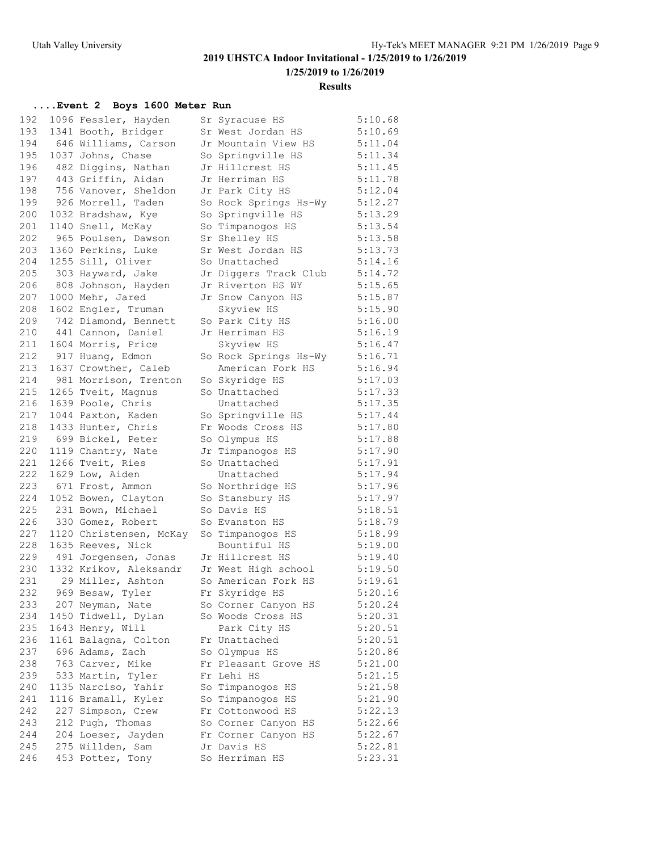**1/25/2019 to 1/26/2019**

#### **Results**

| 192 | 1096 Fessler, Hayden                   | Sr Syracuse HS                     | 5:10.68            |
|-----|----------------------------------------|------------------------------------|--------------------|
| 193 | 1341 Booth, Bridger                    | Sr West Jordan HS                  | 5:10.69            |
| 194 | 646 Williams, Carson                   | Jr Mountain View HS                | 5:11.04            |
| 195 | 1037 Johns, Chase                      | So Springville HS                  | 5:11.34            |
| 196 | 482 Diggins, Nathan                    | Jr Hillcrest HS                    | 5:11.45            |
| 197 | 443 Griffin, Aidan                     | Jr Herriman HS                     | 5:11.78            |
| 198 | 756 Vanover, Sheldon                   | Jr Park City HS                    | 5:12.04            |
| 199 | 926 Morrell, Taden                     | So Rock Springs Hs-Wy              | 5:12.27            |
| 200 | 1032 Bradshaw, Kye                     | So Springville HS                  | 5:13.29            |
| 201 | 1140 Snell, McKay                      | So Timpanogos HS                   | 5:13.54            |
| 202 | 965 Poulsen, Dawson                    | Sr Shelley HS                      | 5:13.58            |
| 203 | 1360 Perkins, Luke                     | Sr West Jordan HS                  | 5:13.73            |
| 204 | 1255 Sill, Oliver                      | So Unattached                      | 5:14.16            |
| 205 | 303 Hayward, Jake                      | Jr Diggers Track Club              | 5:14.72            |
| 206 | 808 Johnson, Hayden                    | Jr Riverton HS WY                  | 5:15.65            |
| 207 | 1000 Mehr, Jared                       | Jr Snow Canyon HS                  | 5:15.87            |
| 208 | 1602 Engler, Truman                    | Skyview HS                         | 5:15.90            |
| 209 | 742 Diamond, Bennett                   | So Park City HS                    | 5:16.00            |
| 210 | 441 Cannon, Daniel                     | Jr Herriman HS                     | 5:16.19            |
| 211 | 1604 Morris, Price                     | Skyview HS                         | 5:16.47            |
| 212 | 917 Huang, Edmon                       | So Rock Springs Hs-Wy              | 5:16.71            |
| 213 | 1637 Crowther, Caleb                   | American Fork HS                   | 5:16.94            |
| 214 | 981 Morrison, Trenton                  | So Skyridge HS                     | 5:17.03            |
| 215 | 1265 Tveit, Magnus                     | So Unattached                      | 5:17.33            |
| 216 | 1639 Poole, Chris                      | Unattached                         | 5:17.35            |
| 217 | 1044 Paxton, Kaden                     | So Springville HS                  | 5:17.44            |
| 218 | 1433 Hunter, Chris                     | Fr Woods Cross HS                  | 5:17.80            |
| 219 | 699 Bickel, Peter                      | So Olympus HS                      | 5:17.88            |
| 220 | 1119 Chantry, Nate                     | Jr Timpanogos HS                   | 5:17.90            |
| 221 | 1266 Tveit, Ries                       | So Unattached                      | 5:17.91            |
| 222 | 1629 Low, Aiden                        | Unattached                         | 5:17.94            |
| 223 | 671 Frost, Ammon                       | So Northridge HS                   | 5:17.96            |
| 224 | 1052 Bowen, Clayton                    | So Stansbury HS                    | 5:17.97            |
| 225 | 231 Bown, Michael                      | So Davis HS                        | 5:18.51            |
| 226 | 330 Gomez, Robert                      | So Evanston HS                     | 5:18.79            |
| 227 | 1120 Christensen, McKay                | So Timpanogos HS                   | 5:18.99            |
| 228 | 1635 Reeves, Nick                      | Bountiful HS                       | 5:19.00            |
| 229 | 491 Jorgensen, Jonas                   | Jr Hillcrest HS                    | 5:19.40            |
| 230 | 1332 Krikov, Aleksandr                 | Jr West High school                | 5:19.50            |
| 231 | 29 Miller, Ashton                      | So American Fork HS                | 5:19.61            |
| 232 | 969 Besaw, Tyler                       | Fr Skyridge HS                     | 5:20.16            |
| 233 | 207 Neyman, Nate                       | So Corner Canyon HS                | 5:20.24            |
| 234 | 1450 Tidwell, Dylan                    | So Woods Cross HS                  | 5:20.31            |
| 235 | 1643 Henry, Will                       | Park City HS                       | 5:20.51            |
| 236 | 1161 Balagna, Colton                   | Fr Unattached                      | 5:20.51            |
| 237 | 696 Adams, Zach                        | So Olympus HS                      | 5:20.86            |
| 238 | 763 Carver, Mike                       | Fr Pleasant Grove HS               | 5:21.00            |
| 239 | 533 Martin, Tyler                      | Fr Lehi HS                         | 5:21.15            |
| 240 | 1135 Narciso, Yahir                    | So Timpanogos HS                   | 5:21.58            |
| 241 | 1116 Bramall, Kyler                    | So Timpanogos HS                   | 5:21.90            |
| 242 | 227 Simpson, Crew                      | Fr Cottonwood HS                   | 5:22.13            |
| 243 |                                        | So Corner Canyon HS                | 5:22.66            |
| 244 | 212 Pugh, Thomas                       |                                    |                    |
| 245 | 204 Loeser, Jayden<br>275 Willden, Sam | Fr Corner Canyon HS<br>Jr Davis HS | 5:22.67<br>5:22.81 |
| 246 | 453 Potter, Tony                       | So Herriman HS                     | 5:23.31            |
|     |                                        |                                    |                    |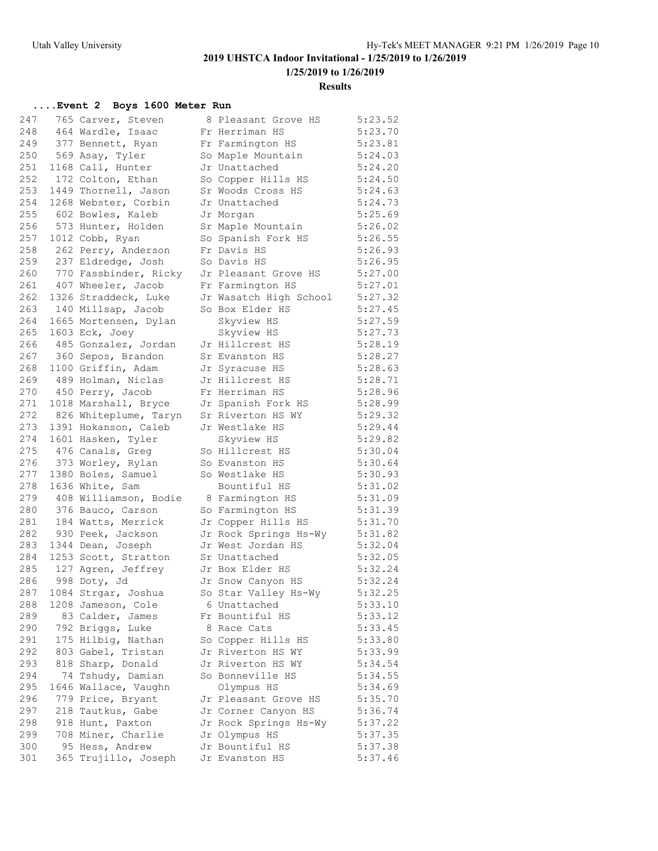**1/25/2019 to 1/26/2019**

#### **Results**

| 247        | 765 Carver, Steven                         | 8 Pleasant Grove HS    | 5:23.52 |
|------------|--------------------------------------------|------------------------|---------|
| 248        | 464 Wardle, Isaac                          | Fr Herriman HS         | 5:23.70 |
| 249        | 377 Bennett, Ryan                          | Fr Farmington HS       | 5:23.81 |
| 250        | 569 Asay, Tyler                            | So Maple Mountain      | 5:24.03 |
| 251        | 1168 Call, Hunter                          | Jr Unattached          | 5:24.20 |
| 252        | 172 Colton, Ethan                          | So Copper Hills HS     | 5:24.50 |
| 253        | 1449 Thornell, Jason                       | Sr Woods Cross HS      | 5:24.63 |
| 254        | 1268 Webster, Corbin                       | Jr Unattached          | 5:24.73 |
| 255        | 602 Bowles, Kaleb                          | Jr Morgan              | 5:25.69 |
| 256        | 573 Hunter, Holden                         | Sr Maple Mountain      | 5:26.02 |
| 257        | 1012 Cobb, Ryan                            | So Spanish Fork HS     | 5:26.55 |
| 258        | 262 Perry, Anderson                        | Fr Davis HS            | 5:26.93 |
| 259        | 237 Eldredge, Josh                         | So Davis HS            | 5:26.95 |
| 260        | 770 Fassbinder, Ricky                      | Jr Pleasant Grove HS   | 5:27.00 |
| 261        | 407 Wheeler, Jacob                         | Fr Farmington HS       | 5:27.01 |
| 262        | 1326 Straddeck, Luke                       | Jr Wasatch High School | 5:27.32 |
| 263        | 140 Millsap, Jacob                         | So Box Elder HS        | 5:27.45 |
| 264        | 1665 Mortensen, Dylan                      | Skyview HS             | 5:27.59 |
| 265        | $1603$ Eck, Joey                           | Skyview HS             | 5:27.73 |
| 266        | 485 Gonzalez, Jordan                       | Jr Hillcrest HS        | 5:28.19 |
| 267        | 360 Sepos, Brandon                         | Sr Evanston HS         | 5:28.27 |
| 268        | 1100 Griffin, Adam                         | Jr Syracuse HS         | 5:28.63 |
| 269        | 489 Holman, Niclas                         | Jr Hillcrest HS        | 5:28.71 |
| 270        | 450 Perry, Jacob                           | Fr Herriman HS         | 5:28.96 |
| 271        | 1018 Marshall, Bryce                       | Jr Spanish Fork HS     | 5:28.99 |
| 272        | 826 Whiteplume, Taryn                      | Sr Riverton HS WY      | 5:29.32 |
| 273        | 1391 Hokanson, Caleb                       | Jr Westlake HS         | 5:29.44 |
| 274        | 1601 Hasken, Tyler                         | Skyview HS             | 5:29.82 |
| 275        | 476 Canals, Greg                           | So Hillcrest HS        | 5:30.04 |
| 276        | 373 Worley, Rylan                          | So Evanston HS         | 5:30.64 |
| 277        | 1380 Boles, Samuel                         | So Westlake HS         | 5:30.93 |
| 278        | 1636 White, Sam                            | Bountiful HS           | 5:31.02 |
| 279        | 408 Williamson, Bodie                      | 8 Farmington HS        | 5:31.09 |
| 280        | 376 Bauco, Carson                          | So Farmington HS       | 5:31.39 |
| 281        | 184 Watts, Merrick                         | Jr Copper Hills HS     | 5:31.70 |
| 282        | 930 Peek, Jackson                          | Jr Rock Springs Hs-Wy  | 5:31.82 |
| 283        | 1344 Dean, Joseph                          | Jr West Jordan HS      | 5:32.04 |
| 284        |                                            | Sr Unattached          | 5:32.05 |
| 285        | 1253 Scott, Stratton<br>127 Agren, Jeffrey | Jr Box Elder HS        | 5:32.24 |
| 286        | 998 Doty, Jd                               | Jr Snow Canyon HS      | 5:32.24 |
|            |                                            |                        | 5:32.25 |
| 287        | 1084 Strgar, Joshua                        | So Star Valley Hs-Wy   |         |
| 288<br>289 | 1208 Jameson, Cole                         | 6 Unattached           | 5:33.10 |
|            | 83 Calder, James                           | Fr Bountiful HS        | 5:33.12 |
| 290        | 792 Briggs, Luke                           | 8 Race Cats            | 5:33.45 |
| 291        | 175 Hilbig, Nathan                         | So Copper Hills HS     | 5:33.80 |
| 292        | 803 Gabel, Tristan                         | Jr Riverton HS WY      | 5:33.99 |
| 293        | 818 Sharp, Donald                          | Jr Riverton HS WY      | 5:34.54 |
| 294        | 74 Tshudy, Damian                          | So Bonneville HS       | 5:34.55 |
| 295        | 1646 Wallace, Vaughn                       | Olympus HS             | 5:34.69 |
| 296        | 779 Price, Bryant                          | Jr Pleasant Grove HS   | 5:35.70 |
| 297        | 218 Tautkus, Gabe                          | Jr Corner Canyon HS    | 5:36.74 |
| 298        | 918 Hunt, Paxton                           | Jr Rock Springs Hs-Wy  | 5:37.22 |
| 299        | 708 Miner, Charlie                         | Jr Olympus HS          | 5:37.35 |
| 300        | 95 Hess, Andrew                            | Jr Bountiful HS        | 5:37.38 |
| 301        | 365 Trujillo, Joseph                       | Jr Evanston HS         | 5:37.46 |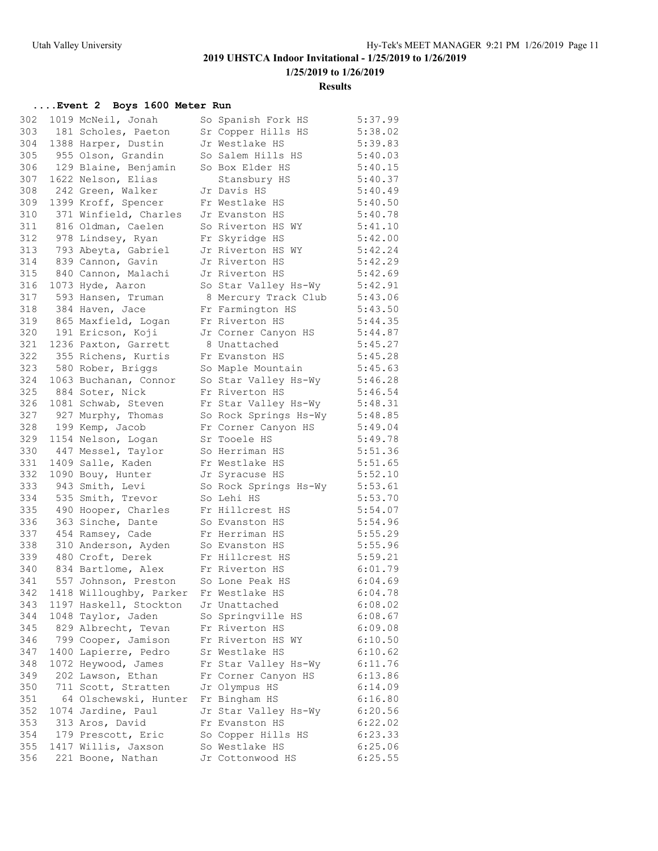**1/25/2019 to 1/26/2019**

**Results**

| 302 | 1019 McNeil, Jonah      | So Spanish Fork HS    | 5:37.99 |
|-----|-------------------------|-----------------------|---------|
| 303 | 181 Scholes, Paeton     | Sr Copper Hills HS    | 5:38.02 |
| 304 | 1388 Harper, Dustin     | Jr Westlake HS        | 5:39.83 |
| 305 | 955 Olson, Grandin      | So Salem Hills HS     | 5:40.03 |
| 306 | 129 Blaine, Benjamin    | So Box Elder HS       | 5:40.15 |
| 307 | 1622 Nelson, Elias      | Stansbury HS          | 5:40.37 |
| 308 | 242 Green, Walker       | Jr Davis HS           | 5:40.49 |
| 309 | 1399 Kroff, Spencer     | Fr Westlake HS        | 5:40.50 |
| 310 | 371 Winfield, Charles   | Jr Evanston HS        | 5:40.78 |
| 311 | 816 Oldman, Caelen      | So Riverton HS WY     | 5:41.10 |
| 312 | 978 Lindsey, Ryan       | Fr Skyridge HS        | 5:42.00 |
| 313 | 793 Abeyta, Gabriel     | Jr Riverton HS WY     | 5:42.24 |
| 314 | 839 Cannon, Gavin       | Jr Riverton HS        | 5:42.29 |
| 315 | 840 Cannon, Malachi     | Jr Riverton HS        | 5:42.69 |
| 316 | 1073 Hyde, Aaron        | So Star Valley Hs-Wy  | 5:42.91 |
| 317 | 593 Hansen, Truman      | 8 Mercury Track Club  | 5:43.06 |
| 318 | 384 Haven, Jace         | Fr Farmington HS      | 5:43.50 |
| 319 | 865 Maxfield, Logan     | Fr Riverton HS        | 5:44.35 |
| 320 | 191 Ericson, Koji       | Jr Corner Canyon HS   | 5:44.87 |
| 321 | 1236 Paxton, Garrett    | 8 Unattached          | 5:45.27 |
| 322 | 355 Richens, Kurtis     | Fr Evanston HS        | 5:45.28 |
| 323 | 580 Rober, Briggs       | So Maple Mountain     | 5:45.63 |
| 324 | 1063 Buchanan, Connor   | So Star Valley Hs-Wy  | 5:46.28 |
| 325 | 884 Soter, Nick         | Fr Riverton HS        | 5:46.54 |
| 326 | 1081 Schwab, Steven     | Fr Star Valley Hs-Wy  | 5:48.31 |
| 327 | 927 Murphy, Thomas      | So Rock Springs Hs-Wy | 5:48.85 |
| 328 | 199 Kemp, Jacob         | Fr Corner Canyon HS   | 5:49.04 |
| 329 | 1154 Nelson, Logan      | Sr Tooele HS          | 5:49.78 |
| 330 | 447 Messel, Taylor      | So Herriman HS        | 5:51.36 |
| 331 | 1409 Salle, Kaden       | Fr Westlake HS        | 5:51.65 |
| 332 | 1090 Bouy, Hunter       | Jr Syracuse HS        | 5:52.10 |
| 333 | 943 Smith, Levi         | So Rock Springs Hs-Wy | 5:53.61 |
| 334 | 535 Smith, Trevor       | So Lehi HS            | 5:53.70 |
| 335 | 490 Hooper, Charles     | Fr Hillcrest HS       | 5:54.07 |
| 336 | 363 Sinche, Dante       | So Evanston HS        | 5:54.96 |
| 337 | 454 Ramsey, Cade        | Fr Herriman HS        | 5:55.29 |
| 338 | 310 Anderson, Ayden     | So Evanston HS        | 5:55.96 |
| 339 | 480 Croft, Derek        | Fr Hillcrest HS       | 5:59.21 |
| 340 | 834 Bartlome, Alex      | Fr Riverton HS        | 6:01.79 |
| 341 | 557 Johnson, Preston    | So Lone Peak HS       | 6:04.69 |
| 342 | 1418 Willoughby, Parker | Fr Westlake HS        | 6:04.78 |
| 343 | 1197 Haskell, Stockton  | Jr Unattached         | 6:08.02 |
| 344 | 1048 Taylor, Jaden      | So Springville HS     | 6:08.67 |
| 345 | 829 Albrecht, Tevan     | Fr Riverton HS        | 6:09.08 |
| 346 | 799 Cooper, Jamison     | Fr Riverton HS WY     | 6:10.50 |
| 347 | 1400 Lapierre, Pedro    | Sr Westlake HS        | 6:10.62 |
| 348 | 1072 Heywood, James     | Fr Star Valley Hs-Wy  | 6:11.76 |
| 349 | 202 Lawson, Ethan       | Fr Corner Canyon HS   | 6:13.86 |
| 350 | 711 Scott, Stratten     | Jr Olympus HS         | 6:14.09 |
| 351 | 64 Olschewski, Hunter   | Fr Bingham HS         | 6:16.80 |
| 352 | 1074 Jardine, Paul      | Jr Star Valley Hs-Wy  | 6:20.56 |
| 353 | 313 Aros, David         | Fr Evanston HS        | 6:22.02 |
| 354 | 179 Prescott, Eric      | So Copper Hills HS    | 6:23.33 |
| 355 | 1417 Willis, Jaxson     | So Westlake HS        | 6:25.06 |
| 356 | 221 Boone, Nathan       | Jr Cottonwood HS      | 6:25.55 |
|     |                         |                       |         |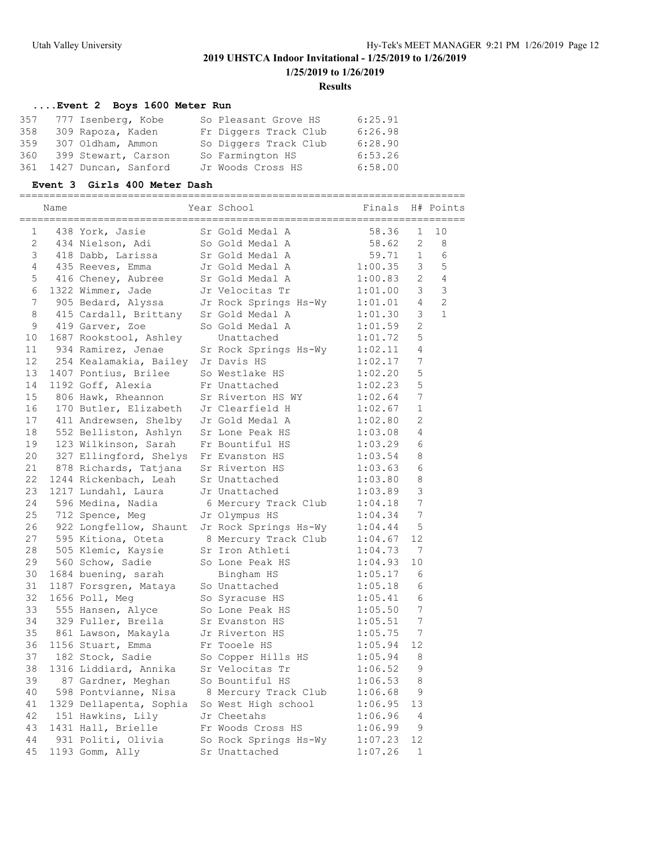**1/25/2019 to 1/26/2019**

#### **Results**

### **....Event 2 Boys 1600 Meter Run**

|     | 357 777 Isenberg, Kobe   | So Pleasant Grove HS  | 6:25.91 |
|-----|--------------------------|-----------------------|---------|
| 358 | 309 Rapoza, Kaden        | Fr Diggers Track Club | 6:26.98 |
| 359 | 307 Oldham, Ammon        | So Diggers Track Club | 6:28.90 |
|     | 360 399 Stewart, Carson  | So Farmington HS      | 6:53.26 |
|     | 361 1427 Duncan, Sanford | Jr Woods Cross HS     | 6:58.00 |

#### **Event 3 Girls 400 Meter Dash**

|          | Name |                                           | Year School                                | Finals             |                       | H# Points      |
|----------|------|-------------------------------------------|--------------------------------------------|--------------------|-----------------------|----------------|
| 1        |      | 438 York, Jasie                           | Sr Gold Medal A                            | 58.36              | 1                     | 10             |
| 2        |      | 434 Nielson, Adi                          | So Gold Medal A                            | 58.62              | $\overline{2}$        | 8              |
| 3        |      | 418 Dabb, Larissa                         | Sr Gold Medal A                            | 59.71              | 1                     | 6              |
| 4        |      | 435 Reeves, Emma                          | Jr Gold Medal A                            | 1:00.35            | 3                     | 5              |
| 5        |      | 416 Cheney, Aubree                        | Sr Gold Medal A                            | 1:00.83            | $\mathbf{2}^{\prime}$ | $\overline{4}$ |
| 6        |      | 1322 Wimmer, Jade                         | Jr Velocitas Tr                            | 1:01.00            | 3                     | $\mathcal{S}$  |
| 7        |      | 905 Bedard, Alyssa                        | Jr Rock Springs Hs-Wy                      | 1:01.01            | $\overline{4}$        | $\overline{2}$ |
| 8        |      | 415 Cardall, Brittany                     | Sr Gold Medal A                            | 1:01.30            | 3                     | $\mathbf{1}$   |
| 9        |      | 419 Garver, Zoe                           | So Gold Medal A                            | 1:01.59            | $\overline{2}$        |                |
| 10       |      | 1687 Rookstool, Ashley                    | Unattached                                 | 1:01.72            | 5                     |                |
| 11       |      | 934 Ramirez, Jenae                        | Sr Rock Springs Hs-Wy                      | 1:02.11            | 4                     |                |
| 12       |      | 254 Kealamakia, Bailey                    | Jr Davis HS                                | 1:02.17            | 7                     |                |
| 13       |      | 1407 Pontius, Brilee                      | So Westlake HS                             | 1:02.20            | 5                     |                |
| 14       |      | 1192 Goff, Alexia                         | Fr Unattached                              | 1:02.23            | 5                     |                |
| 15       |      | 806 Hawk, Rheannon                        | Sr Riverton HS WY                          | 1:02.64            | 7                     |                |
| 16       |      | 170 Butler, Elizabeth                     | Jr Clearfield H                            | 1:02.67            | 1                     |                |
| 17       |      | 411 Andrewsen, Shelby                     | Jr Gold Medal A                            | 1:02.80            | 2                     |                |
| 18       |      | 552 Belliston, Ashlyn                     | Sr Lone Peak HS                            | 1:03.08            | 4                     |                |
| 19       |      | 123 Wilkinson, Sarah                      | Fr Bountiful HS                            | 1:03.29            | 6                     |                |
| 20       |      | 327 Ellingford, Shelys                    | Fr Evanston HS                             | 1:03.54            | 8                     |                |
| 21       |      | 878 Richards, Tatjana                     | Sr Riverton HS                             | 1:03.63            | 6                     |                |
| 22       |      | 1244 Rickenbach, Leah                     | Sr Unattached                              | 1:03.80            | 8                     |                |
| 23       |      | 1217 Lundahl, Laura                       | Jr Unattached                              | 1:03.89            | 3                     |                |
| 24       |      | 596 Medina, Nadia                         | 6 Mercury Track Club                       | 1:04.18            | 7                     |                |
| 25       |      | 712 Spence, Meg                           | Jr Olympus HS                              | 1:04.34            | 7                     |                |
| 26       |      | 922 Longfellow, Shaunt                    | Jr Rock Springs Hs-Wy                      | 1:04.44            | 5                     |                |
| 27       |      | 595 Kitiona, Oteta                        | 8 Mercury Track Club                       | 1:04.67            | 12                    |                |
| 28       |      | 505 Klemic, Kaysie                        | Sr Iron Athleti                            | 1:04.73            | - 7                   |                |
| 29       |      | 560 Schow, Sadie                          | So Lone Peak HS                            | 1:04.93            | 10                    |                |
| 30       |      | 1684 buening, sarah                       | Bingham HS                                 | 1:05.17            | 6                     |                |
| 31       |      | 1187 Forsgren, Mataya                     | So Unattached                              | 1:05.18            | 6                     |                |
| 32       |      | 1656 Poll, Meg                            | So Syracuse HS                             | 1:05.41            | 6                     |                |
| 33       |      | 555 Hansen, Alyce                         | So Lone Peak HS                            | 1:05.50            | 7<br>7                |                |
| 34       |      | 329 Fuller, Breila                        | Sr Evanston HS                             | 1:05.51            |                       |                |
| 35       |      | 861 Lawson, Makayla                       | Jr Riverton HS                             | 1:05.75            | 7                     |                |
| 36       |      | 1156 Stuart, Emma                         | Fr Tooele HS                               | 1:05.94            | 12                    |                |
| 37<br>38 |      | 182 Stock, Sadie<br>1316 Liddiard, Annika | So Copper Hills HS                         | 1:05.94<br>1:06.52 | 8<br>9                |                |
|          |      |                                           | Sr Velocitas Tr                            |                    |                       |                |
| 39       |      | 87 Gardner, Meghan                        | So Bountiful HS                            | 1:06.53            | 8                     |                |
| 40       |      | 598 Pontvianne, Nisa                      | 8 Mercury Track Club                       | 1:06.68            | 9                     |                |
| 41       |      | 1329 Dellapenta, Sophia                   | So West High school                        | 1:06.95            | 13                    |                |
| 42<br>43 |      | 151 Hawkins, Lily                         | Jr Cheetahs                                | 1:06.96            | 4                     |                |
| 44       |      | 1431 Hall, Brielle                        | Fr Woods Cross HS<br>So Rock Springs Hs-Wy | 1:06.99            | $\mathsf 9$<br>12     |                |
|          |      | 931 Politi, Olivia                        |                                            | 1:07.23            |                       |                |
| 45       |      | 1193 Gomm, Ally                           | Sr Unattached                              | 1:07.26            | 1                     |                |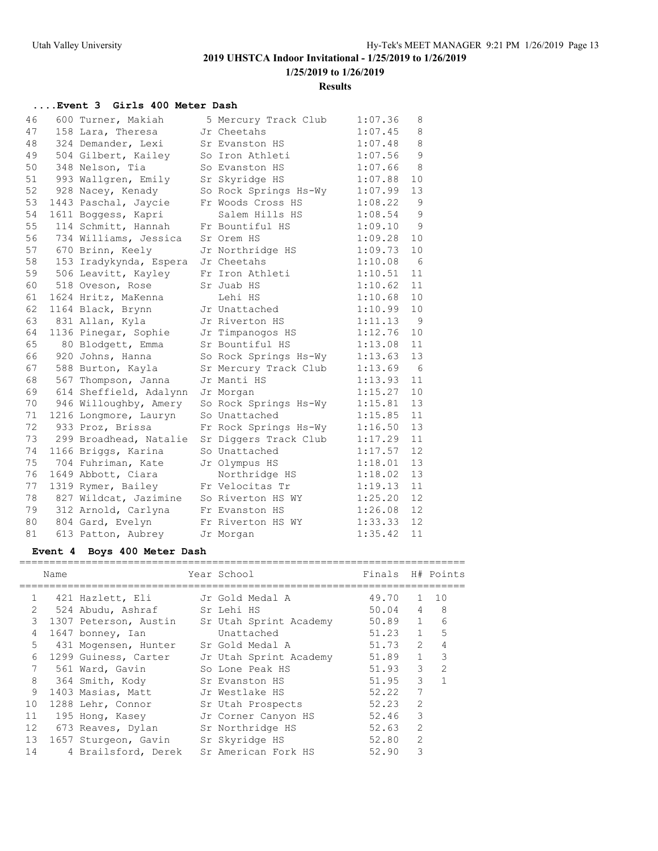**1/25/2019 to 1/26/2019**

**Results**

## **....Event 3 Girls 400 Meter Dash**

| 46 | 600 Turner, Makiah     | 5 Mercury Track Club  | 1:07.36 | 8           |
|----|------------------------|-----------------------|---------|-------------|
| 47 | 158 Lara, Theresa      | Jr Cheetahs           | 1:07.45 | 8           |
| 48 | 324 Demander, Lexi     | Sr Evanston HS        | 1:07.48 | 8           |
| 49 | 504 Gilbert, Kailey    | So Iron Athleti       | 1:07.56 | $\mathsf 9$ |
| 50 | 348 Nelson, Tia        | So Evanston HS        | 1:07.66 | - 8         |
| 51 | 993 Wallgren, Emily    | Sr Skyridge HS        | 1:07.88 | 10          |
| 52 | 928 Nacey, Kenady      | So Rock Springs Hs-Wy | 1:07.99 | 13          |
| 53 | 1443 Paschal, Jaycie   | Fr Woods Cross HS     | 1:08.22 | 9           |
| 54 | 1611 Boggess, Kapri    | Salem Hills HS        | 1:08.54 | 9           |
| 55 | 114 Schmitt, Hannah    | Fr Bountiful HS       | 1:09.10 | 9           |
| 56 | 734 Williams, Jessica  | Sr Orem HS            | 1:09.28 | 10          |
| 57 | 670 Brinn, Keely       | Jr Northridge HS      | 1:09.73 | 10          |
| 58 | 153 Iradykynda, Espera | Jr Cheetahs           | 1:10.08 | 6           |
| 59 | 506 Leavitt, Kayley    | Fr Iron Athleti       | 1:10.51 | 11          |
| 60 | 518 Oveson, Rose       | Sr Juab HS            | 1:10.62 | 11          |
| 61 | 1624 Hritz, MaKenna    | Lehi HS               | 1:10.68 | 10          |
| 62 | 1164 Black, Brynn      | Jr Unattached         | 1:10.99 | 10          |
| 63 | 831 Allan, Kyla        | Jr Riverton HS        | 1:11.13 | - 9         |
| 64 | 1136 Pinegar, Sophie   | Jr Timpanogos HS      | 1:12.76 | 10          |
| 65 | 80 Blodgett, Emma      | Sr Bountiful HS       | 1:13.08 | 11          |
| 66 | 920 Johns, Hanna       | So Rock Springs Hs-Wy | 1:13.63 | 13          |
| 67 | 588 Burton, Kayla      | Sr Mercury Track Club | 1:13.69 | 6           |
| 68 | 567 Thompson, Janna    | Jr Manti HS           | 1:13.93 | 11          |
| 69 | 614 Sheffield, Adalynn | Jr Morgan             | 1:15.27 | 10          |
| 70 | 946 Willoughby, Amery  | So Rock Springs Hs-Wy | 1:15.81 | 13          |
| 71 | 1216 Longmore, Lauryn  | So Unattached         | 1:15.85 | 11          |
| 72 | 933 Proz, Brissa       | Fr Rock Springs Hs-Wy | 1:16.50 | 13          |
| 73 | 299 Broadhead, Natalie | Sr Diggers Track Club | 1:17.29 | 11          |
| 74 | 1166 Briggs, Karina    | So Unattached         | 1:17.57 | 12          |
| 75 | 704 Fuhriman, Kate     | Jr Olympus HS         | 1:18.01 | 13          |
| 76 | 1649 Abbott, Ciara     | Northridge HS         | 1:18.02 | 13          |
| 77 | 1319 Rymer, Bailey     | Fr Velocitas Tr       | 1:19.13 | 11          |
| 78 | 827 Wildcat, Jazimine  | So Riverton HS WY     | 1:25.20 | 12          |
| 79 | 312 Arnold, Carlyna    | Fr Evanston HS        | 1:26.08 | 12          |
| 80 | 804 Gard, Evelyn       | Fr Riverton HS WY     | 1:33.33 | 12          |
| 81 | 613 Patton, Aubrey     | Jr Morgan             | 1:35.42 | 11          |

### **Event 4 Boys 400 Meter Dash**

|                | Name |                       | Year School            | Finals |                | H# Points     |
|----------------|------|-----------------------|------------------------|--------|----------------|---------------|
| $\mathbf{1}$   |      | 421 Hazlett, Eli      | Jr Gold Medal A        | 49.70  | $\mathbf{1}$   | 1 N           |
| $\mathfrak{D}$ |      | 524 Abudu, Ashraf     | Sr Lehi HS             | 50.04  | $\overline{4}$ | -8            |
| 3              |      | 1307 Peterson, Austin | Sr Utah Sprint Academy | 50.89  | $\mathbf{1}$   | 6             |
| 4              |      | 1647 bonney, Ian      | Unattached             | 51.23  | $\mathbf{1}$   | 5             |
| 5              |      | 431 Mogensen, Hunter  | Sr Gold Medal A        | 51.73  | $\mathcal{L}$  |               |
| 6              |      | 1299 Guiness, Carter  | Jr Utah Sprint Academy | 51.89  | 1              | 3             |
| 7              |      | 561 Ward, Gavin       | So Lone Peak HS        | 51.93  | 3              | $\mathcal{P}$ |
| 8              |      | 364 Smith, Kody       | Sr Evanston HS         | 51.95  | 3              |               |
| 9              |      | 1403 Masias, Matt     | Jr Westlake HS         | 52.22  | 7              |               |
| 10             |      | 1288 Lehr, Connor     | Sr Utah Prospects      | 52.23  | $\mathcal{L}$  |               |
| 11             |      | 195 Hong, Kasey       | Jr Corner Canyon HS    | 52.46  | 3              |               |
| 12             |      | 673 Reaves, Dylan     | Sr Northridge HS       | 52.63  | $\mathcal{L}$  |               |
| 13             |      | 1657 Sturgeon, Gavin  | Sr Skyridge HS         | 52.80  | $\overline{2}$ |               |
| 14             |      | 4 Brailsford, Derek   | Sr American Fork HS    | 52.90  | 3              |               |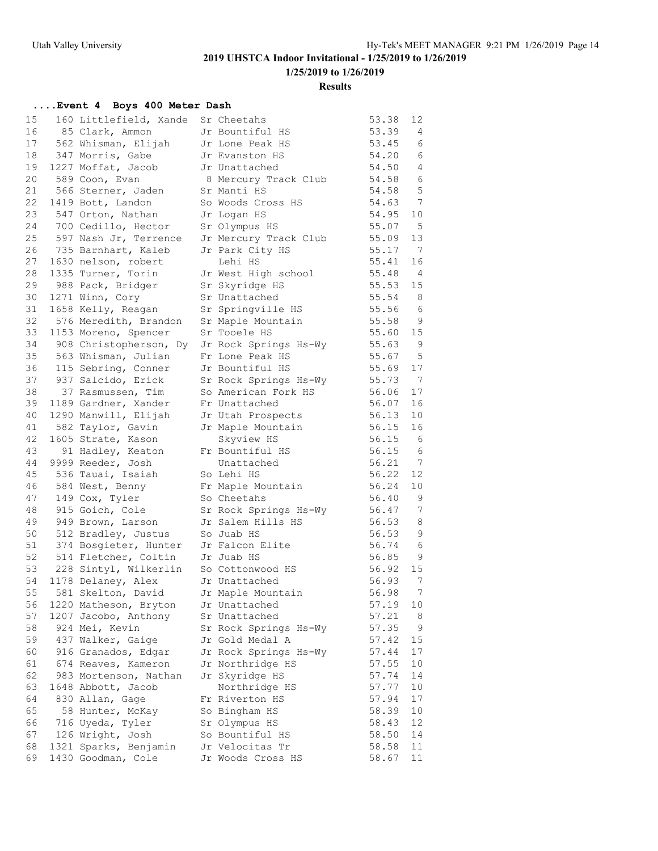#### **Results**

### **....Event 4 Boys 400 Meter Dash**

| 15 | 160 Littlefield, Xande | Sr Cheetahs           | 53.38 | 12             |
|----|------------------------|-----------------------|-------|----------------|
| 16 | 85 Clark, Ammon        | Jr Bountiful HS       | 53.39 | 4              |
| 17 | 562 Whisman, Elijah    | Jr Lone Peak HS       | 53.45 | 6              |
| 18 | 347 Morris, Gabe       | Jr Evanston HS        | 54.20 | 6              |
| 19 | 1227 Moffat, Jacob     | Jr Unattached         | 54.50 | 4              |
| 20 | 589 Coon, Evan         | 8 Mercury Track Club  | 54.58 | 6              |
| 21 | 566 Sterner, Jaden     | Sr Manti HS           | 54.58 | $\overline{5}$ |
| 22 | 1419 Bott, Landon      | So Woods Cross HS     | 54.63 | 7              |
| 23 | 547 Orton, Nathan      | Jr Logan HS           | 54.95 | 10             |
| 24 | 700 Cedillo, Hector    | Sr Olympus HS         | 55.07 | $-5$           |
| 25 | 597 Nash Jr, Terrence  | Jr Mercury Track Club | 55.09 | 13             |
| 26 | 735 Barnhart, Kaleb    | Jr Park City HS       | 55.17 | 7              |
| 27 | 1630 nelson, robert    | Lehi HS               | 55.41 | 16             |
| 28 | 1335 Turner, Torin     | Jr West High school   | 55.48 | $\overline{4}$ |
| 29 | 988 Pack, Bridger      | Sr Skyridge HS        | 55.53 | 15             |
| 30 | 1271 Winn, Cory        | Sr Unattached         | 55.54 | 8              |
| 31 | 1658 Kelly, Reagan     | Sr Springville HS     | 55.56 | 6              |
| 32 | 576 Meredith, Brandon  | Sr Maple Mountain     | 55.58 | 9              |
| 33 | 1153 Moreno, Spencer   | Sr Tooele HS          | 55.60 | 15             |
| 34 | 908 Christopherson, Dy | Jr Rock Springs Hs-Wy | 55.63 | 9              |
| 35 | 563 Whisman, Julian    | Fr Lone Peak HS       | 55.67 | 5              |
|    | 36 115 Sebring, Conner | Jr Bountiful HS       | 55.69 | 17             |
|    | 37 937 Salcido, Erick  | Sr Rock Springs Hs-Wy | 55.73 | $\overline{7}$ |
| 38 | 37 Rasmussen, Tim      | So American Fork HS   | 56.06 | 17             |
| 39 | 1189 Gardner, Xander   | Fr Unattached         | 56.07 | 16             |
| 40 | 1290 Manwill, Elijah   | Jr Utah Prospects     | 56.13 | 10             |
| 41 | 582 Taylor, Gavin      | Jr Maple Mountain     | 56.15 | 16             |
| 42 | 1605 Strate, Kason     | Skyview HS            | 56.15 | 6              |
| 43 | 91 Hadley, Keaton      | Fr Bountiful HS       | 56.15 | 6              |
| 44 | 9999 Reeder, Josh      | Unattached            | 56.21 | $\overline{7}$ |
| 45 | 536 Tauai, Isaiah      | So Lehi HS            | 56.22 | 12             |
| 46 | 584 West, Benny        | Fr Maple Mountain     | 56.24 | 10             |
| 47 | 149 Cox, Tyler         | So Cheetahs           | 56.40 | 9              |
| 48 | 915 Goich, Cole        | Sr Rock Springs Hs-Wy | 56.47 | 7              |
| 49 | 949 Brown, Larson      | Jr Salem Hills HS     | 56.53 | 8              |
| 50 | 512 Bradley, Justus    | So Juab HS            | 56.53 | 9              |
| 51 | 374 Bosgieter, Hunter  | Jr Falcon Elite       | 56.74 | - 6            |
| 52 | 514 Fletcher, Coltin   | Jr Juab HS            | 56.85 | 9              |
| 53 | 228 Sintyl, Wilkerlin  | So Cottonwood HS      | 56.92 | 15             |
| 54 | 1178 Delaney, Alex     | Jr Unattached         | 56.93 | 7              |
| 55 | 581 Skelton, David     | Jr Maple Mountain     | 56.98 | $7\phantom{.}$ |
| 56 | 1220 Matheson, Bryton  | Jr Unattached         | 57.19 | 10             |
| 57 | 1207 Jacobo, Anthony   | Sr Unattached         | 57.21 | 8              |
| 58 | 924 Mei, Kevin         | Sr Rock Springs Hs-Wy | 57.35 | 9              |
| 59 | 437 Walker, Gaige      | Jr Gold Medal A       | 57.42 | 15             |
| 60 | 916 Granados, Edgar    | Jr Rock Springs Hs-Wy | 57.44 | 17             |
| 61 | 674 Reaves, Kameron    | Jr Northridge HS      | 57.55 | 10             |
| 62 | 983 Mortenson, Nathan  | Jr Skyridge HS        | 57.74 | 14             |
| 63 | 1648 Abbott, Jacob     | Northridge HS         | 57.77 | 10             |
| 64 | 830 Allan, Gage        | Fr Riverton HS        | 57.94 | 17             |
| 65 | 58 Hunter, McKay       | So Bingham HS         | 58.39 | 10             |
| 66 | 716 Uyeda, Tyler       | Sr Olympus HS         | 58.43 | 12             |
| 67 | 126 Wright, Josh       | So Bountiful HS       | 58.50 | 14             |
| 68 | 1321 Sparks, Benjamin  | Jr Velocitas Tr       | 58.58 | 11             |
| 69 | 1430 Goodman, Cole     | Jr Woods Cross HS     | 58.67 | 11             |
|    |                        |                       |       |                |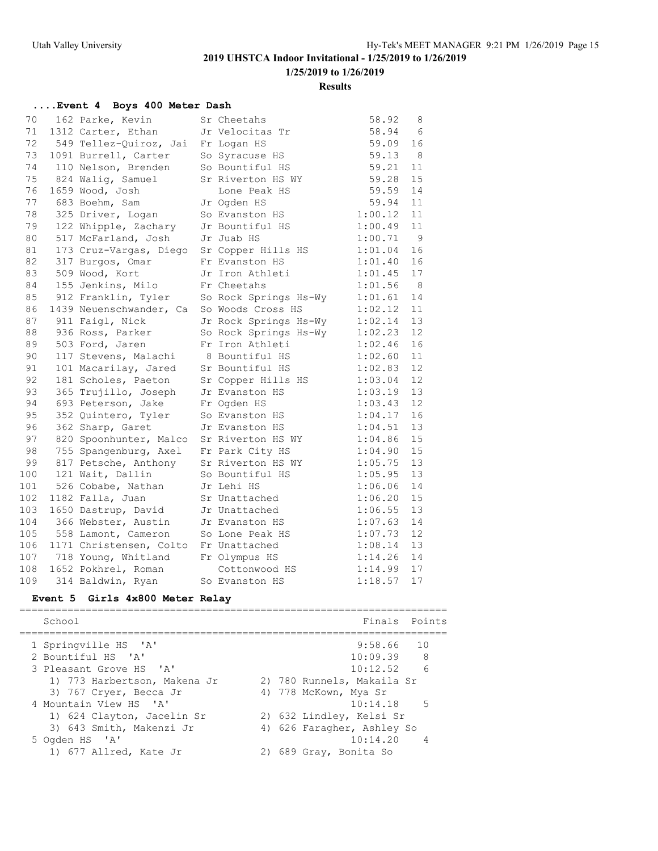### **Results**

### **....Event 4 Boys 400 Meter Dash**

| 70  | 162 Parke, Kevin                       | Sr Cheetahs           | 58.92   | 8  |
|-----|----------------------------------------|-----------------------|---------|----|
| 71  | 1312 Carter, Ethan                     | Jr Velocitas Tr       | 58.94   | 6  |
| 72  | 549 Tellez-Quiroz, Jai                 | Fr Logan HS           | 59.09   | 16 |
| 73  | 1091 Burrell, Carter                   | So Syracuse HS        | 59.13   | 8  |
| 74  | 110 Nelson, Brenden                    | So Bountiful HS       | 59.21   | 11 |
| 75  | 824 Walig, Samuel                      | Sr Riverton HS WY     | 59.28   | 15 |
| 76  | 1659 Wood, Josh                        | Lone Peak HS          | 59.59   | 14 |
| 77  | 683 Boehm, Sam                         | Jr Ogden HS           | 59.94   | 11 |
| 78  | 325 Driver, Logan                      | So Evanston HS        | 1:00.12 | 11 |
| 79  | 122 Whipple, Zachary                   | Jr Bountiful HS       | 1:00.49 | 11 |
| 80  | 517 McFarland, Josh                    | Jr Juab HS            | 1:00.71 | 9  |
| 81  | 173 Cruz-Vargas, Diego                 | Sr Copper Hills HS    | 1:01.04 | 16 |
| 82  | 317 Burgos, Omar                       | Fr Evanston HS        | 1:01.40 | 16 |
| 83  | 509 Wood, Kort                         | Jr Iron Athleti       | 1:01.45 | 17 |
| 84  | 155 Jenkins, Milo                      | Fr Cheetahs           | 1:01.56 | 8  |
| 85  | 912 Franklin, Tyler                    | So Rock Springs Hs-Wy | 1:01.61 | 14 |
| 86  | 1439 Neuenschwander, Ca                | So Woods Cross HS     | 1:02.12 | 11 |
| 87  | 911 Faigl, Nick                        | Jr Rock Springs Hs-Wy | 1:02.14 | 13 |
| 88  | 936 Ross, Parker                       | So Rock Springs Hs-Wy | 1:02.23 | 12 |
| 89  | 503 Ford, Jaren                        | Fr Iron Athleti       | 1:02.46 | 16 |
| 90  | 117 Stevens, Malachi                   | 8 Bountiful HS        | 1:02.60 | 11 |
| 91  | 101 Macarilay, Jared                   | Sr Bountiful HS       | 1:02.83 | 12 |
| 92  | 181 Scholes, Paeton                    | Sr Copper Hills HS    | 1:03.04 | 12 |
| 93  | 365 Trujillo, Joseph                   | Jr Evanston HS        | 1:03.19 | 13 |
| 94  | 693 Peterson, Jake                     | Fr Ogden HS           | 1:03.43 | 12 |
| 95  | 352 Quintero, Tyler                    | So Evanston HS        | 1:04.17 | 16 |
| 96  | 362 Sharp, Garet                       | Jr Evanston HS        | 1:04.51 | 13 |
| 97  | 820 Spoonhunter, Malco                 | Sr Riverton HS WY     | 1:04.86 | 15 |
| 98  | 755 Spangenburg, Axel Fr Park City HS  |                       | 1:04.90 | 15 |
| 99  | 817 Petsche, Anthony Sr Riverton HS WY |                       | 1:05.75 | 13 |
| 100 | 121 Wait, Dallin                       | So Bountiful HS       | 1:05.95 | 13 |
| 101 | 526 Cobabe, Nathan                     | Jr Lehi HS            | 1:06.06 | 14 |
| 102 | 1182 Falla, Juan                       | Sr Unattached         | 1:06.20 | 15 |
| 103 | 1650 Dastrup, David                    | Jr Unattached         | 1:06.55 | 13 |
| 104 | 366 Webster, Austin Jr Evanston HS     |                       | 1:07.63 | 14 |
| 105 | 558 Lamont, Cameron                    | So Lone Peak HS       | 1:07.73 | 12 |
| 106 | 1171 Christensen, Colto                | Fr Unattached         | 1:08.14 | 13 |
| 107 | 718 Young, Whitland                    | Fr Olympus HS         | 1:14.26 | 14 |
| 108 | 1652 Pokhrel, Roman                    | Cottonwood HS         | 1:14.99 | 17 |
| 109 | 314 Baldwin, Ryan                      | So Evanston HS        | 1:18.57 | 17 |

### **Event 5 Girls 4x800 Meter Relay**

|  | School                       |  | Finals Points              |
|--|------------------------------|--|----------------------------|
|  | 1 Springville HS 'A'         |  | $9:58.66$ 10               |
|  | 2 Bountiful HS 'A'           |  | 10:09.39 8                 |
|  | 3 Pleasant Grove HS 'A'      |  | $10:12.52$ 6               |
|  | 1) 773 Harbertson, Makena Jr |  | 2) 780 Runnels, Makaila Sr |
|  | 3) 767 Cryer, Becca Jr       |  | 4) 778 McKown, Mya Sr      |
|  | 4 Mountain View HS 'A'       |  | $10:14.18$ 5               |
|  | 1) 624 Clayton, Jacelin Sr   |  | 2) 632 Lindley, Kelsi Sr   |
|  | 3) 643 Smith, Makenzi Jr     |  | 4) 626 Faragher, Ashley So |
|  | 5 Ogden HS 'A'               |  | 10:14.20                   |
|  | 1) 677 Allred, Kate Jr       |  | 2) 689 Gray, Bonita So     |
|  |                              |  |                            |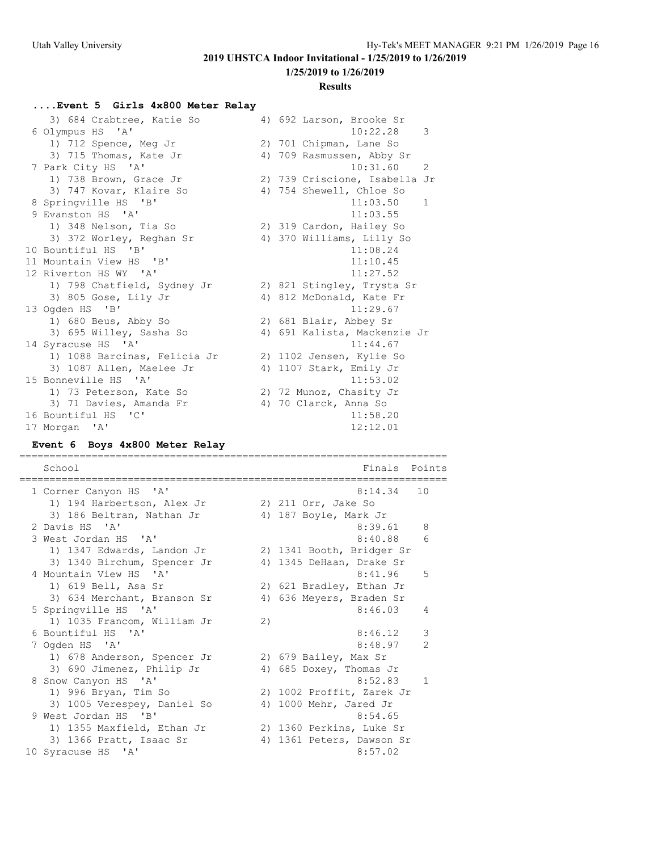**1/25/2019 to 1/26/2019**

#### **Results**

#### **....Event 5 Girls 4x800 Meter Relay**

| 3) 684 Crabtree, Katie So    | 4) 692 Larson, Brooke Sr      |
|------------------------------|-------------------------------|
| 6 Olympus HS 'A'             | 10:22.28<br>$\mathcal{S}$     |
| 1) 712 Spence, Meg Jr        | 2) 701 Chipman, Lane So       |
| 3) 715 Thomas, Kate Jr       | 4) 709 Rasmussen, Abby Sr     |
| 7 Park City HS 'A'           | 10:31.60 2                    |
| 1) 738 Brown, Grace Jr       | 2) 739 Criscione, Isabella Jr |
| 3) 747 Kovar, Klaire So      | 4) 754 Shewell, Chloe So      |
| 8 Springville HS 'B'         | 11:03.50<br>1                 |
| 9 Evanston HS 'A'            | 11:03.55                      |
| 1) 348 Nelson, Tia So        | 2) 319 Cardon, Hailey So      |
| 3) 372 Worley, Reghan Sr     | 4) 370 Williams, Lilly So     |
| 10 Bountiful HS 'B'          | 11:08.24                      |
| 11 Mountain View HS 'B'      | 11:10.45                      |
| 12 Riverton HS WY 'A'        | 11:27.52                      |
| 1) 798 Chatfield, Sydney Jr  | 2) 821 Stingley, Trysta Sr    |
| 3) 805 Gose, Lily Jr         | 4) 812 McDonald, Kate Fr      |
| 13 Ogden HS 'B'              | 11:29.67                      |
| 1) 680 Beus, Abby So         | 2) 681 Blair, Abbey Sr        |
| 3) 695 Willey, Sasha So      | 4) 691 Kalista, Mackenzie Jr  |
| 14 Syracuse HS 'A'           | 11:44.67                      |
| 1) 1088 Barcinas, Felicia Jr | 2) 1102 Jensen, Kylie So      |
| 3) 1087 Allen, Maelee Jr     | 4) 1107 Stark, Emily Jr       |
| 15 Bonneville HS 'A'         | 11:53.02                      |
| 1) 73 Peterson, Kate So      | 2) 72 Munoz, Chasity Jr       |
| 3) 71 Davies, Amanda Fr      | 4) 70 Clarck, Anna So         |
| 16 Bountiful HS 'C'          | 11:58.20                      |
| 17 Morgan 'A'                | 12:12.01                      |

#### **Event 6 Boys 4x800 Meter Relay**

======================================================================= School **Finals** Points

======================================================================= 1 Corner Canyon HS 'A' 1) 194 Harbertson, Alex Jr 2) 211 Orr, Jake So 3) 186 Beltran, Nathan Jr 4) 187 Boyle, Mark Jr 2 Davis HS 'A' 8:39.61 8 3 West Jordan HS 'A' 8:40.88 6 1) 1347 Edwards, Landon Jr 2) 1341 Booth, Bridger Sr 3) 1340 Birchum, Spencer Jr 4) 1345 DeHaan, Drake Sr 4 Mountain View HS 'A' 8:41.96 5 1) 619 Bell, Asa Sr 2) 621 Bradley, Ethan Jr 3) 634 Merchant, Branson Sr 4) 636 Meyers, Braden Sr 5 Springville HS 'A' 8:46.03 4 1) 1035 Francom, William Jr 2) 6 Bountiful HS 'A' 8:46.12 3 7 Ogden HS 'A' 8:48.97 2 1) 678 Anderson, Spencer Jr 2) 679 Bailey, Max Sr 3) 690 Jimenez, Philip Jr 4) 685 Doxey, Thomas Jr 8 Snow Canyon HS 'A' 3:52.83 1 1) 996 Bryan, Tim So 2) 1002 Proffit, Zarek Jr 3) 1005 Verespey, Daniel So 4) 1000 Mehr, Jared Jr 9 West Jordan HS 'B' 8:54.65 1) 1355 Maxfield, Ethan Jr 2) 1360 Perkins, Luke Sr 3) 1366 Pratt, Isaac Sr 4) 1361 Peters, Dawson Sr 10 Syracuse HS 'A' 8:57.02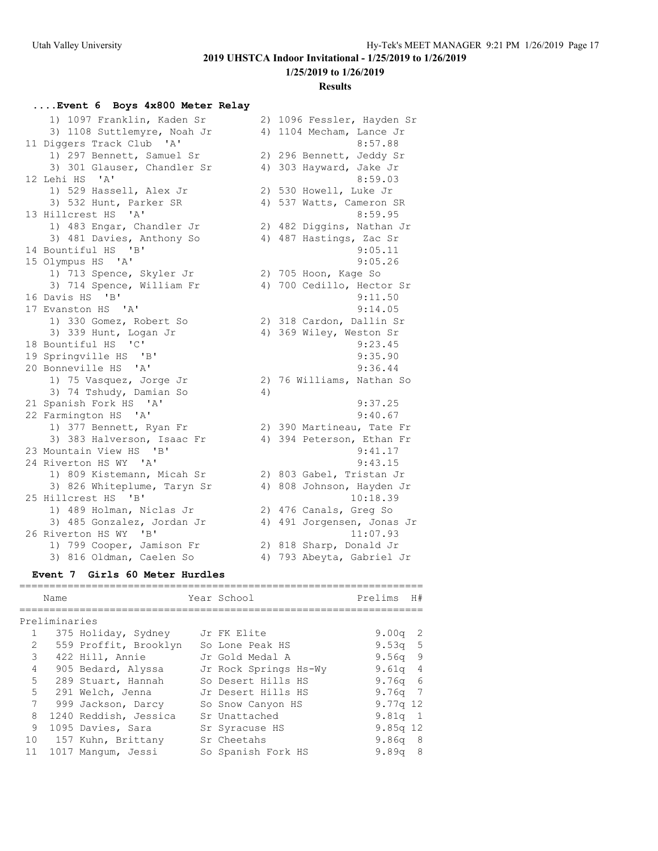**1/25/2019 to 1/26/2019**

#### **Results**

### **....Event 6 Boys 4x800 Meter Relay**

| 1) 1097 Franklin, Kaden Sr  | 2) 1096 Fessler, Hayden Sr   |
|-----------------------------|------------------------------|
| 3) 1108 Suttlemyre, Noah Jr | 4) 1104 Mecham, Lance Jr     |
| 11 Diggers Track Club 'A'   | 8:57.88                      |
| 1) 297 Bennett, Samuel Sr   | 2) 296 Bennett, Jeddy Sr     |
| 3) 301 Glauser, Chandler Sr | 4) 303 Hayward, Jake Jr      |
| 12 Lehi HS 'A'              | 8:59.03                      |
| 1) 529 Hassell, Alex Jr     | 2) 530 Howell, Luke Jr       |
| 3) 532 Hunt, Parker SR      | 4) 537 Watts, Cameron SR     |
| 13 Hillcrest HS 'A'         | 8:59.95                      |
| 1) 483 Engar, Chandler Jr   | 2) 482 Diggins, Nathan Jr    |
| 3) 481 Davies, Anthony So   | 4) 487 Hastings, Zac Sr      |
| 14 Bountiful HS 'B'         | 9:05.11                      |
| 15 Olympus HS 'A'           | 9:05.26                      |
| 1) 713 Spence, Skyler Jr    | 2) 705 Hoon, Kage So         |
| 3) 714 Spence, William Fr   | 4) 700 Cedillo, Hector Sr    |
| 16 Davis HS 'B'             | 9:11.50                      |
| 17 Evanston HS 'A'          | 9:14.05                      |
| 1) 330 Gomez, Robert So     | 2) 318 Cardon, Dallin Sr     |
| 3) 339 Hunt, Logan Jr       | 4) 369 Wiley, Weston Sr      |
| 18 Bountiful HS 'C'         | 9:23.45                      |
| 19 Springville HS 'B'       | 9:35.90                      |
| 20 Bonneville HS 'A'        | 9:36.44                      |
| 1) 75 Vasquez, Jorge Jr     | 2) 76 Williams, Nathan So    |
| 3) 74 Tshudy, Damian So     | 4)                           |
| 21 Spanish Fork HS 'A'      | 9:37.25                      |
| 22 Farmington HS 'A'        | 9:40.67                      |
| 1) 377 Bennett, Ryan Fr     | 2) 390 Martineau, Tate Fr    |
| 3) 383 Halverson, Isaac Fr  | 4) 394 Peterson, Ethan Fr    |
| 23 Mountain View HS 'B'     | 9:41.17                      |
| 24 Riverton HS WY 'A'       | 9:43.15                      |
| 1) 809 Kistemann, Micah Sr  | 2) 803 Gabel, Tristan Jr     |
| 3) 826 Whiteplume, Taryn Sr | 4) 808 Johnson, Hayden Jr    |
| 25 Hillcrest HS 'B'         | 10:18.39                     |
| 1) 489 Holman, Niclas Jr    | 2) 476 Canals, Greg So       |
| 3) 485 Gonzalez, Jordan Jr  | 4) 491 Jorgensen, Jonas Jr   |
| 26 Riverton HS WY 'B'       | 11:07.93                     |
| 1) 799 Cooper, Jamison Fr   | 2) 818 Sharp, Donald Jr      |
| 3) 816 Oldman, Caelen So    | 793 Abeyta, Gabriel Jr<br>4) |

### **Event 7 Girls 60 Meter Hurdles**

|                | Name          |                       | Year School           | Prelims    | H#  |
|----------------|---------------|-----------------------|-----------------------|------------|-----|
|                |               |                       |                       |            |     |
|                | Preliminaries |                       |                       |            |     |
|                |               | 375 Holiday, Sydney   | Jr FK Elite           | 9.00q      | - 2 |
| $\mathfrak{D}$ |               | 559 Proffit, Brooklyn | So Lone Peak HS       | 9.53q 5    |     |
| 3              |               | 422 Hill, Annie       | Jr Gold Medal A       | $9.56q$ 9  |     |
| 4              |               | 905 Bedard, Alyssa    | Jr Rock Springs Hs-Wy | 9.61q 4    |     |
| 5              |               | 289 Stuart, Hannah    | So Desert Hills HS    | 9.76q 6    |     |
| 5              |               | 291 Welch, Jenna      | Jr Desert Hills HS    | $9.76q$ 7  |     |
| 7              |               | 999 Jackson, Darcy    | So Snow Canyon HS     | $9.77q$ 12 |     |
| 8              |               | 1240 Reddish, Jessica | Sr Unattached         | $9.81q$ 1  |     |
| 9              |               | 1095 Davies, Sara     | Sr Syracuse HS        | $9.85q$ 12 |     |
| 10             |               | 157 Kuhn, Brittany    | Sr Cheetahs           | 9.86q 8    |     |
| 11             |               | 1017 Mangum, Jessi    | So Spanish Fork HS    | 9.89q      | -8  |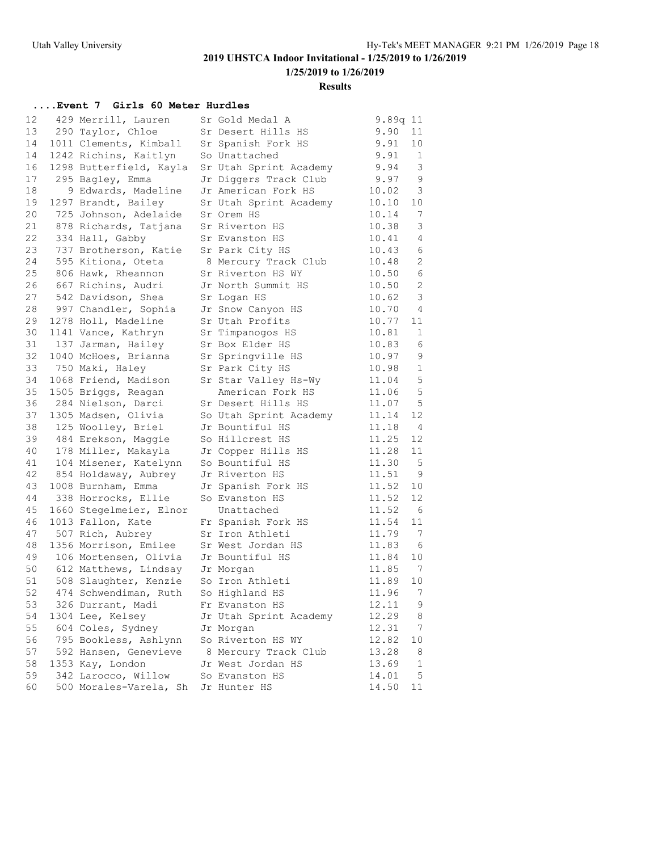**1/25/2019 to 1/26/2019**

#### **Results**

### **....Event 7 Girls 60 Meter Hurdles**

| 12 | 429 Merrill, Lauren     | Sr Gold Medal A        | 9.89q 11 |                 |
|----|-------------------------|------------------------|----------|-----------------|
| 13 | 290 Taylor, Chloe       | Sr Desert Hills HS     | 9.90     | 11              |
| 14 | 1011 Clements, Kimball  | Sr Spanish Fork HS     | 9.91     | 10 <sub>o</sub> |
| 14 | 1242 Richins, Kaitlyn   | So Unattached          | 9.91     | $\mathbf{1}$    |
| 16 | 1298 Butterfield, Kayla | Sr Utah Sprint Academy | 9.94     | 3               |
| 17 | 295 Bagley, Emma        | Jr Diggers Track Club  | 9.97     | $\mathsf 9$     |
| 18 | 9 Edwards, Madeline     | Jr American Fork HS    | 10.02    | $\mathcal{E}$   |
| 19 | 1297 Brandt, Bailey     | Sr Utah Sprint Academy | 10.10    | 10              |
| 20 | 725 Johnson, Adelaide   | Sr Orem HS             | 10.14    | $7\phantom{.0}$ |
| 21 | 878 Richards, Tatjana   | Sr Riverton HS         | 10.38    | 3               |
| 22 | 334 Hall, Gabby         | Sr Evanston HS         | 10.41    | 4               |
| 23 | 737 Brotherson, Katie   | Sr Park City HS        | 10.43    | 6               |
| 24 | 595 Kitiona, Oteta      | 8 Mercury Track Club   | 10.48    | 2               |
| 25 | 806 Hawk, Rheannon      | Sr Riverton HS WY      | 10.50    | 6               |
| 26 | 667 Richins, Audri      | Jr North Summit HS     | 10.50    | $\sqrt{2}$      |
| 27 | 542 Davidson, Shea      | Sr Logan HS            | 10.62    | $\mathcal{E}$   |
| 28 | 997 Chandler, Sophia    | Jr Snow Canyon HS      | 10.70    | 4               |
| 29 | 1278 Holl, Madeline     | Sr Utah Profits        | 10.77    | 11              |
| 30 | 1141 Vance, Kathryn     | Sr Timpanogos HS       | 10.81    | 1               |
| 31 | 137 Jarman, Hailey      | Sr Box Elder HS        | 10.83    | 6               |
| 32 | 1040 McHoes, Brianna    | Sr Springville HS      | 10.97    | $\mathsf 9$     |
| 33 | 750 Maki, Haley         | Sr Park City HS        | 10.98    | $\mathbf{1}$    |
| 34 | 1068 Friend, Madison    | Sr Star Valley Hs-Wy   | 11.04    | $\mathsf S$     |
| 35 | 1505 Briggs, Reagan     | American Fork HS       | 11.06    | $\mathbf 5$     |
| 36 | 284 Nielson, Darci      | Sr Desert Hills HS     | 11.07    | $\overline{5}$  |
| 37 | 1305 Madsen, Olivia     | So Utah Sprint Academy | 11.14    | 12              |
| 38 | 125 Woolley, Briel      | Jr Bountiful HS        | 11.18    | $\overline{4}$  |
| 39 | 484 Erekson, Maggie     | So Hillcrest HS        | 11.25    | 12              |
| 40 | 178 Miller, Makayla     | Jr Copper Hills HS     | 11.28    | 11              |
| 41 | 104 Misener, Katelynn   | So Bountiful HS        | 11.30    | 5               |
| 42 | 854 Holdaway, Aubrey    | Jr Riverton HS         | 11.51    | 9               |
| 43 | 1008 Burnham, Emma      | Jr Spanish Fork HS     | 11.52    | 10              |
| 44 | 338 Horrocks, Ellie     | So Evanston HS         | 11.52    | 12              |
| 45 | 1660 Stegelmeier, Elnor | Unattached             | 11.52    | $6\overline{6}$ |
| 46 | 1013 Fallon, Kate       | Fr Spanish Fork HS     | 11.54    | 11              |
| 47 | 507 Rich, Aubrey        | Sr Iron Athleti        | 11.79    | 7               |
| 48 | 1356 Morrison, Emilee   | Sr West Jordan HS      | 11.83    | 6               |
| 49 | 106 Mortensen, Olivia   | Jr Bountiful HS        | 11.84    | 10              |
| 50 | 612 Matthews, Lindsay   | Jr Morgan              | 11.85    | 7               |
| 51 | 508 Slaughter, Kenzie   | So Iron Athleti        | 11.89    | 10              |
| 52 | 474 Schwendiman, Ruth   | So Highland HS         | 11.96 7  |                 |
| 53 | 326 Durrant, Madi       | Fr Evanston HS         | 12.11    | 9               |
| 54 | 1304 Lee, Kelsey        | Jr Utah Sprint Academy | 12.29    | 8               |
| 55 | 604 Coles, Sydney       | Jr Morgan              | 12.31    | 7               |
| 56 | 795 Bookless, Ashlynn   | So Riverton HS WY      | 12.82    | 10              |
| 57 | 592 Hansen, Genevieve   | 8 Mercury Track Club   | 13.28    | 8               |
| 58 | 1353 Kay, London        | Jr West Jordan HS      | 13.69    | 1               |
| 59 | 342 Larocco, Willow     | So Evanston HS         | 14.01    | 5               |
| 60 | 500 Morales-Varela, Sh  | Jr Hunter HS           | 14.50    | 11              |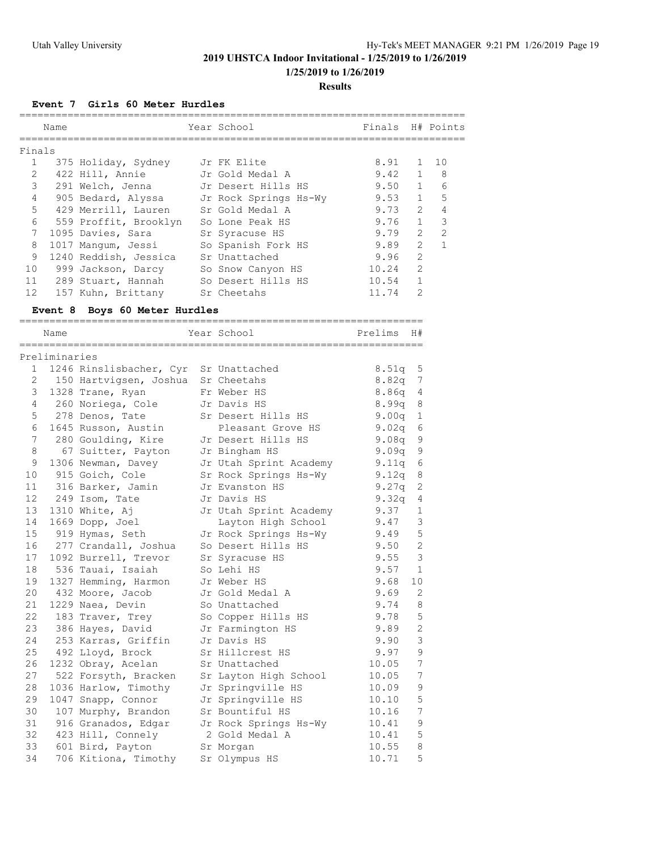**1/25/2019 to 1/26/2019**

#### **Results**

**Event 7 Girls 60 Meter Hurdles**

|                       | Name          |                                                               | Year School                              | Finals H# Points |                          |                     |
|-----------------------|---------------|---------------------------------------------------------------|------------------------------------------|------------------|--------------------------|---------------------|
|                       |               |                                                               |                                          |                  |                          |                     |
| Finals                |               |                                                               |                                          |                  |                          |                     |
| 1                     |               | 375 Holiday, Sydney                                           | Jr FK Elite                              | 8.91             | 1                        | 10                  |
| $\mathbf{2}^{\prime}$ |               | 422 Hill, Annie                                               | Jr Gold Medal A<br>Jr Desert Hills HS    | 9.42             | $\mathbf{1}$             | 8                   |
| 3                     |               | 291 Welch, Jenna                                              |                                          | 9.50             | $\mathbf{1}$             | 6                   |
| $4\degree$            |               | 905 Bedard, Alyssa                                            | Jr Rock Springs Hs-Wy                    | 9.53             | 1                        | 5                   |
| 5                     |               | 429 Merrill, Lauren Sr Gold Medal A                           |                                          | 9.73             |                          | $2 \quad$<br>4      |
| 6                     |               | 559 Proffit, Brooklyn So Lone Peak HS                         |                                          | 9.76<br>9.79     | $\mathbf{1}$             | 3<br>$\overline{2}$ |
| 7                     |               | 1095 Davies, Sara                                             | Sr Syracuse HS                           |                  | 2<br>2                   | $\mathbf{1}$        |
| 8<br>9                |               | 1017 Mangum, Jessi                                            | So Spanish Fork HS<br>Sr Unattached      | 9.89             | 2                        |                     |
| 10                    |               | 1240 Reddish, Jessica<br>999 Jackson, Darcy So Snow Canyon HS |                                          | 9.96<br>10.24    | 2                        |                     |
|                       |               |                                                               | 11 289 Stuart, Hannah So Desert Hills HS | 10.54            | $\mathbf{1}$             |                     |
| 12                    |               | 157 Kuhn, Brittany Sr Cheetahs                                |                                          | 11.74            | 2                        |                     |
|                       |               |                                                               |                                          |                  |                          |                     |
|                       |               | Event 8 Boys 60 Meter Hurdles                                 |                                          |                  |                          |                     |
|                       | Name          |                                                               | Year School                              | Prelims          | H#                       |                     |
|                       | Preliminaries |                                                               |                                          |                  |                          |                     |
|                       |               | 1 1246 Rinslisbacher, Cyr Sr Unattached                       |                                          | $8.51q$ 5        |                          |                     |
|                       |               | 2 150 Hartvigsen, Joshua Sr Cheetahs                          |                                          | 8.82q            | 7                        |                     |
| 3                     |               | 1328 Trane, Ryan Fr Weber HS                                  |                                          | 8.86q            | 4                        |                     |
|                       |               | 4 260 Noriega, Cole Jr Davis HS                               |                                          | 8.99q            | 8                        |                     |
| 5                     |               | 278 Denos, Tate                                               | Sr Desert Hills HS                       | $9.00q$ 1        |                          |                     |
| 6                     |               | 1645 Russon, Austin                                           | Pleasant Grove HS                        | 9.02q            | 6                        |                     |
| 7                     |               | 280 Goulding, Kire Jr Desert Hills HS                         |                                          | 9.08q            | 9                        |                     |
| 8                     |               | 67 Suitter, Payton                                            | Jr Bingham HS                            | 9.09q            | $\mathsf 9$              |                     |
| 9                     |               | 1306 Newman, Davey                                            | Jr Utah Sprint Academy                   | 9.11q            | 6                        |                     |
| 10                    |               | 915 Goich, Cole                                               | Sr Rock Springs Hs-Wy                    | 9.12q            | 8                        |                     |
| 11                    |               | 316 Barker, Jamin                                             | Jr Evanston HS                           | 9.27q            | $\sqrt{2}$               |                     |
| 12                    |               | 249 Isom, Tate                                                | Jr Davis HS                              | 9.32q            | 4                        |                     |
| 13                    |               | 1310 White, Aj                                                | Jr Utah Sprint Academy                   | 9.37             | $\mathbf{1}$             |                     |
| 14                    |               | 1669 Dopp, Joel<br>919 Hymas, Seth                            | Layton High School                       | 9.47             | 3                        |                     |
| 15 <sub>1</sub>       |               |                                                               | Jr Rock Springs Hs-Wy                    | 9.49             | 5                        |                     |
| 16                    |               | 277 Crandall, Joshua                                          | So Desert Hills HS                       | 9.50 2           |                          |                     |
| 17                    |               | 1092 Burrell, Trevor                                          | Sr Syracuse HS                           | $9.55 - 3$       |                          |                     |
| 18                    |               | 536 Tauai, Isaiah                                             | So Lehi HS                               | 9.57             | $\overline{\phantom{0}}$ |                     |
| 19                    |               | 1327 Hemming, Harmon                                          | Jr Weber HS                              | 9.68             | 10                       |                     |
|                       |               | 20 432 Moore, Jacob                                           | Jr Gold Medal A                          | $9.69$ 2         |                          |                     |
| 21                    |               | 1229 Naea, Devin                                              | So Unattached                            | 9.74             | 8                        |                     |
| 22                    |               | 183 Traver, Trey                                              | So Copper Hills HS                       | 9.78             | 5                        |                     |
| 23                    |               | 386 Hayes, David                                              | Jr Farmington HS                         | 9.89             | $\sqrt{2}$               |                     |
| 24                    |               | 253 Karras, Griffin                                           | Jr Davis HS                              | 9.90             | 3                        |                     |
| 25                    |               | 492 Lloyd, Brock                                              | Sr Hillcrest HS                          | 9.97             | 9                        |                     |
| 26                    |               | 1232 Obray, Acelan                                            | Sr Unattached                            | 10.05            | 7<br>7                   |                     |
| 27<br>28              |               | 522 Forsyth, Bracken<br>1036 Harlow, Timothy                  | Sr Layton High School                    | 10.05            | 9                        |                     |
| 29                    |               | 1047 Snapp, Connor                                            | Jr Springville HS<br>Jr Springville HS   | 10.09<br>10.10   | 5                        |                     |
| 30                    |               | 107 Murphy, Brandon                                           | Sr Bountiful HS                          | 10.16            | 7                        |                     |
| 31                    |               | 916 Granados, Edgar                                           | Jr Rock Springs Hs-Wy                    | 10.41            | 9                        |                     |
| 32                    |               | 423 Hill, Connely                                             | 2 Gold Medal A                           | 10.41            | 5                        |                     |
| 33                    |               | 601 Bird, Payton                                              | Sr Morgan                                | 10.55            | 8                        |                     |
| 34                    |               | 706 Kitiona, Timothy                                          | Sr Olympus HS                            | 10.71            | 5                        |                     |
|                       |               |                                                               |                                          |                  |                          |                     |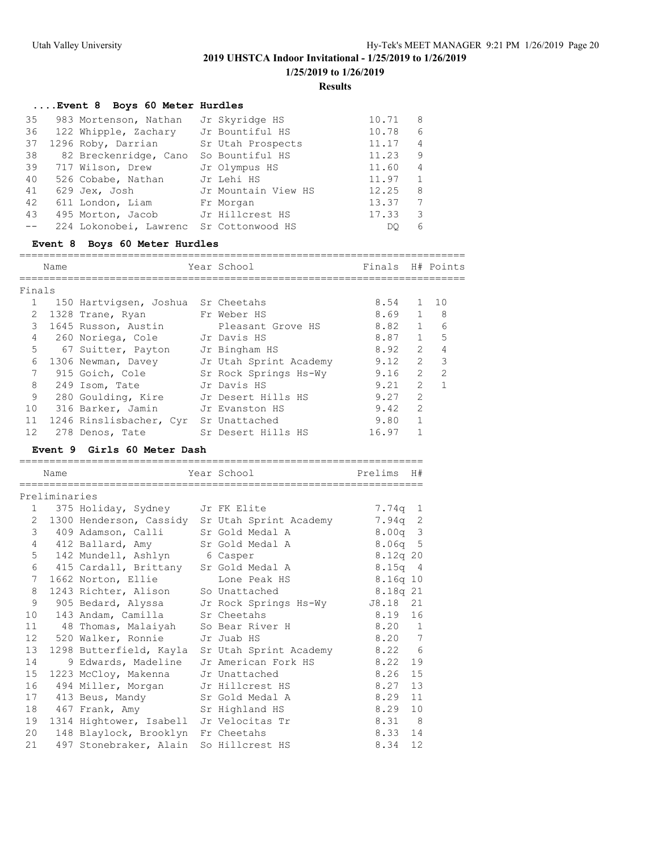#### **Results**

### **....Event 8 Boys 60 Meter Hurdles**

| 35 | 983 Mortenson, Nathan                   | Jr Skyridge HS      | 10.71<br>8              |
|----|-----------------------------------------|---------------------|-------------------------|
| 36 | 122 Whipple, Zachary                    | Jr Bountiful HS     | 6<br>10.78              |
| 37 | 1296 Roby, Darrian                      | Sr Utah Prospects   | 11.17<br>4              |
| 38 | 82 Breckenridge, Cano                   | So Bountiful HS     | 11.23<br>9              |
| 39 | 717 Wilson, Drew                        | Jr Olympus HS       | 11.60<br>$\overline{4}$ |
| 40 | 526 Cobabe, Nathan                      | Jr Lehi HS          | 11.97<br>$\mathbf{1}$   |
| 41 | 629 Jex, Josh                           | Jr Mountain View HS | 12.25<br>8              |
| 42 | 611 London, Liam                        | Fr Morgan           | 13.37<br>7              |
| 43 | 495 Morton, Jacob Jr Hillcrest HS       |                     | 17.33<br>3              |
|    | 224 Lokonobei, Lawrenc Sr Cottonwood HS |                     | 6<br>DO                 |

#### **Event 8 Boys 60 Meter Hurdles**

|                   | Name |                         | Year School            | Finals |                | H# Points               |
|-------------------|------|-------------------------|------------------------|--------|----------------|-------------------------|
|                   |      |                         |                        |        |                |                         |
| Finals            |      |                         |                        |        |                |                         |
|                   |      | 150 Hartvigsen, Joshua  | Sr Cheetahs            | 8.54   | $\overline{1}$ | 1 O                     |
| 2                 |      | 1328 Trane, Ryan        | Fr Weber HS            | 8.69   | $\mathbf{1}$   | 8                       |
| 3                 |      | 1645 Russon, Austin     | Pleasant Grove HS      | 8.82   | $\mathbf{1}$   | 6                       |
| 4                 |      | 260 Noriega, Cole       | Jr Davis HS            | 8.87   | $\mathbf{1}$   | 5                       |
| 5                 |      | 67 Suitter, Payton      | Jr Bingham HS          | 8.92   | $\mathcal{L}$  | 4                       |
| 6                 |      | 1306 Newman, Davey      | Jr Utah Sprint Academy | 9.12   | $\mathcal{L}$  | $\overline{\mathbf{3}}$ |
| 7                 |      | 915 Goich, Cole         | Sr Rock Springs Hs-Wy  | 9.16   | $\mathcal{L}$  | $\mathcal{L}$           |
| 8                 |      | 249 Isom, Tate          | Jr Davis HS            | 9.21   | $\mathcal{L}$  |                         |
| 9                 |      | 280 Goulding, Kire      | Jr Desert Hills HS     | 9.27   | $\mathcal{L}$  |                         |
| 10                |      | 316 Barker, Jamin       | Jr Evanston HS         | 9.42   | $\mathcal{L}$  |                         |
| 11                |      | 1246 Rinslisbacher, Cyr | Sr Unattached          | 9.80   |                |                         |
| $12 \overline{ }$ |      | 278 Denos, Tate         | Sr Desert Hills HS     | 16.97  |                |                         |

#### **Event 9 Girls 60 Meter Dash**

|                 | Name          |                                         |  | Year School                                           | Prelims    | H# |  |  |
|-----------------|---------------|-----------------------------------------|--|-------------------------------------------------------|------------|----|--|--|
|                 | Preliminaries |                                         |  |                                                       |            |    |  |  |
|                 |               | 1 375 Holiday, Sydney Jr FK Elite       |  |                                                       | 7.74q 1    |    |  |  |
| $\overline{2}$  |               |                                         |  | 1300 Henderson, Cassidy Sr Utah Sprint Academy        | $7.94q$ 2  |    |  |  |
| 3               |               | 409 Adamson, Calli Sr Gold Medal A      |  |                                                       | $8.00q$ 3  |    |  |  |
| $4\overline{ }$ |               | 412 Ballard, Amy Sr Gold Medal A        |  |                                                       | $8.06q$ 5  |    |  |  |
| 5               |               | 142 Mundell, Ashlyn 6 Casper            |  |                                                       | 8.12q20    |    |  |  |
| 6               |               | 415 Cardall, Brittany Sr Gold Medal A   |  |                                                       | $8.15q$ 4  |    |  |  |
| $7^{\circ}$     |               | 1662 Norton, Ellie                      |  | Lone Peak HS                                          | $8.16q$ 10 |    |  |  |
| 8               |               | 1243 Richter, Alison So Unattached      |  |                                                       | 8.18q 21   |    |  |  |
| 9               |               |                                         |  | 905 Bedard, Alyssa     Jr Rock Springs Hs-Wy          | J8.18 21   |    |  |  |
| 10              |               | 143 Andam, Camilla Sr Cheetahs          |  |                                                       | 8.19 16    |    |  |  |
|                 |               | 11 48 Thomas, Malaiyah So Bear River H  |  |                                                       | 8.20 1     |    |  |  |
|                 |               | 12 520 Walker, Ronnie Jr Juab HS        |  |                                                       | 8.20 7     |    |  |  |
| 13              |               |                                         |  | 1298 Butterfield, Kayla Sr Utah Sprint Academy 8.22 6 |            |    |  |  |
| 14              |               | 9 Edwards, Madeline Jr American Fork HS |  |                                                       | 8.22       | 19 |  |  |
| 15              |               | 1223 McCloy, Makenna Jr Unattached      |  |                                                       | 8.26       | 15 |  |  |
| 16              |               | 494 Miller, Morgan Jr Hillcrest HS      |  |                                                       | 8.27       | 13 |  |  |
|                 |               | 17 413 Beus, Mandy                      |  | Sr Gold Medal A                                       | 8.29       | 11 |  |  |
| 18              |               | 467 Frank, Amy Sr Highland HS           |  |                                                       | 8.29       | 10 |  |  |
| 19              |               | 1314 Hightower, Isabell Jr Velocitas Tr |  |                                                       | 8.31 8     |    |  |  |
| 20              |               | 148 Blaylock, Brooklyn Fr Cheetahs      |  |                                                       | 8.33 14    |    |  |  |
| 21              |               | 497 Stonebraker, Alain So Hillcrest HS  |  |                                                       | 8.34       | 12 |  |  |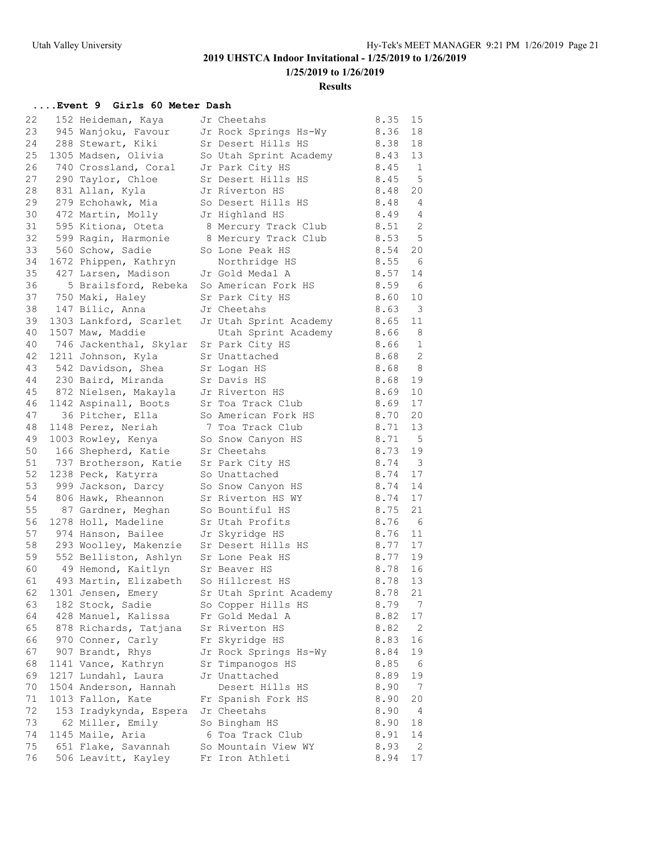### **Results**

## **....Event 9 Girls 60 Meter Dash**

| 22       | 152 Heideman, Kaya                                                                | Jr Cheetahs                            | 8.35 | 15                       |
|----------|-----------------------------------------------------------------------------------|----------------------------------------|------|--------------------------|
| 23       | 945 Wanjoku, Favour                                                               | Jr Rock Springs Hs-Wy                  | 8.36 | 18                       |
| 24       | 288 Stewart, Kiki                                                                 | Sr Desert Hills HS                     | 8.38 | 18                       |
| 25       | 1305 Madsen, Olivia                                                               | So Utah Sprint Academy                 | 8.43 | 13                       |
| 26       | 740 Crossland, Coral                                                              | Jr Park City HS                        | 8.45 | $\overline{1}$           |
| 27       | 290 Taylor, Chloe                                                                 | Sr Desert Hills HS                     | 8.45 | $-5$                     |
| 28       | 831 Allan, Kyla                                                                   | Jr Riverton HS                         | 8.48 | 20                       |
| 29       | 279 Echohawk, Mia                                                                 | So Desert Hills HS                     | 8.48 | $\overline{4}$           |
| 30       | 472 Martin, Molly                                                                 | Jr Highland HS                         | 8.49 | $\overline{4}$           |
| 31       | 595 Kitiona, Oteta                                                                | 8 Mercury Track Club                   | 8.51 | $\mathbf{2}$             |
| 32       | 599 Ragin, Harmonie                                                               | 8 Mercury Track Club                   | 8.53 | $\mathsf S$              |
| 33       | 560 Schow, Sadie                                                                  | So Lone Peak HS                        | 8.54 | 20                       |
| 34       | 1672 Phippen, Kathryn                                                             | Northridge HS                          | 8.55 | 6                        |
| 35       | 427 Larsen, Madison Jr Gold Medal A                                               |                                        | 8.57 | 14                       |
| 36       | 5 Brailsford, Rebeka So American Fork HS                                          |                                        | 8.59 | $6\overline{6}$          |
| 37       | 750 Maki, Haley                                                                   | Sr Park City HS                        | 8.60 | 10                       |
| 38       | 147 Bilic, Anna                                                                   | Jr Cheetahs                            | 8.63 | $\overline{\mathbf{3}}$  |
| 39       | 1303 Lankford, Scarlet                                                            | Jr Utah Sprint Academy                 | 8.65 | 11                       |
| 40       | 1507 Maw, Maddie                                                                  | Utah Sprint Academy                    | 8.66 | 8                        |
| 40       | 746 Jackenthal, Skylar                                                            | Sr Park City HS                        | 8.66 | $\mathbf{1}$             |
| 42       | 1211 Johnson, Kyla                                                                | Sr Unattached                          | 8.68 | $\overline{\phantom{0}}$ |
| 43       | 542 Davidson, Shea                                                                | Sr Logan HS                            | 8.68 | 8 <sup>8</sup>           |
| 44       | 230 Baird, Miranda                                                                | Sr Davis HS                            | 8.68 | 19                       |
| 45       | 872 Nielsen, Makayla                                                              | Jr Riverton HS                         | 8.69 | 10                       |
| 46       | 1142 Aspinall, Boots                                                              | Sr Toa Track Club                      | 8.69 | 17                       |
| 47       | 36 Pitcher, Ella                                                                  | So American Fork HS                    | 8.70 | 20                       |
| 48       | 1148 Perez, Neriah                                                                | 7 Toa Track Club                       | 8.71 | 13                       |
| 49       | 1003 Rowley, Kenya                                                                | So Snow Canyon HS                      | 8.71 | $5^{\circ}$              |
| 50       |                                                                                   | Sr Cheetahs                            | 8.73 | 19                       |
| 51       | 166 Shepherd, Katie<br>737 Brotherson, Katie Sr Park City HS                      |                                        | 8.74 | $\overline{\phantom{a}}$ |
| 52       | 1238 Peck, Katyrra                                                                | So Unattached                          | 8.74 | 17                       |
| 53       | 999 Jackson, Darcy                                                                |                                        | 8.74 | 14                       |
| 54       | 806 Hawk, Rheannon                                                                | So Snow Canyon HS<br>Sr Riverton HS WY | 8.74 | 17                       |
| 55       | 87 Gardner, Meghan                                                                | So Bountiful HS                        | 8.75 | 21                       |
| 56       |                                                                                   |                                        | 8.76 |                          |
| 57       | 1278 Holl, Madeline                                                               | Sr Utah Profits                        | 8.76 | 6                        |
|          | 974 Hanson, Bailee                                                                | Jr Skyridge HS                         |      | 11<br>17                 |
| 58       | 293 Woolley, Makenzie Sr Desert Hills HS<br>552 Belliston, Ashlyn Sr Lone Peak HS |                                        | 8.77 |                          |
| 59       |                                                                                   |                                        | 8.77 | 19<br>16                 |
| 60<br>61 | 49 Hemond, Kaitlyn                                                                | Sr Beaver HS                           | 8.78 | 13                       |
|          | 493 Martin, Elizabeth So Hillcrest HS                                             |                                        | 8.78 |                          |
| 62       | 1301 Jensen, Emery                                                                | Sr Utah Sprint Academy                 | 8.78 | 21                       |
| 63       | 182 Stock, Sadie                                                                  | So Copper Hills HS                     | 8.79 | 7                        |
| 64       | 428 Manuel, Kalissa                                                               | Fr Gold Medal A                        | 8.82 | 17                       |
| 65       | 878 Richards, Tatjana                                                             | Sr Riverton HS                         | 8.82 | 2                        |
| 66       | 970 Conner, Carly                                                                 | Fr Skyridge HS                         | 8.83 | 16                       |
| 67       | 907 Brandt, Rhys                                                                  | Jr Rock Springs Hs-Wy                  | 8.84 | 19                       |
| 68       | 1141 Vance, Kathryn                                                               | Sr Timpanogos HS                       | 8.85 | - 6                      |
| 69       | 1217 Lundahl, Laura                                                               | Jr Unattached                          | 8.89 | 19                       |
| 70       | 1504 Anderson, Hannah                                                             | Desert Hills HS                        | 8.90 | $7\phantom{.0}$          |
| 71       | 1013 Fallon, Kate                                                                 | Fr Spanish Fork HS                     | 8.90 | 20                       |
| 72       | 153 Iradykynda, Espera                                                            | Jr Cheetahs                            | 8.90 | $\overline{4}$           |
| 73       | 62 Miller, Emily                                                                  | So Bingham HS                          | 8.90 | 18                       |
| 74       | 1145 Maile, Aria                                                                  | 6 Toa Track Club                       | 8.91 | 14                       |
| 75       | 651 Flake, Savannah                                                               | So Mountain View WY                    | 8.93 | $\overline{2}$           |
| 76       | 506 Leavitt, Kayley                                                               | Fr Iron Athleti                        | 8.94 | 17                       |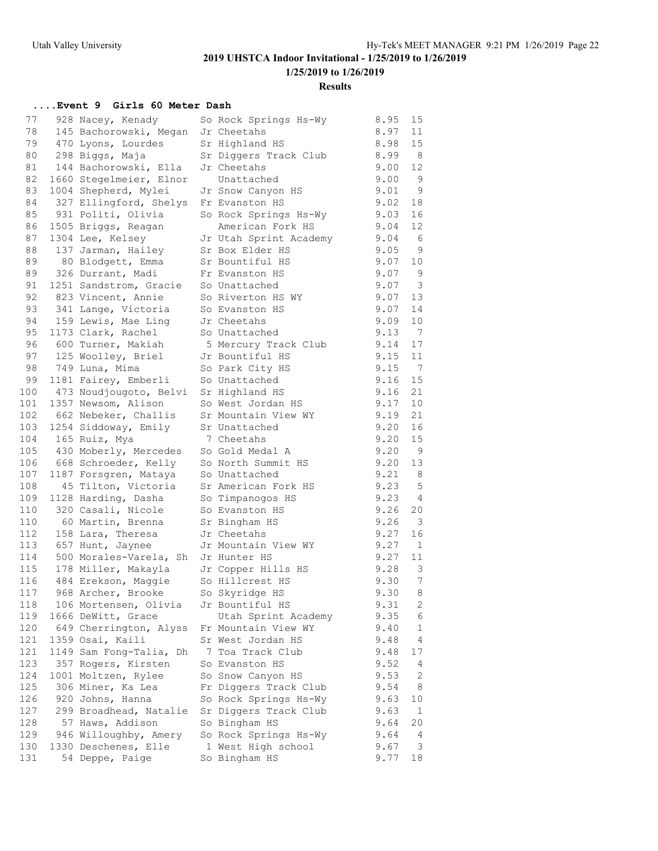**1/25/2019 to 1/26/2019**

### **Results**

## **....Event 9 Girls 60 Meter Dash**

| 77         | 928 Nacey, Kenady                          | So Rock Springs Hs-Wy                 | 8.95         | 15                      |
|------------|--------------------------------------------|---------------------------------------|--------------|-------------------------|
| 78         | 145 Bachorowski, Megan                     | Jr Cheetahs                           | 8.97         | 11                      |
| 79         | 470 Lyons, Lourdes                         | Sr Highland HS                        | 8.98         | 15                      |
| 80         | 298 Biggs, Maja                            | Sr Diggers Track Club                 | 8.99         | - 8                     |
| 81         | 144 Bachorowski, Ella                      | Jr Cheetahs                           | 9.00         | 12                      |
| 82         | 1660 Stegelmeier, Elnor                    | Unattached                            | 9.00         | - 9                     |
| 83         | 1004 Shepherd, Mylei                       | Jr Snow Canyon HS                     | 9.01         | $\overline{9}$          |
| 84         | 327 Ellingford, Shelys                     | Fr Evanston HS                        | 9.02         | 18                      |
| 85         | 931 Politi, Olivia                         | So Rock Springs Hs-Wy                 | 9.03         | 16                      |
| 86         | 1505 Briggs, Reagan                        | American Fork HS                      | 9.04         | 12                      |
| 87         | 1304 Lee, Kelsey                           | Jr Utah Sprint Academy                | 9.04         | - 6                     |
| 88         | 137 Jarman, Hailey                         | Sr Box Elder HS                       | 9.05         | - 9                     |
| 89         | 80 Blodgett, Emma                          | Sr Bountiful HS                       | 9.07         | $10$                    |
| 89         | 326 Durrant, Madi                          | Fr Evanston HS                        | 9.07         | 9                       |
| 91         | 1251 Sandstrom, Gracie                     | So Unattached                         | 9.07         | $\overline{\mathbf{3}}$ |
| 92         | 823 Vincent, Annie                         | So Riverton HS WY                     | 9.07         | 13                      |
| 93         | 341 Lange, Victoria                        | So Evanston HS                        | 9.07         | 14                      |
| 94         | 159 Lewis, Mae Ling                        | Jr Cheetahs                           | 9.09         | 10                      |
| 95         | 1173 Clark, Rachel                         | So Unattached                         | 9.13         | $\overline{7}$          |
| 96         | 600 Turner, Makiah                         | 5 Mercury Track Club                  | 9.14         | 17                      |
| 97         | 125 Woolley, Briel                         | Jr Bountiful HS                       | 9.15         | 11                      |
| 98         | 749 Luna, Mima                             | So Park City HS                       | 9.15         | $\overline{7}$          |
| 99         | 1181 Fairey, Emberli                       | So Unattached                         | 9.16         | 15                      |
| 100        | 473 Noudjougoto, Belvi                     | Sr Highland HS                        | 9.16         | 21                      |
| 101        | 1357 Newsom, Alison                        | So West Jordan HS                     | 9.17         | 10                      |
| 102        | 662 Nebeker, Challis                       | Sr Mountain View WY                   | 9.19         | 21                      |
| 103        | 1254 Siddoway, Emily                       | Sr Unattached                         | 9.20         | 16                      |
| 104        | 165 Ruiz, Mya                              | 7 Cheetahs                            | 9.20         | 15                      |
| 105        | 430 Moberly, Mercedes                      | So Gold Medal A                       | 9.20         | $\overline{9}$          |
| 106        | 668 Schroeder, Kelly                       | So North Summit HS                    | 9.20         | 13                      |
| 107        | 1187 Forsgren, Mataya                      | So Unattached                         | 9.21         | 8                       |
| 108        | 45 Tilton, Victoria                        | Sr American Fork HS                   | 9.23         | 5                       |
| 109        | 1128 Harding, Dasha                        | So Timpanogos HS                      | 9.23         | $\overline{4}$          |
| 110        | 320 Casali, Nicole                         | So Evanston HS                        | 9.26         | 20                      |
| 110        | 60 Martin, Brenna                          | Sr Bingham HS                         | 9.26         | $\overline{\mathbf{3}}$ |
| 112        | 158 Lara, Theresa                          | Jr Cheetahs                           | 9.27         | 16                      |
| 113        | 657 Hunt, Jaynee                           | Jr Mountain View WY                   | 9.27         | $\overline{1}$          |
| 114        | 500 Morales-Varela, Sh Jr Hunter HS        |                                       | 9.27         | 11                      |
| 115        | 178 Miller, Makayla Jr Copper Hills HS     |                                       | 9.28         | $\overline{\mathbf{3}}$ |
| 116        | 484 Erekson, Maggie So Hillcrest HS        |                                       | 9.30         | 7                       |
| 117        | 968 Archer, Brooke So Skyridge HS          |                                       | 9.30         | 8 <sup>8</sup>          |
| 118        | 106 Mortensen, Olivia                      | Jr Bountiful HS                       | 9.31         | 2                       |
| 119        | 1666 DeWitt, Grace                         |                                       | 9.35         | 6                       |
| 120        |                                            | Utah Sprint Academy                   | 9.40         | $\mathbf 1$             |
| 121        | 649 Cherrington, Alyss<br>1359 Osai, Kaili | Fr Mountain View WY                   |              |                         |
| 121        |                                            | Sr West Jordan HS<br>7 Toa Track Club | 9.48<br>9.48 | 4<br>17                 |
|            | 1149 Sam Fong-Talia, Dh                    |                                       |              |                         |
| 123        | 357 Rogers, Kirsten                        | So Evanston HS                        | 9.52         | 4                       |
| 124<br>125 | 1001 Moltzen, Rylee                        | So Snow Canyon HS                     | 9.53         | 2                       |
|            | 306 Miner, Ka Lea                          | Fr Diggers Track Club                 | 9.54         | 8                       |
| 126        | 920 Johns, Hanna                           | So Rock Springs Hs-Wy                 | 9.63         | 10                      |
| 127<br>128 | 299 Broadhead, Natalie                     | Sr Diggers Track Club                 | 9.63         | $\mathbf{1}$            |
|            | 57 Haws, Addison                           | So Bingham HS                         | 9.64         | 20                      |
| 129        | 946 Willoughby, Amery                      | So Rock Springs Hs-Wy                 | 9.64         | 4                       |
| 130<br>131 | 1330 Deschenes, Elle                       | 1 West High school                    | 9.67         | 3                       |
|            | 54 Deppe, Paige                            | So Bingham HS                         | 9.77         | 18                      |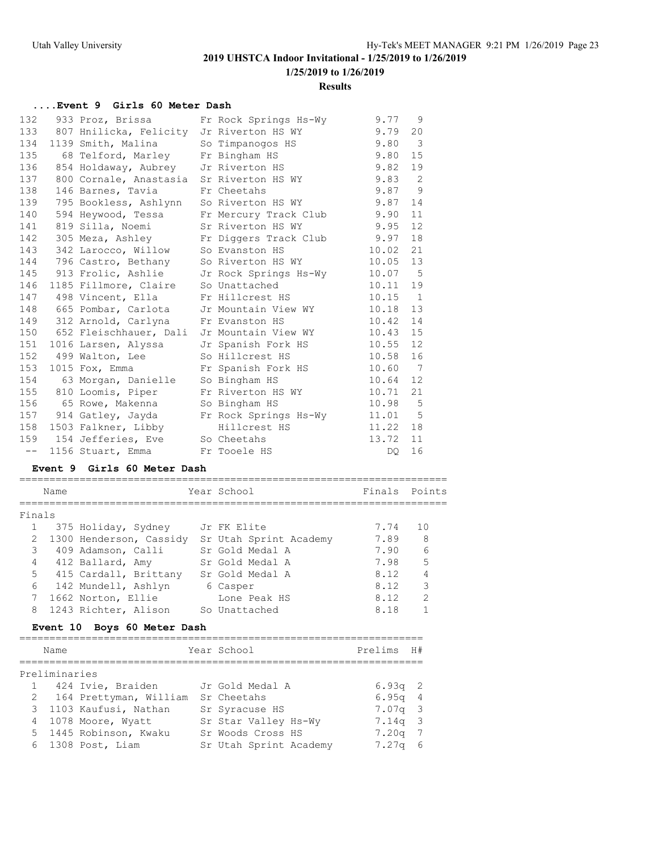### **1/25/2019 to 1/26/2019**

### **Results**

## **....Event 9 Girls 60 Meter Dash**

| 132      | 933 Proz, Brissa                           | Fr Rock Springs Hs-Wy                       | 9.77    | 9              |
|----------|--------------------------------------------|---------------------------------------------|---------|----------------|
| 133      | 807 Hnilicka, Felicity Jr Riverton HS WY   |                                             | 9.79    | 20             |
| 134      | 1139 Smith, Malina                         | So Timpanogos HS                            | 9.80    | 3              |
| 135      | 68 Telford, Marley                         | Fr Bingham HS                               | 9.80    | 15             |
| 136      | 854 Holdaway, Aubrey Jr Riverton HS        |                                             | 9.82    | 19             |
| 137      | 800 Cornale, Anastasia Sr Riverton HS WY   |                                             | 9.83    | 2              |
| 138      | 146 Barnes, Tavia                          | Fr Cheetahs                                 | 9.87    | 9              |
| 139      | 795 Bookless, Ashlynn So Riverton HS WY    |                                             | 9.87    | 14             |
| 140      | 594 Heywood, Tessa                         | Fr Mercury Track Club                       | 9.90    | 11             |
| 141      | 819 Silla, Noemi                           | Sr Riverton HS WY                           | 9.95    | 12             |
| 142      |                                            | 305 Meza, Ashley Fr Diggers Track Club      | 9.97    | 18             |
| 143      | 342 Larocco, Willow                        | So Evanston HS                              | 10.02   | 21             |
| 144      | 796 Castro, Bethany                        | So Riverton HS WY                           | 10.05   | 13             |
| 145      |                                            | 913 Frolic, Ashlie Jr Rock Springs Hs-Wy    | 10.07   | $5^{\circ}$    |
| 146      | 1185 Fillmore, Claire                      | So Unattached                               | 10.11   | 19             |
| 147      | 498 Vincent, Ella                          | Fr Hillcrest HS                             | 10.15   | $\overline{1}$ |
| 148      | 665 Pombar, Carlota                        | Jr Mountain View WY                         | 10.18   | 13             |
| 149      | 312 Arnold, Carlyna                        | Fr Evanston HS                              | 10.42   | 14             |
| 150      | 652 Fleischhauer, Dali Jr Mountain View WY |                                             | 10.43   | 15             |
| 151      | 1016 Larsen, Alyssa                        | Jr Spanish Fork HS                          | 10.55   | 12             |
| 152      | 499 Walton, Lee                            | So Hillcrest HS                             | 10.58   | 16             |
| 153      | 1015 Fox, Emma                             | Fr Spanish Fork HS                          | 10.60   | $\overline{7}$ |
| 154      | 63 Morgan, Danielle                        | So Bingham HS                               | 10.64   | 12             |
| 155      | 810 Loomis, Piper                          | Fr Riverton HS WY                           | 10.71   | 21             |
| 156      | 65 Rowe, Makenna                           | So Bingham HS                               | 10.98   | $-5$           |
| 157      |                                            | 914 Gatley, Jayda     Fr Rock Springs Hs-Wy | 11.01 5 |                |
| 158      | 1503 Falkner, Libby                        | Hillcrest HS                                | 11.22   | 18             |
| 159      | 154 Jefferies, Eve So Cheetahs             |                                             | 13.72   | 11             |
| $- \, -$ | 1156 Stuart, Emma Fr Tooele HS             |                                             | DQ.     | 16             |

### **Event 9 Girls 60 Meter Dash**

|                | Name |                         | Year School            | Finals Points |               |
|----------------|------|-------------------------|------------------------|---------------|---------------|
|                |      |                         |                        |               |               |
| Finals         |      |                         |                        |               |               |
|                |      | 375 Holiday, Sydney     | Jr FK Elite            | 7.74          | 1 O           |
| $\mathcal{L}$  |      | 1300 Henderson, Cassidy | Sr Utah Sprint Academy | 7.89          | - 8           |
| 3              |      | 409 Adamson, Calli      | Sr Gold Medal A        | 7.90          | 6             |
| $\overline{4}$ |      | 412 Ballard, Amy        | Sr Gold Medal A        | 7.98          | 5             |
| 5              |      | 415 Cardall, Brittany   | Sr Gold Medal A        | 8.12          |               |
| 6              |      | 142 Mundell, Ashlyn     | 6 Casper               | 8.12          | 3             |
| 7              |      | 1662 Norton, Ellie      | Lone Peak HS           | 8.12          | $\mathcal{L}$ |
| 8              |      | 1243 Richter, Alison    | So Unattached          | 8.18          |               |
|                |      |                         |                        |               |               |

### **Event 10 Boys 60 Meter Dash**

| Name          |                          | Year School            | Prelims           | H#  |
|---------------|--------------------------|------------------------|-------------------|-----|
| Preliminaries |                          |                        |                   |     |
|               | 1 424 Ivie, Braiden      | Jr Gold Medal A        | $6.93q$ 2         |     |
|               | 2 164 Prettyman, William | Sr Cheetahs            | $6.95q$ 4         |     |
|               | 3 1103 Kaufusi, Nathan   | Sr Syracuse HS         | $7.07q$ 3         |     |
|               | 4 1078 Moore, Wyatt      | Sr Star Valley Hs-Wy   | $7.14q$ 3         |     |
|               | 5 1445 Robinson, Kwaku   | Sr Woods Cross HS      | $7.20q$ 7         |     |
|               | 6 1308 Post, Liam        | Sr Utah Sprint Academy | 7.27 <sub>q</sub> | - 6 |
|               |                          |                        |                   |     |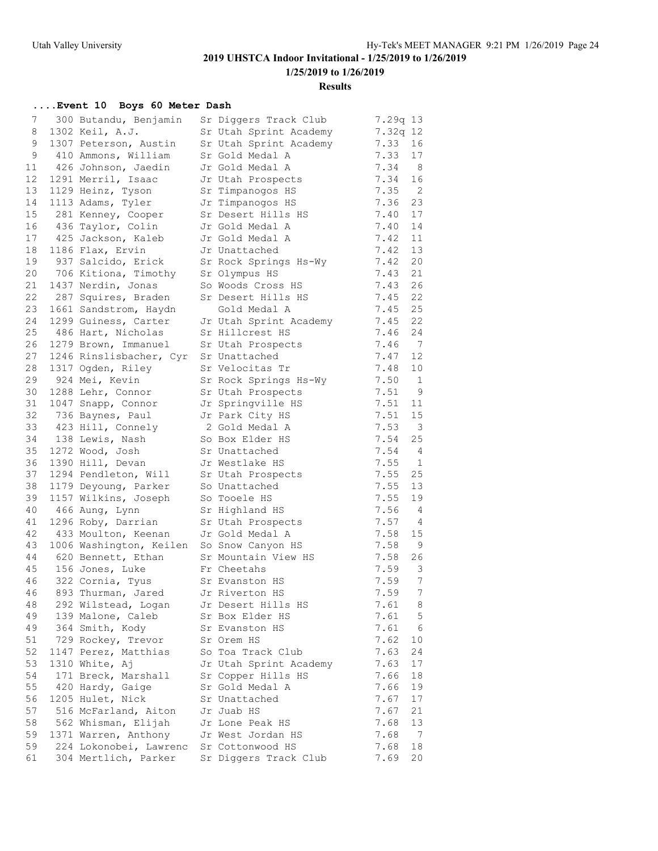**1/25/2019 to 1/26/2019**

#### **Results**

### **....Event 10 Boys 60 Meter Dash**

| 7  | 300 Butandu, Benjamin                   | Sr Diggers Track Club  | 7.29q 13 |                            |
|----|-----------------------------------------|------------------------|----------|----------------------------|
| 8  | 1302 Keil, A.J.                         | Sr Utah Sprint Academy | 7.32q 12 |                            |
| 9  | 1307 Peterson, Austin                   | Sr Utah Sprint Academy | 7.33     | 16                         |
| 9  | 410 Ammons, William                     | Sr Gold Medal A        | 7.33     | 17                         |
| 11 | 426 Johnson, Jaedin                     | Jr Gold Medal A        | 7.34     | - 8                        |
| 12 | 1291 Merril, Isaac                      | Jr Utah Prospects      | 7.34     | 16                         |
| 13 | 1129 Heinz, Tyson                       | Sr Timpanogos HS       | 7.35     | $\overline{\phantom{0}}^2$ |
| 14 | 1113 Adams, Tyler                       | Jr Timpanogos HS       | 7.36     | 23                         |
| 15 | 281 Kenney, Cooper                      | Sr Desert Hills HS     | 7.40     | 17                         |
| 16 | 436 Taylor, Colin                       | Jr Gold Medal A        | 7.40     | 14                         |
| 17 | 425 Jackson, Kaleb                      | Jr Gold Medal A        | 7.42     | 11                         |
| 18 | 1186 Flax, Ervin                        | Jr Unattached          | 7.42     | 13                         |
| 19 | 937 Salcido, Erick                      | Sr Rock Springs Hs-Wy  | 7.42     | 20                         |
| 20 | 706 Kitiona, Timothy                    | Sr Olympus HS          | 7.43     | 21                         |
| 21 | 1437 Nerdin, Jonas                      | So Woods Cross HS      | 7.43     | 26                         |
| 22 | 287 Squires, Braden                     | Sr Desert Hills HS     | 7.45     | 22                         |
| 23 | 1661 Sandstrom, Haydn                   | Gold Medal A           | 7.45     | 25                         |
| 24 | 1299 Guiness, Carter                    | Jr Utah Sprint Academy | 7.45     | 22                         |
| 25 | 486 Hart, Nicholas                      | Sr Hillcrest HS        | 7.46     | 24                         |
| 26 | 1279 Brown, Immanuel                    | Sr Utah Prospects      | 7.46     | 7                          |
| 27 | 1246 Rinslisbacher, Cyr                 | Sr Unattached          | 7.47     | 12                         |
| 28 | 1317 Ogden, Riley                       | Sr Velocitas Tr        | 7.48     | 10                         |
| 29 | 924 Mei, Kevin                          | Sr Rock Springs Hs-Wy  | 7.50     | 1                          |
| 30 | 1288 Lehr, Connor                       | Sr Utah Prospects      | 7.51     | 9                          |
| 31 | 1047 Snapp, Connor                      | Jr Springville HS      | 7.51     | 11                         |
| 32 | 736 Baynes, Paul                        | Jr Park City HS        | 7.51     | 15                         |
| 33 | 423 Hill, Connely                       | 2 Gold Medal A         | 7.53     | $\mathbf{3}$               |
| 34 | 138 Lewis, Nash                         | So Box Elder HS        | 7.54     | 25                         |
| 35 | 1272 Wood, Josh                         | Sr Unattached          | 7.54     | $\overline{4}$             |
| 36 | 1390 Hill, Devan                        | Jr Westlake HS         | 7.55     | 1                          |
| 37 | 1294 Pendleton, Will                    | Sr Utah Prospects      | 7.55     | 25                         |
| 38 | 1179 Deyoung, Parker                    | So Unattached          | 7.55     | 13                         |
| 39 | 1157 Wilkins, Joseph                    | So Tooele HS           | 7.55     | 19                         |
| 40 | 466 Aung, Lynn                          | Sr Highland HS         | 7.56     | $\overline{4}$             |
| 41 | 1296 Roby, Darrian                      | Sr Utah Prospects      | 7.57     | 4                          |
| 42 | 433 Moulton, Keenan                     | Jr Gold Medal A        | 7.58     | 15                         |
| 43 | 1006 Washington, Keilen                 | So Snow Canyon HS      | 7.58     | 9                          |
| 44 | 620 Bennett, Ethan                      | Sr Mountain View HS    | 7.58     | 26                         |
| 45 | 156 Jones, Luke                         | Fr Cheetahs            | 7.59     | 3                          |
| 46 | 322 Cornia, Tyus                        | Sr Evanston HS         | 7.59     | $7\phantom{.0}$            |
|    | 46 893 Thurman, Jared Jr Riverton HS    |                        | 7.59     | $7\phantom{.0}$            |
| 48 | 292 Wilstead, Logan                     | Jr Desert Hills HS     | 7.61     | - 8                        |
| 49 | 139 Malone, Caleb                       | Sr Box Elder HS        | 7.61     | 5                          |
| 49 | 364 Smith, Kody                         | Sr Evanston HS         | 7.61     | 6                          |
| 51 | 729 Rockey, Trevor                      | Sr Orem HS             | 7.62     | 10                         |
| 52 | 1147 Perez, Matthias                    | So Toa Track Club      | 7.63     | 24                         |
| 53 | 1310 White, Aj                          | Jr Utah Sprint Academy | 7.63     | 17                         |
| 54 | 171 Breck, Marshall                     | Sr Copper Hills HS     | 7.66     | 18                         |
| 55 | 420 Hardy, Gaige                        | Sr Gold Medal A        | 7.66     | 19                         |
| 56 | 1205 Hulet, Nick                        | Sr Unattached          | 7.67     | 17                         |
| 57 | 516 McFarland, Aiton                    | Jr Juab HS             | 7.67     | 21                         |
| 58 | 562 Whisman, Elijah                     | Jr Lone Peak HS        | 7.68     | 13                         |
| 59 | 1371 Warren, Anthony                    | Jr West Jordan HS      | 7.68     | $\overline{7}$             |
| 59 | 224 Lokonobei, Lawrenc Sr Cottonwood HS |                        | 7.68     | 18                         |
| 61 | 304 Mertlich, Parker                    | Sr Diggers Track Club  | 7.69     | 20                         |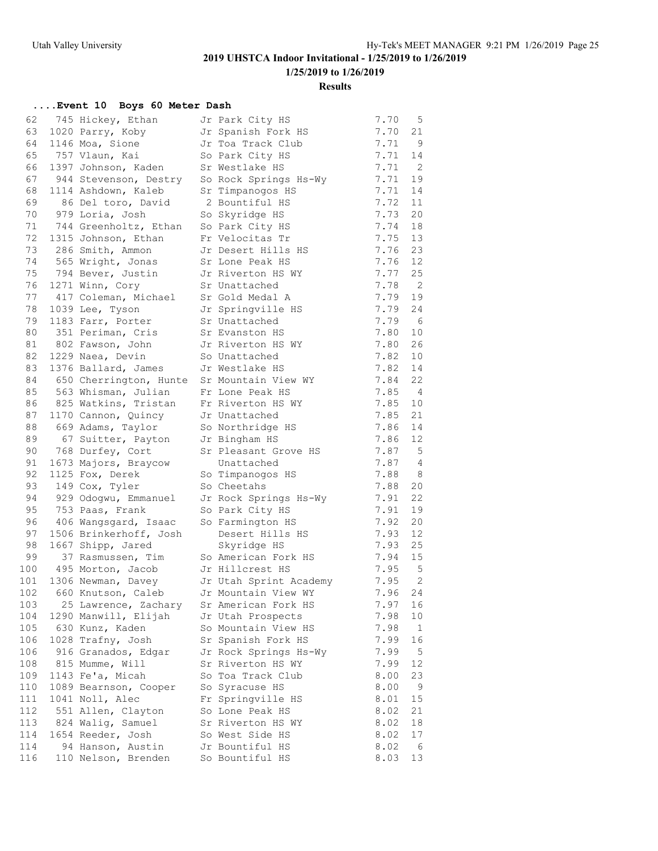### **Results**

### **....Event 10 Boys 60 Meter Dash**

| 62  | 745 Hickey, Ethan                          | Jr Park City HS        | 7.70 | 5                        |
|-----|--------------------------------------------|------------------------|------|--------------------------|
| 63  | 1020 Parry, Koby                           | Jr Spanish Fork HS     | 7.70 | 21                       |
| 64  | 1146 Moa, Sione                            | Jr Toa Track Club      | 7.71 | - 9                      |
| 65  | 757 Vlaun, Kai                             | So Park City HS        | 7.71 | 14                       |
| 66  | 1397 Johnson, Kaden                        | Sr Westlake HS         | 7.71 | $\overline{2}$           |
| 67  | 944 Stevenson, Destry                      | So Rock Springs Hs-Wy  | 7.71 | 19                       |
| 68  | 1114 Ashdown, Kaleb                        | Sr Timpanogos HS       | 7.71 | 14                       |
| 69  | 86 Del toro, David                         | 2 Bountiful HS         | 7.72 | 11                       |
| 70  | 979 Loria, Josh                            | So Skyridge HS         | 7.73 | 20                       |
| 71  | 744 Greenholtz, Ethan                      | So Park City HS        | 7.74 | 18                       |
| 72  | 1315 Johnson, Ethan                        | Fr Velocitas Tr        | 7.75 | 13                       |
| 73  | 286 Smith, Ammon                           | Jr Desert Hills HS     | 7.76 | 23                       |
| 74  | 565 Wright, Jonas                          | Sr Lone Peak HS        | 7.76 | 12                       |
| 75  | 794 Bever, Justin Jr Riverton HS WY        |                        | 7.77 | 25                       |
|     | 76 1271 Winn, Cory                         | Sr Unattached          | 7.78 | $\overline{2}$           |
| 77  | 417 Coleman, Michael Sr Gold Medal A       |                        | 7.79 | 19                       |
|     | 78 1039 Lee, Tyson                         | Jr Springville HS      | 7.79 | 24                       |
|     | 79 1183 Farr, Porter                       | Sr Unattached          | 7.79 | $6\overline{6}$          |
| 80  | 351 Periman, Cris                          | Sr Evanston HS         | 7.80 | 10                       |
| 81  | 802 Fawson, John                           | Jr Riverton HS WY      | 7.80 | 26                       |
|     | 82 1229 Naea, Devin                        | So Unattached          | 7.82 | 10                       |
| 83  | 1376 Ballard, James                        | Jr Westlake HS         | 7.82 | 14                       |
| 84  | 650 Cherrington, Hunte Sr Mountain View WY |                        | 7.84 | 22                       |
| 85  | 563 Whisman, Julian                        | Fr Lone Peak HS        | 7.85 | $\overline{4}$           |
| 86  | 825 Watkins, Tristan                       | Fr Riverton HS WY      | 7.85 | 10                       |
| 87  | 1170 Cannon, Quincy                        | Jr Unattached          | 7.85 | 21                       |
| 88  | 669 Adams, Taylor So Northridge HS         |                        | 7.86 | 14                       |
| 89  | 67 Suitter, Payton Jr Bingham HS           |                        | 7.86 | 12                       |
| 90  | 768 Durfey, Cort                           | Sr Pleasant Grove HS   | 7.87 | $5\overline{)}$          |
| 91  | 1673 Majors, Braycow                       | Unattached             | 7.87 | $\overline{\phantom{a}}$ |
| 92  | 1125 Fox, Derek                            | So Timpanogos HS       | 7.88 | - 8                      |
| 93  | 149 Cox, Tyler                             | So Cheetahs            | 7.88 | 20                       |
| 94  | 929 Odogwu, Emmanuel                       | Jr Rock Springs Hs-Wy  | 7.91 | 22                       |
| 95  | 753 Paas, Frank                            | So Park City HS        | 7.91 | 19                       |
| 96  | 406 Wangsgard, Isaac                       | So Farmington HS       | 7.92 | 20                       |
|     | 97 1506 Brinkerhoff, Josh                  | Desert Hills HS        | 7.93 | 12                       |
| 98  | 1667 Shipp, Jared                          | Skyridge HS            | 7.93 | 25                       |
| 99  | 37 Rasmussen, Tim                          | So American Fork HS    | 7.94 | 15                       |
| 100 | 495 Morton, Jacob                          | Jr Hillcrest HS        | 7.95 | $5^{\circ}$              |
| 101 | 1306 Newman, Davey                         | Jr Utah Sprint Academy | 7.95 | $\overline{\phantom{0}}$ |
| 102 | 660 Knutson, Caleb                         | Jr Mountain View WY    | 7.96 | 24                       |
| 103 | 25 Lawrence, Zachary                       | Sr American Fork HS    | 7.97 | 16                       |
| 104 | 1290 Manwill, Elijah                       | Jr Utah Prospects      | 7.98 | 10                       |
| 105 | 630 Kunz, Kaden                            | So Mountain View HS    | 7.98 | $\mathbf{1}$             |
| 106 | 1028 Trafny, Josh                          | Sr Spanish Fork HS     | 7.99 | 16                       |
| 106 | 916 Granados, Edgar                        | Jr Rock Springs Hs-Wy  | 7.99 | 5                        |
| 108 | 815 Mumme, Will                            | Sr Riverton HS WY      | 7.99 | 12                       |
| 109 | 1143 Fe'a, Micah                           | So Toa Track Club      | 8.00 | 23                       |
| 110 | 1089 Bearnson, Cooper                      | So Syracuse HS         | 8.00 | 9                        |
| 111 | 1041 Noll, Alec                            | Fr Springville HS      | 8.01 | 15                       |
| 112 | 551 Allen, Clayton                         | So Lone Peak HS        | 8.02 | 21                       |
| 113 | 824 Walig, Samuel                          | Sr Riverton HS WY      | 8.02 | 18                       |
| 114 | 1654 Reeder, Josh                          | So West Side HS        | 8.02 | 17                       |
| 114 | 94 Hanson, Austin                          | Jr Bountiful HS        | 8.02 | 6                        |
| 116 | 110 Nelson, Brenden                        | So Bountiful HS        | 8.03 | 13                       |
|     |                                            |                        |      |                          |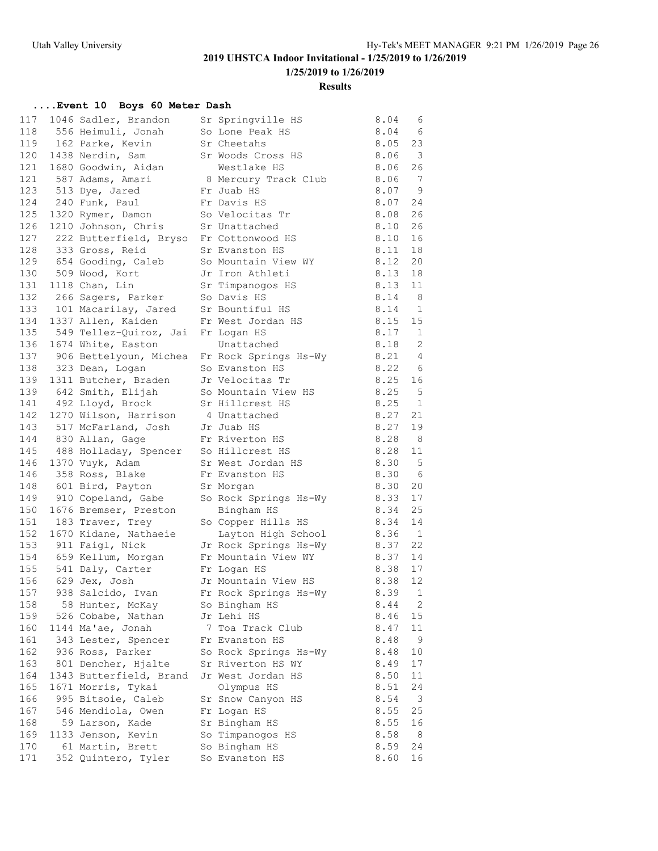### **Results**

### **....Event 10 Boys 60 Meter Dash**

| 117 | 1046 Sadler, Brandon                       | Sr Springville HS                            | 8.04   | - 6            |
|-----|--------------------------------------------|----------------------------------------------|--------|----------------|
| 118 | 556 Heimuli, Jonah                         | So Lone Peak HS                              | 8.04   | - 6            |
| 119 | 162 Parke, Kevin                           | Sr Cheetahs                                  | 8.05   | 23             |
| 120 | 1438 Nerdin, Sam                           | Sr Woods Cross HS                            | 8.06   | 3              |
|     | 121 1680 Goodwin, Aidan                    | Westlake HS                                  | 8.06   | 26             |
|     |                                            | 8 Mercury Track Club                         | 8.06   | 7              |
|     | 121 587 Adams, Amari<br>123 513 Dye, Jared | Fr Juab HS                                   | 8.07   | - 9            |
| 124 | 240 Funk, Paul                             | Fr Davis HS                                  | 8.07   | 24             |
| 125 | 1320 Rymer, Damon                          | So Velocitas Tr                              | 8.08   | 26             |
| 126 | 1210 Johnson, Chris                        | Sr Unattached                                | 8.10   | 26             |
| 127 | 222 Butterfield, Bryso Fr Cottonwood HS    |                                              | 8.10   | 16             |
| 128 | 333 Gross, Reid                            | Sr Evanston HS                               | 8.11   | 18             |
| 129 | 654 Gooding, Caleb                         | So Mountain View WY                          | 8.12   | 20             |
| 130 | 509 Wood, Kort                             | Jr Iron Athleti                              | 8.13   | 18             |
| 131 | 1118 Chan, Lin                             | Sr Timpanogos HS                             | 8.13   | 11             |
| 132 | 266 Sagers, Parker                         | So Davis HS                                  | 8.14   | - 8            |
| 133 | 101 Macarilay, Jared                       | Sr Bountiful HS                              | 8.14   | $\overline{1}$ |
| 134 | 1337 Allen, Kaiden                         | Fr West Jordan HS                            | 8.15   | 15             |
| 135 | 549 Tellez-Quiroz, Jai Fr Logan HS         |                                              | 8.17   | $\mathbf{1}$   |
| 136 | 1674 White, Easton                         | Unattached                                   | 8.18   | 2              |
| 137 |                                            | 906 Bettelyoun, Michea Fr Rock Springs Hs-Wy | 8.21   | $\overline{4}$ |
| 138 | 323 Dean, Logan                            | So Evanston HS                               | 8.22 6 |                |
| 139 | 1311 Butcher, Braden Jr Velocitas Tr       |                                              | 8.25   | 16             |
| 139 | 642 Smith, Elijah                          | So Mountain View HS                          | 8.25   | 5              |
|     | 141 492 Lloyd, Brock                       | Sr Hillcrest HS                              | 8.25   | 1              |
| 142 | 1270 Wilson, Harrison                      | 4 Unattached                                 | 8.27   | 21             |
| 143 | 517 McFarland, Josh Jr Juab HS             |                                              | 8.27   | 19             |
| 144 | 830 Allan, Gage                            | Fr Riverton HS                               | 8.28   | 8              |
| 145 | 488 Holladay, Spencer So Hillcrest HS      |                                              | 8.28   | 11             |
| 146 | 1370 Vuyk, Adam                            | Sr West Jordan HS                            | 8.30   | 5              |
| 146 | 358 Ross, Blake                            | Fr Evanston HS                               | 8.30   | - 6            |
| 148 | 601 Bird, Payton                           | Sr Morgan                                    | 8.30   | 20             |
| 149 | 910 Copeland, Gabe                         | So Rock Springs Hs-Wy                        | 8.33   | 17             |
| 150 | 1676 Bremser, Preston                      | Bingham HS                                   | 8.34   | 25             |
| 151 | 183 Traver, Trey                           | So Copper Hills HS                           | 8.34   | 14             |
| 152 | 1670 Kidane, Nathaeie                      | Layton High School                           | 8.36   | $\overline{1}$ |
| 153 | 911 Faigl, Nick                            | Jr Rock Springs Hs-Wy                        | 8.37   | 22             |
| 154 | 659 Kellum, Morgan                         | Fr Mountain View WY                          | 8.37   | 14             |
|     | 155 541 Daly, Carter                       | Fr Logan HS                                  | 8.38   | 17             |
| 156 | 629 Jex, Josh                              | Jr Mountain View HS                          | 8.38   | 12             |
| 157 | 938 Salcido, Ivan                          | Fr Rock Springs Hs-Wy                        | 8.39   | 1              |
| 158 | 58 Hunter, McKay                           | So Bingham HS                                | 8.44   | 2              |
| 159 | 526 Cobabe, Nathan                         | Jr Lehi HS                                   | 8.46   | 15             |
| 160 | 1144 Ma'ae, Jonah                          | 7 Toa Track Club                             | 8.47   | 11             |
| 161 | 343 Lester, Spencer                        | Fr Evanston HS                               | 8.48   | 9              |
| 162 | 936 Ross, Parker                           | So Rock Springs Hs-Wy                        | 8.48   | 10             |
| 163 | 801 Dencher, Hjalte                        | Sr Riverton HS WY                            | 8.49   | 17             |
| 164 | 1343 Butterfield, Brand                    | Jr West Jordan HS                            | 8.50   | 11             |
| 165 | 1671 Morris, Tykai                         | Olympus HS                                   | 8.51   | 24             |
| 166 | 995 Bitsoie, Caleb                         | Sr Snow Canyon HS                            | 8.54   | $\overline{3}$ |
| 167 | 546 Mendiola, Owen                         | Fr Logan HS                                  | 8.55   | 25             |
| 168 | 59 Larson, Kade                            | Sr Bingham HS                                | 8.55   | 16             |
| 169 | 1133 Jenson, Kevin                         | So Timpanogos HS                             | 8.58   | 8              |
| 170 | 61 Martin, Brett                           | So Bingham HS                                | 8.59   | 24             |
| 171 | 352 Quintero, Tyler                        | So Evanston HS                               | 8.60   | 16             |
|     |                                            |                                              |        |                |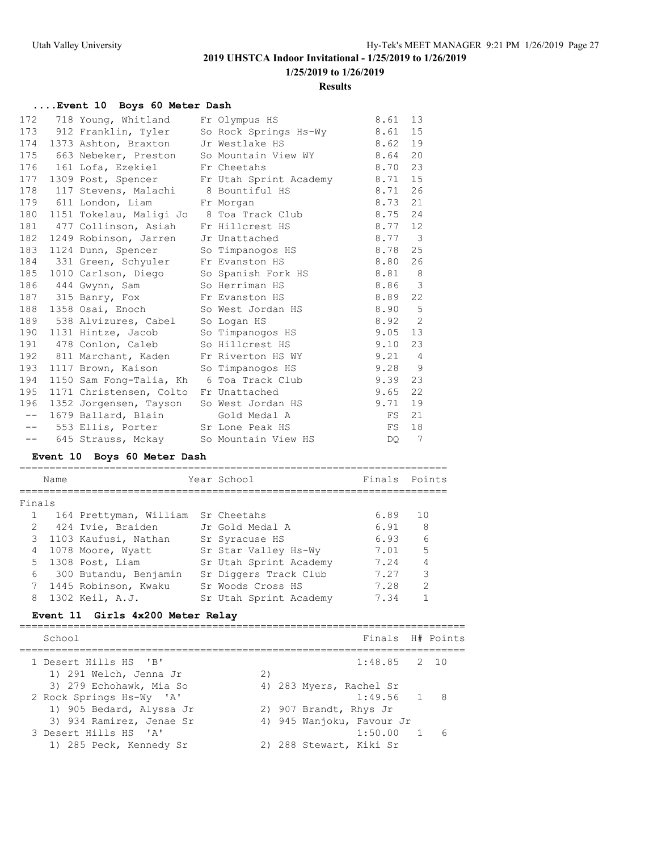#### **Results**

### **....Event 10 Boys 60 Meter Dash**

|      | 172 718 Young, Whitland Fr Olympus HS     |                                                    | 8.61        | 13                       |
|------|-------------------------------------------|----------------------------------------------------|-------------|--------------------------|
|      |                                           | 173 912 Franklin, Tyler So Rock Springs Hs-Wy 8.61 |             | 15                       |
| 174  |                                           | 1373 Ashton, Braxton Jr Westlake HS 8.62           |             | 19                       |
|      |                                           | 175 663 Nebeker, Preston So Mountain View WY 8.64  |             | 20                       |
| 176  | 161 Lofa, Ezekiel Fr Cheetahs             |                                                    | 8.70        | 23                       |
| 177  |                                           | 1309 Post, Spencer Fr Utah Sprint Academy 8.71     |             | 15                       |
|      | 178 117 Stevens, Malachi 8 Bountiful HS   | 8.71                                               |             | 26                       |
|      | 179 611 London, Liam Fr Morgan            |                                                    | 8.73        | 21                       |
| 180  |                                           | 1151 Tokelau, Maligi Jo 8 Toa Track Club 8.75      |             | 24                       |
| 181  | 477 Collinson, Asiah Fr Hillcrest HS      | 8.77 12                                            |             |                          |
| 182  | 1249 Robinson, Jarren Jr Unattached       |                                                    | 8.77        | $\overline{\phantom{a}}$ |
| 183  | 1124 Dunn, Spencer So Timpanogos HS       |                                                    | 8.78        | 25                       |
| 184  | 331 Green, Schyuler Fr Evanston HS        |                                                    | 8.80        | 26                       |
| 185  | 1010 Carlson, Diego So Spanish Fork HS    |                                                    | 8.81        | $_{\rm 8}$               |
| 186  | 444 Gwynn, Sam So Herriman HS             |                                                    | 8.86 3      |                          |
|      | 187 315 Banry, Fox Fr Evanston HS         |                                                    | 8.89 22     |                          |
| 188  | 1358 Osai, Enoch So West Jordan HS        | 8.90                                               |             | $5^{\circ}$              |
| 189  | 538 Alvizures, Cabel So Logan HS          |                                                    | $8.92$ 2    |                          |
|      | 190 1131 Hintze, Jacob So Timpanogos HS   |                                                    | 9.05        | 13                       |
| 191  | 478 Conlon, Caleb So Hillcrest HS         |                                                    | 9.10        | 23                       |
| 192  | 811 Marchant, Kaden Fr Riverton HS WY     |                                                    | $9.21 \t 4$ |                          |
| 193  | 1117 Brown, Kaison So Timpanogos HS       | $9.28$ 9                                           |             |                          |
| 194  | 1150 Sam Fong-Talia, Kh 6 Toa Track Club  |                                                    | 9.39        | 23                       |
| 195  | 1171 Christensen, Colto Fr Unattached     |                                                    | 9.65        | 22                       |
| 196  | 1352 Jorgensen, Tayson So West Jordan HS  |                                                    | 9.71        | 19                       |
| $--$ | 1679 Ballard, Blain Gold Medal A          |                                                    | FS          | 21                       |
|      | -- 553 Ellis, Porter Sr Lone Peak HS      |                                                    | FS          | 18                       |
|      | -- 645 Strauss, Mckay So Mountain View HS |                                                    | DO          | $\overline{7}$           |

### **Event 10 Boys 60 Meter Dash**

|             | Name |                                    | Year School            | Finals Points |               |
|-------------|------|------------------------------------|------------------------|---------------|---------------|
|             |      |                                    |                        |               |               |
| Finals      |      |                                    |                        |               |               |
|             |      | 164 Prettyman, William Sr Cheetahs |                        | 6.89          | 1 N           |
| $2^{\circ}$ |      | 424 Ivie, Braiden                  | Jr Gold Medal A        | 6.91          | - 8           |
|             |      | 3 1103 Kaufusi, Nathan             | Sr Syracuse HS         | 6.93          | $\epsilon$    |
|             |      | 4 1078 Moore, Wyatt                | Sr Star Valley Hs-Wy   | 7.01          | 5             |
|             |      | 5 1308 Post, Liam                  | Sr Utah Sprint Academy | 7.24          | 4             |
| 6           |      | 300 Butandu, Benjamin              | Sr Diggers Track Club  | 7.27          | 3             |
|             |      | 7 1445 Robinson, Kwaku             | Sr Woods Cross HS      | 7.28          | $\mathcal{L}$ |
| 8           |      | 1302 Keil, A.J.                    | Sr Utah Sprint Academy | 7.34          |               |

### **Event 11 Girls 4x200 Meter Relay**

| School                                                                          |    |                                                      | Finals H# Points |   |
|---------------------------------------------------------------------------------|----|------------------------------------------------------|------------------|---|
| 1 Desert Hills HS 'B'<br>1) 291 Welch, Jenna Jr                                 | 2) |                                                      | $1:48.85$ 2 10   |   |
| 3) 279 Echohawk, Mia So<br>2 Rock Springs Hs-Wy 'A'<br>1) 905 Bedard, Alyssa Jr |    | 4) 283 Myers, Rachel Sr<br>2) 907 Brandt, Rhys Jr    | $1:49.56$ 1 8    |   |
| 3) 934 Ramirez, Jenae Sr<br>3 Desert Hills HS 'A'<br>1) 285 Peck, Kennedy Sr    |    | 4) 945 Wanjoku, Favour Jr<br>2) 288 Stewart, Kiki Sr | 1:50.00 1        | 6 |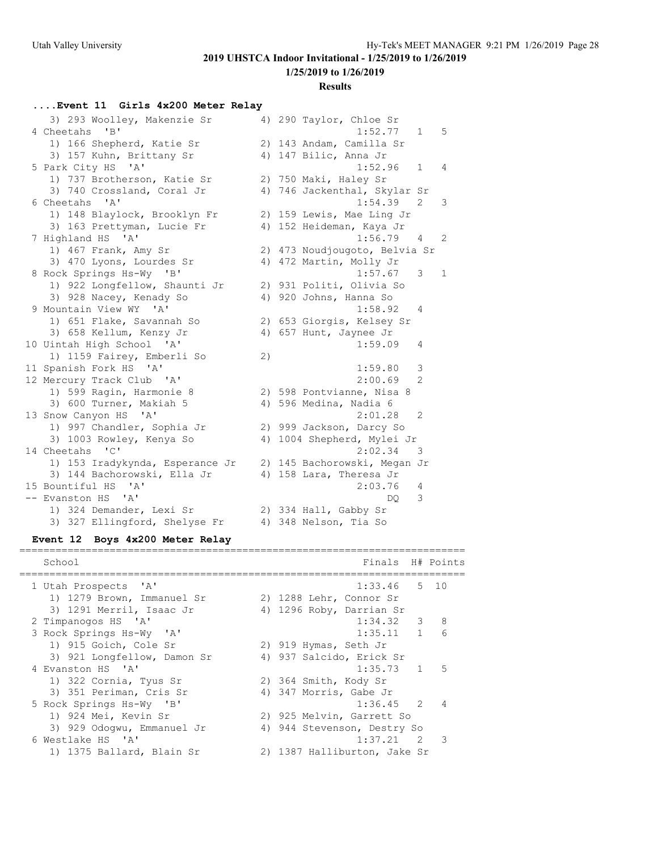**1/25/2019 to 1/26/2019**

#### **Results**

### **....Event 11 Girls 4x200 Meter Relay**

| 3) 293 Woolley, Makenzie Sr                 |    | 4) 290 Taylor, Chloe Sr            |
|---------------------------------------------|----|------------------------------------|
| 4 Cheetahs<br>$\mathbf{B}$                  |    | 1:52.77<br>$\mathbf{1}$<br>5       |
| 1) 166 Shepherd, Katie Sr                   |    | 2) 143 Andam, Camilla Sr           |
| 3) 157 Kuhn, Brittany Sr                    |    | 4) 147 Bilic, Anna Jr              |
| 5 Park City HS<br>$^{\prime}$ A $^{\prime}$ |    | 1:52.96<br>$\mathbf{1}$<br>4       |
| 1) 737 Brotherson, Katie Sr                 |    | 2) 750 Maki, Haley Sr              |
| 3) 740 Crossland, Coral Jr                  |    | 4) 746 Jackenthal, Skylar Sr       |
| 6 Cheetahs 'A'                              |    | 1:54.39<br>2<br>3                  |
| 1) 148 Blaylock, Brooklyn Fr                |    | 2) 159 Lewis, Mae Ling Jr          |
| 3) 163 Prettyman, Lucie Fr                  |    | 4) 152 Heideman, Kaya Jr           |
| 7 Highland HS<br>$^{\prime}$ A $^{\prime}$  |    | 1:56.79<br>$\overline{4}$<br>2     |
| 1) 467 Frank, Amy Sr                        |    | 2) 473 Noudjougoto, Belvia Sr      |
| 3) 470 Lyons, Lourdes Sr                    |    | 4) 472 Martin, Molly Jr            |
| 8 Rock Springs Hs-Wy 'B'                    |    | 1:57.67<br>3<br>$\mathbf{1}$       |
| 1) 922 Longfellow, Shaunti Jr               |    | 2) 931 Politi, Olivia So           |
| 3) 928 Nacey, Kenady So                     |    | 4) 920 Johns, Hanna So             |
| 9 Mountain View WY 'A'                      |    | 1:58.92<br>4                       |
| 1) 651 Flake, Savannah So                   |    | 2) 653 Giorgis, Kelsey Sr          |
| 3) 658 Kellum, Kenzy Jr                     |    | 4) 657 Hunt, Jaynee Jr             |
| 10 Uintah High School 'A'                   |    | 1:59.09<br>4                       |
| 1) 1159 Fairey, Emberli So                  | 2) |                                    |
| 11 Spanish Fork HS 'A'                      |    | 1:59.80<br>3                       |
| 12 Mercury Track Club 'A'                   |    | 2:00.69<br>$\overline{2}$          |
| 1) 599 Ragin, Harmonie 8                    |    | 2) 598 Pontvianne, Nisa 8          |
| 3) 600 Turner, Makiah 5                     |    | 4) 596 Medina, Nadia 6             |
| 13 Snow Canyon HS 'A'                       |    | 2:01.28<br>2                       |
| 1) 997 Chandler, Sophia Jr                  |    | 2) 999 Jackson, Darcy So           |
| 3) 1003 Rowley, Kenya So                    |    | 4) 1004 Shepherd, Mylei Jr         |
| 14 Cheetahs 'C'                             |    | 2:02.34<br>$\overline{\mathbf{3}}$ |
| 1) 153 Iradykynda, Esperance Jr             |    | 2) 145 Bachorowski, Megan Jr       |
| 3) 144 Bachorowski, Ella Jr                 |    | 4) 158 Lara, Theresa Jr            |
| 15 Bountiful HS<br>' A'                     |    | 2:03.76<br>4                       |
| -- Evanston HS<br>' A'                      |    | 3<br>DO                            |
| 1) 324 Demander, Lexi Sr                    |    | 2) 334 Hall, Gabby Sr              |
| 3) 327 Ellingford, Shelyse Fr               |    | 4) 348 Nelson, Tia So              |

### **Event 12 Boys 4x200 Meter Relay**

| School                      | Finals H# Points                        |                 |
|-----------------------------|-----------------------------------------|-----------------|
| 1 Utah Prospects 'A'        | 5 10<br>1:33.46                         |                 |
| 1) 1279 Brown, Immanuel Sr  | 2) 1288 Lehr, Connor Sr                 |                 |
| 3) 1291 Merril, Isaac Jr    | 4) 1296 Roby, Darrian Sr                |                 |
| 2 Timpanogos HS 'A'         | $1:34.32$ 3 8                           |                 |
| 3 Rock Springs Hs-Wy 'A'    | 1:35.11 1                               | $6\overline{6}$ |
| 1) 915 Goich, Cole Sr       | 2) 919 Hymas, Seth Jr                   |                 |
| 3) 921 Longfellow, Damon Sr | 4) 937 Salcido, Erick Sr                |                 |
| 4 Evanston HS 'A'           | $1:35.73$ 1                             | 5               |
| 1) 322 Cornia, Tyus Sr      | 2) 364 Smith, Kody Sr                   |                 |
| 3) 351 Periman, Cris Sr     | 4) 347 Morris, Gabe Jr                  |                 |
| 5 Rock Springs Hs-Wy 'B'    | $1:36.45$ 2                             | $\overline{4}$  |
| 1) 924 Mei, Kevin Sr        | 2) 925 Melvin, Garrett So               |                 |
| 3) 929 Odogwu, Emmanuel Jr  | 4) 944 Stevenson, Destry So             |                 |
| 6 Westlake HS 'A'           | $\overline{\phantom{a}}$<br>$1:37.21$ 2 |                 |
| 1) 1375 Ballard, Blain Sr   | 2) 1387 Halliburton, Jake Sr            |                 |

==========================================================================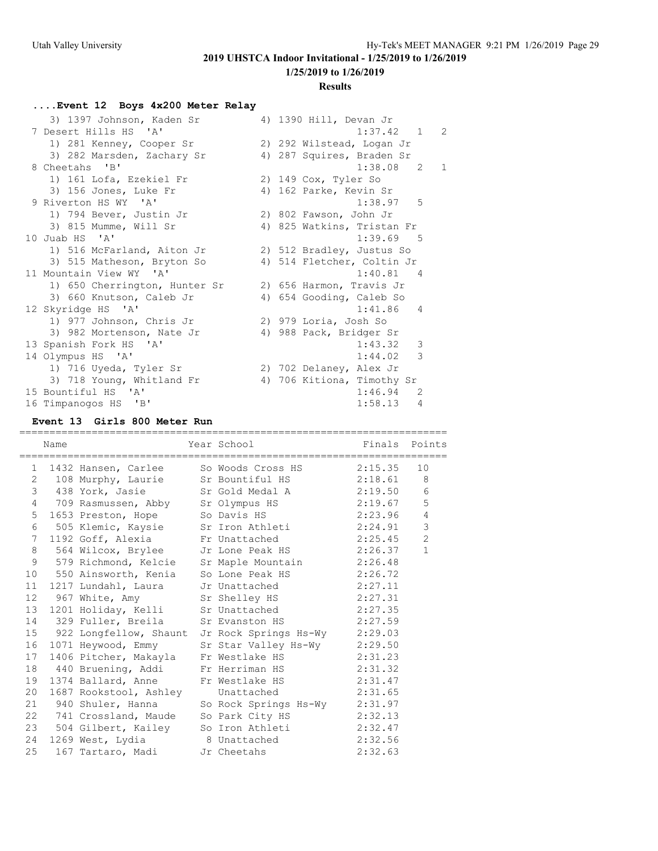**1/25/2019 to 1/26/2019**

#### **Results**

### **....Event 12 Boys 4x200 Meter Relay**

| 3) 1397 Johnson, Kaden Sr     | 4) 1390 Hill, Devan Jr        |
|-------------------------------|-------------------------------|
| 7 Desert Hills HS 'A'         | 2<br>1:37.42 1                |
| 1) 281 Kenney, Cooper Sr      | 2) 292 Wilstead, Logan Jr     |
| 3) 282 Marsden, Zachary Sr    | 4) 287 Squires, Braden Sr     |
| 8 Cheetahs 'B'                | $1:38.08$ 2<br>$\overline{1}$ |
| 1) 161 Lofa, Ezekiel Fr       | 2) 149 Cox, Tyler So          |
| 3) 156 Jones, Luke Fr         | 4) 162 Parke, Kevin Sr        |
| 9 Riverton HS WY 'A'          | $1:38.97$ 5                   |
| 1) 794 Bever, Justin Jr       | 2) 802 Fawson, John Jr        |
| 3) 815 Mumme, Will Sr         | 4) 825 Watkins, Tristan Fr    |
| 10 Juab HS 'A'                | 1:39.69 5                     |
| 1) 516 McFarland, Aiton Jr    | 2) 512 Bradley, Justus So     |
| 3) 515 Matheson, Bryton So    | 4) 514 Fletcher, Coltin Jr    |
| 11 Mountain View WY 'A'       | $1:40.81$ 4                   |
| 1) 650 Cherrington, Hunter Sr | 2) 656 Harmon, Travis Jr      |
| 3) 660 Knutson, Caleb Jr      | 4) 654 Gooding, Caleb So      |
| 12 Skyridge HS 'A'            | 1:41.86<br>4                  |
| 1) 977 Johnson, Chris Jr      | 2) 979 Loria, Josh So         |
| 3) 982 Mortenson, Nate Jr     | 4) 988 Pack, Bridger Sr       |
| 13 Spanish Fork HS 'A'        | 1:43.32<br>3                  |
| 14 Olympus HS 'A'             | 3<br>1:44.02                  |
| 1) 716 Uyeda, Tyler Sr        | 2) 702 Delaney, Alex Jr       |
| 3) 718 Young, Whitland Fr     | 4) 706 Kitiona, Timothy Sr    |
| 15 Bountiful HS 'A'           | 1:46.94<br>2                  |
| 16 Timpanogos HS 'B'          | 1:58.13<br>$\overline{4}$     |

### **Event 13 Girls 800 Meter Run**

|                | Name | =============================== | Year School Finals Points                                                                                                                       |                |
|----------------|------|---------------------------------|-------------------------------------------------------------------------------------------------------------------------------------------------|----------------|
|                |      |                                 | 1 1432 Hansen, Carlee So Woods Cross HS 2:15.35 10                                                                                              |                |
|                |      |                                 | 2 108 Murphy, Laurie Sr Bountiful HS 2:18.61 8                                                                                                  |                |
|                |      |                                 | 3 438 York, Jasie Sr Gold Medal A 2:19.50 6                                                                                                     |                |
|                |      |                                 | 4 709 Rasmussen, Abby Sr Olympus HS 2:19.67                                                                                                     | 5              |
|                |      |                                 |                                                                                                                                                 | $\overline{4}$ |
|                |      |                                 | 5 1653 Preston, Hope So Davis HS 2:23.96<br>6 505 Klemic, Kaysie Sr Iron Athleti 2:24.91                                                        | $\mathcal{S}$  |
| 7 <sup>7</sup> |      |                                 | 1192 Goff, Alexia Fr Unattached 2:25.45                                                                                                         | 2              |
|                |      |                                 | 8 564 Wilcox, Brylee Jr Lone Peak HS 2:26.37                                                                                                    | $\mathbf{1}$   |
|                |      |                                 | 9 579 Richmond, Kelcie Sr Maple Mountain 2:26.48                                                                                                |                |
|                |      |                                 | 10 550 Ainsworth, Kenia So Lone Peak HS 2:26.72                                                                                                 |                |
|                |      |                                 | 11 1217 Lundahl, Laura Jr Unattached 2:27.11                                                                                                    |                |
|                |      |                                 | 12 967 White, Amy Sr Shelley HS 2:27.31<br>13 1201 Holiday, Kelli Sr Unattached 2:27.35                                                         |                |
|                |      |                                 |                                                                                                                                                 |                |
|                |      |                                 | 14 329 Fuller, Breila Sr Evanston HS 2:27.59                                                                                                    |                |
|                |      |                                 | 15 922 Longfellow, Shaunt Jr Rock Springs Hs-Wy 2:29.03                                                                                         |                |
|                |      |                                 | 16 1071 Heywood, Emmy Sr Star Valley Hs-Wy 2:29.50                                                                                              |                |
|                |      |                                 | 17 1406 Pitcher, Makayla Fr Westlake HS 2:31.23<br>18 440 Bruening, Addi Fr Herriman HS 2:31.32<br>19 1374 Ballard, Anne Fr Westlake HS 2:31.47 |                |
|                |      |                                 |                                                                                                                                                 |                |
|                |      |                                 |                                                                                                                                                 |                |
|                |      |                                 | 20 1687 Rookstool, Ashley Unattached 2:31.65<br>21 940 Shuler, Hanna So Rock Springs Hs-Wy 2:31.97                                              |                |
|                |      |                                 |                                                                                                                                                 |                |
|                |      |                                 | 22 741 Crossland, Maude So Park City HS 2:32.13                                                                                                 |                |
|                |      |                                 | 23 504 Gilbert, Kailey So Iron Athleti 2:32.47                                                                                                  |                |
|                |      |                                 | 24 1269 West, Lydia 18 Unattached 2:32.56<br>25 167 Tartaro, Madi 15 Cheetahs 2:32.63                                                           |                |
|                |      |                                 |                                                                                                                                                 |                |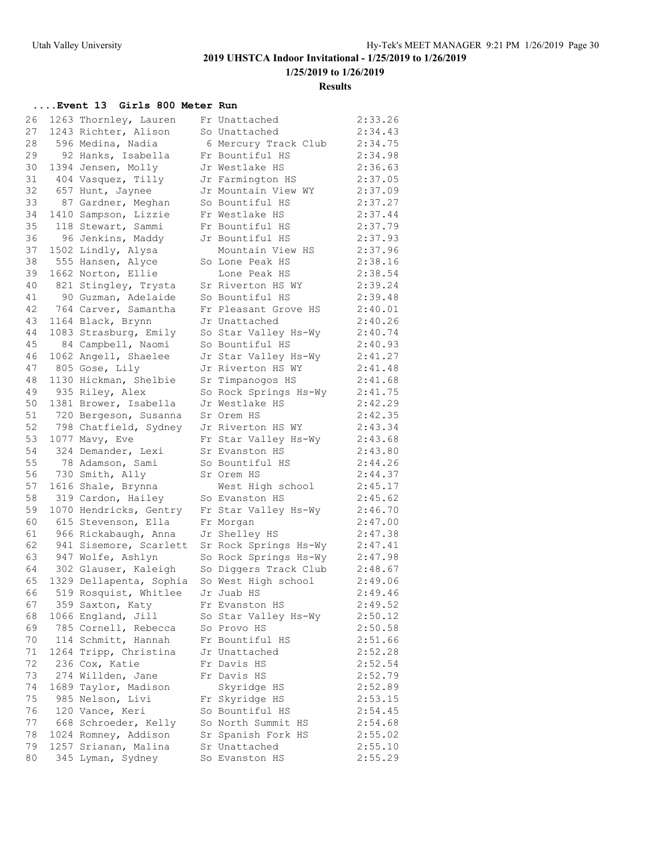**1/25/2019 to 1/26/2019**

#### **Results**

### **....Event 13 Girls 800 Meter Run**

| 26 | 1263 Thornley, Lauren   | Fr Unattached                      | 2:33.26 |
|----|-------------------------|------------------------------------|---------|
| 27 | 1243 Richter, Alison    | So Unattached                      | 2:34.43 |
| 28 | 596 Medina, Nadia       | 6 Mercury Track Club               | 2:34.75 |
| 29 | 92 Hanks, Isabella      | Fr Bountiful HS                    | 2:34.98 |
| 30 | 1394 Jensen, Molly      | Jr Westlake HS                     | 2:36.63 |
| 31 | 404 Vasquez, Tilly      | Jr Farmington HS                   | 2:37.05 |
| 32 | 657 Hunt, Jaynee        | Jr Mountain View WY                | 2:37.09 |
| 33 | 87 Gardner, Meghan      | So Bountiful HS                    | 2:37.27 |
| 34 | 1410 Sampson, Lizzie    | Fr Westlake HS                     | 2:37.44 |
| 35 | 118 Stewart, Sammi      | Fr Bountiful HS                    | 2:37.79 |
| 36 | 96 Jenkins, Maddy       | Jr Bountiful HS                    | 2:37.93 |
| 37 | 1502 Lindly, Alysa      | Mountain View HS                   | 2:37.96 |
| 38 | 555 Hansen, Alyce       | So Lone Peak HS                    | 2:38.16 |
| 39 | 1662 Norton, Ellie      | Lone Peak HS                       | 2:38.54 |
| 40 | 821 Stingley, Trysta    | Sr Riverton HS WY                  | 2:39.24 |
| 41 | 90 Guzman, Adelaide     | So Bountiful HS                    | 2:39.48 |
| 42 | 764 Carver, Samantha    | Fr Pleasant Grove HS               | 2:40.01 |
| 43 | 1164 Black, Brynn       | Jr Unattached                      | 2:40.26 |
| 44 | 1083 Strasburg, Emily   | So Star Valley Hs-Wy               | 2:40.74 |
| 45 | 84 Campbell, Naomi      | So Bountiful HS                    | 2:40.93 |
| 46 | 1062 Angell, Shaelee    | Jr Star Valley Hs-Wy               | 2:41.27 |
| 47 | 805 Gose, Lily          | Jr Riverton HS WY                  | 2:41.48 |
| 48 | 1130 Hickman, Shelbie   | Sr Timpanogos HS                   | 2:41.68 |
| 49 | 935 Riley, Alex         | So Rock Springs Hs-Wy              | 2:41.75 |
| 50 | 1381 Brower, Isabella   | Jr Westlake HS                     | 2:42.29 |
| 51 | 720 Bergeson, Susanna   | Sr Orem HS                         | 2:42.35 |
| 52 | 798 Chatfield, Sydney   | Jr Riverton HS WY                  | 2:43.34 |
| 53 | 1077 Mavy, Eve          | Fr Star Valley Hs-Wy               | 2:43.68 |
| 54 | 324 Demander, Lexi      | Sr Evanston HS                     | 2:43.80 |
| 55 | 78 Adamson, Sami        | So Bountiful HS                    | 2:44.26 |
| 56 | 730 Smith, Ally         | Sr Orem HS                         | 2:44.37 |
| 57 | 1616 Shale, Brynna      |                                    | 2:45.17 |
| 58 | 319 Cardon, Hailey      | West High school<br>So Evanston HS | 2:45.62 |
| 59 |                         |                                    | 2:46.70 |
| 60 | 1070 Hendricks, Gentry  | Fr Star Valley Hs-Wy               |         |
|    | 615 Stevenson, Ella     | Fr Morgan                          | 2:47.00 |
| 61 | 966 Rickabaugh, Anna    | Jr Shelley HS                      | 2:47.38 |
| 62 | 941 Sisemore, Scarlett  | Sr Rock Springs Hs-Wy              | 2:47.41 |
| 63 | 947 Wolfe, Ashlyn       | So Rock Springs Hs-Wy              | 2:47.98 |
| 64 | 302 Glauser, Kaleigh    | So Diggers Track Club              | 2:48.67 |
| 65 | 1329 Dellapenta, Sophia | So West High school                | 2:49.06 |
| 66 | 519 Rosquist, Whitlee   | Jr Juab HS                         | 2:49.46 |
| 67 | 359 Saxton, Katy        | Fr Evanston HS                     | 2:49.52 |
| 68 | 1066 England, Jill      | So Star Valley Hs-Wy               | 2:50.12 |
| 69 | 785 Cornell, Rebecca    | So Provo HS                        | 2:50.58 |
| 70 | 114 Schmitt, Hannah     | Fr Bountiful HS                    | 2:51.66 |
| 71 | 1264 Tripp, Christina   | Jr Unattached                      | 2:52.28 |
| 72 | 236 Cox, Katie          | Fr Davis HS                        | 2:52.54 |
| 73 | 274 Willden, Jane       | Fr Davis HS                        | 2:52.79 |
| 74 | 1689 Taylor, Madison    | Skyridge HS                        | 2:52.89 |
| 75 | 985 Nelson, Livi        | Fr Skyridge HS                     | 2:53.15 |
| 76 | 120 Vance, Keri         | So Bountiful HS                    | 2:54.45 |
| 77 | 668 Schroeder, Kelly    | So North Summit HS                 | 2:54.68 |
| 78 | 1024 Romney, Addison    | Sr Spanish Fork HS                 | 2:55.02 |
| 79 | 1257 Srianan, Malina    | Sr Unattached                      | 2:55.10 |
| 80 | 345 Lyman, Sydney       | So Evanston HS                     | 2:55.29 |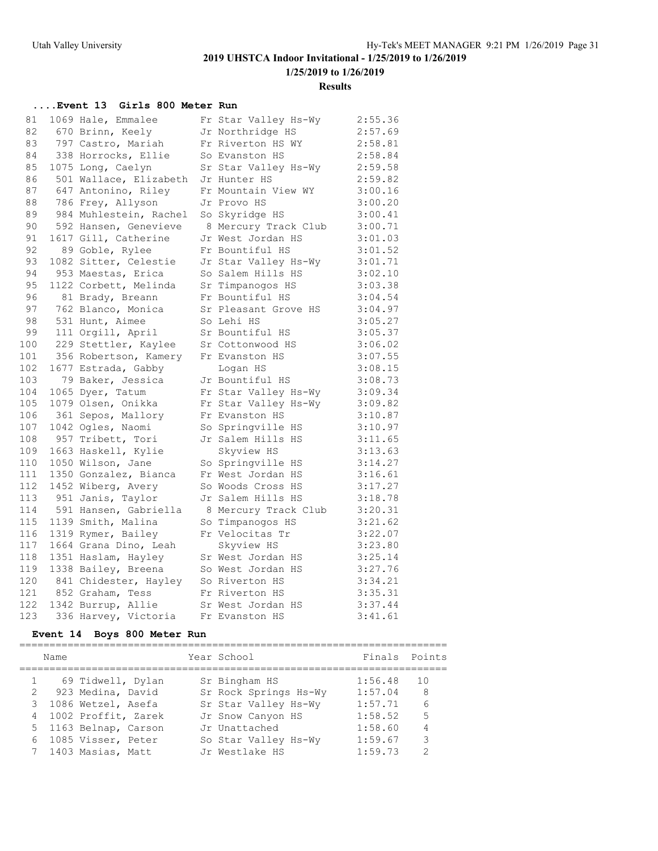**1/25/2019 to 1/26/2019**

#### **Results**

### **....Event 13 Girls 800 Meter Run**

| 81  | 1069 Hale, Emmalee     | Fr Star Valley Hs-Wy | 2:55.36 |
|-----|------------------------|----------------------|---------|
| 82  | 670 Brinn, Keely       | Jr Northridge HS     | 2:57.69 |
| 83  | 797 Castro, Mariah     | Fr Riverton HS WY    | 2:58.81 |
| 84  | 338 Horrocks, Ellie    | So Evanston HS       | 2:58.84 |
| 85  | 1075 Long, Caelyn      | Sr Star Valley Hs-Wy | 2:59.58 |
| 86  | 501 Wallace, Elizabeth | Jr Hunter HS         | 2:59.82 |
| 87  | 647 Antonino, Riley    | Fr Mountain View WY  | 3:00.16 |
| 88  | 786 Frey, Allyson      | Jr Provo HS          | 3:00.20 |
| 89  | 984 Muhlestein, Rachel | So Skyridge HS       | 3:00.41 |
| 90  | 592 Hansen, Genevieve  | 8 Mercury Track Club | 3:00.71 |
| 91  | 1617 Gill, Catherine   | Jr West Jordan HS    | 3:01.03 |
| 92  | 89 Goble, Rylee        | Fr Bountiful HS      | 3:01.52 |
| 93  | 1082 Sitter, Celestie  | Jr Star Valley Hs-Wy | 3:01.71 |
| 94  | 953 Maestas, Erica     | So Salem Hills HS    | 3:02.10 |
| 95  | 1122 Corbett, Melinda  | Sr Timpanogos HS     | 3:03.38 |
| 96  | 81 Brady, Breann       | Fr Bountiful HS      | 3:04.54 |
| 97  | 762 Blanco, Monica     | Sr Pleasant Grove HS | 3:04.97 |
| 98  | 531 Hunt, Aimee        | So Lehi HS           | 3:05.27 |
| 99  | 111 Orgill, April      | Sr Bountiful HS      | 3:05.37 |
| 100 | 229 Stettler, Kaylee   | Sr Cottonwood HS     | 3:06.02 |
| 101 | 356 Robertson, Kamery  | Fr Evanston HS       | 3:07.55 |
| 102 | 1677 Estrada, Gabby    | Logan HS             | 3:08.15 |
| 103 | 79 Baker, Jessica      | Jr Bountiful HS      | 3:08.73 |
| 104 | 1065 Dyer, Tatum       | Fr Star Valley Hs-Wy | 3:09.34 |
| 105 | 1079 Olsen, Onikka     | Fr Star Valley Hs-Wy | 3:09.82 |
| 106 | 361 Sepos, Mallory     | Fr Evanston HS       | 3:10.87 |
| 107 | 1042 Ogles, Naomi      | So Springville HS    | 3:10.97 |
| 108 | 957 Tribett, Tori      | Jr Salem Hills HS    | 3:11.65 |
| 109 | 1663 Haskell, Kylie    | Skyview HS           | 3:13.63 |
| 110 | 1050 Wilson, Jane      | So Springville HS    | 3:14.27 |
| 111 | 1350 Gonzalez, Bianca  | Fr West Jordan HS    | 3:16.61 |
| 112 | 1452 Wiberg, Avery     | So Woods Cross HS    | 3:17.27 |
| 113 | 951 Janis, Taylor      | Jr Salem Hills HS    | 3:18.78 |
| 114 | 591 Hansen, Gabriella  | 8 Mercury Track Club | 3:20.31 |
| 115 | 1139 Smith, Malina     | So Timpanogos HS     | 3:21.62 |
| 116 | 1319 Rymer, Bailey     | Fr Velocitas Tr      | 3:22.07 |
| 117 | 1664 Grana Dino, Leah  | Skyview HS           | 3:23.80 |
| 118 | 1351 Haslam, Hayley    | Sr West Jordan HS    | 3:25.14 |
| 119 | 1338 Bailey, Breena    | So West Jordan HS    | 3:27.76 |
| 120 | 841 Chidester, Hayley  | So Riverton HS       | 3:34.21 |
| 121 | 852 Graham, Tess       | Fr Riverton HS       | 3:35.31 |
| 122 | 1342 Burrup, Allie     | Sr West Jordan HS    | 3:37.44 |
| 123 | 336 Harvey, Victoria   | Fr Evanston HS       | 3:41.61 |

### **Event 14 Boys 800 Meter Run**

|   | Name |                       | Year School           | Finals  | Points        |
|---|------|-----------------------|-----------------------|---------|---------------|
|   |      | 69 Tidwell, Dylan     | Sr Bingham HS         | 1:56.48 | 1 O           |
| 2 |      | 923 Medina, David     | Sr Rock Springs Hs-Wy | 1:57.04 | -8            |
|   |      | 3 1086 Wetzel, Asefa  | Sr Star Valley Hs-Wy  | 1:57.71 | 6             |
|   |      | 4 1002 Proffit, Zarek | Jr Snow Canyon HS     | 1:58.52 | 5             |
|   |      | 5 1163 Belnap, Carson | Jr Unattached         | 1:58.60 | 4             |
|   |      | 6 1085 Visser, Peter  | So Star Valley Hs-Wy  | 1:59.67 | 3             |
|   |      | 7 1403 Masias, Matt   | Jr Westlake HS        | 1:59.73 | $\mathcal{D}$ |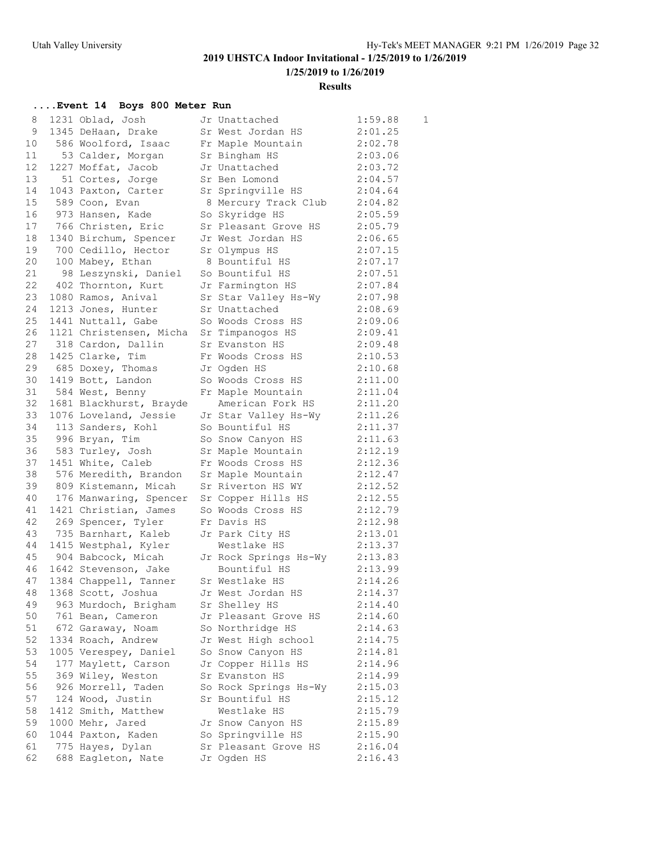**1/25/2019 to 1/26/2019**

#### **Results**

| 8  | 1231 Oblad, Josh                         | Jr Unattached         | 1:59.88 | 1 |
|----|------------------------------------------|-----------------------|---------|---|
| 9  | 1345 DeHaan, Drake                       | Sr West Jordan HS     | 2:01.25 |   |
| 10 | 586 Woolford, Isaac                      | Fr Maple Mountain     | 2:02.78 |   |
| 11 | 53 Calder, Morgan                        | Sr Bingham HS         | 2:03.06 |   |
| 12 | 1227 Moffat, Jacob                       | Jr Unattached         | 2:03.72 |   |
| 13 | 51 Cortes, Jorge                         | Sr Ben Lomond         | 2:04.57 |   |
| 14 | 1043 Paxton, Carter                      | Sr Springville HS     | 2:04.64 |   |
| 15 | 589 Coon, Evan                           | 8 Mercury Track Club  | 2:04.82 |   |
| 16 | 973 Hansen, Kade                         | So Skyridge HS        | 2:05.59 |   |
| 17 | 766 Christen, Eric                       | Sr Pleasant Grove HS  | 2:05.79 |   |
| 18 | 1340 Birchum, Spencer                    | Jr West Jordan HS     | 2:06.65 |   |
| 19 | 700 Cedillo, Hector                      | Sr Olympus HS         | 2:07.15 |   |
| 20 | 100 Mabey, Ethan                         | 8 Bountiful HS        | 2:07.17 |   |
| 21 | 98 Leszynski, Daniel                     | So Bountiful HS       | 2:07.51 |   |
| 22 | 402 Thornton, Kurt                       | Jr Farmington HS      | 2:07.84 |   |
| 23 | 1080 Ramos, Anival                       | Sr Star Valley Hs-Wy  | 2:07.98 |   |
| 24 | 1213 Jones, Hunter                       | Sr Unattached         | 2:08.69 |   |
| 25 | 1441 Nuttall, Gabe                       | So Woods Cross HS     | 2:09.06 |   |
| 26 | 1121 Christensen, Micha                  | Sr Timpanogos HS      | 2:09.41 |   |
| 27 | 318 Cardon, Dallin                       | Sr Evanston HS        | 2:09.48 |   |
| 28 | 1425 Clarke, Tim                         | Fr Woods Cross HS     | 2:10.53 |   |
| 29 | 685 Doxey, Thomas                        | Jr Oqden HS           | 2:10.68 |   |
| 30 | 1419 Bott, Landon                        | So Woods Cross HS     | 2:11.00 |   |
| 31 | 584 West, Benny                          | Fr Maple Mountain     | 2:11.04 |   |
| 32 | 1681 Blackhurst, Brayde                  | American Fork HS      | 2:11.20 |   |
| 33 | 1076 Loveland, Jessie                    | Jr Star Valley Hs-Wy  | 2:11.26 |   |
| 34 | 113 Sanders, Kohl                        | So Bountiful HS       | 2:11.37 |   |
| 35 | 996 Bryan, Tim                           | So Snow Canyon HS     | 2:11.63 |   |
| 36 | 583 Turley, Josh                         | Sr Maple Mountain     | 2:12.19 |   |
| 37 | 1451 White, Caleb                        | Fr Woods Cross HS     | 2:12.36 |   |
| 38 | 576 Meredith, Brandon                    | Sr Maple Mountain     | 2:12.47 |   |
| 39 | 809 Kistemann, Micah                     | Sr Riverton HS WY     | 2:12.52 |   |
| 40 | 176 Manwaring, Spencer                   | Sr Copper Hills HS    | 2:12.55 |   |
| 41 | 1421 Christian, James                    | So Woods Cross HS     | 2:12.79 |   |
| 42 | 269 Spencer, Tyler                       | Fr Davis HS           | 2:12.98 |   |
| 43 | 735 Barnhart, Kaleb                      | Jr Park City HS       | 2:13.01 |   |
| 44 | 1415 Westphal, Kyler                     | Westlake HS           | 2:13.37 |   |
| 45 | 904 Babcock, Micah                       | Jr Rock Springs Hs-Wy | 2:13.83 |   |
| 46 | 1642 Stevenson, Jake                     | Bountiful HS          | 2:13.99 |   |
| 47 | 1384 Chappell, Tanner                    | Sr Westlake HS        | 2:14.26 |   |
| 48 | 1368 Scott, Joshua     Jr West Jordan HS |                       | 2:14.37 |   |
| 49 | 963 Murdoch, Brigham                     | Sr Shelley HS         | 2:14.40 |   |
| 50 | 761 Bean, Cameron                        | Jr Pleasant Grove HS  | 2:14.60 |   |
| 51 | 672 Garaway, Noam                        | So Northridge HS      | 2:14.63 |   |
| 52 | 1334 Roach, Andrew                       | Jr West High school   | 2:14.75 |   |
| 53 | 1005 Verespey, Daniel                    | So Snow Canyon HS     | 2:14.81 |   |
| 54 | 177 Maylett, Carson                      | Jr Copper Hills HS    | 2:14.96 |   |
| 55 | 369 Wiley, Weston                        | Sr Evanston HS        | 2:14.99 |   |
| 56 | 926 Morrell, Taden                       | So Rock Springs Hs-Wy | 2:15.03 |   |
| 57 | 124 Wood, Justin                         | Sr Bountiful HS       | 2:15.12 |   |
| 58 | 1412 Smith, Matthew                      | Westlake HS           | 2:15.79 |   |
| 59 | 1000 Mehr, Jared                         | Jr Snow Canyon HS     | 2:15.89 |   |
| 60 | 1044 Paxton, Kaden                       | So Springville HS     | 2:15.90 |   |
| 61 | 775 Hayes, Dylan                         | Sr Pleasant Grove HS  | 2:16.04 |   |
| 62 | 688 Eagleton, Nate                       | Jr Ogden HS           | 2:16.43 |   |
|    |                                          |                       |         |   |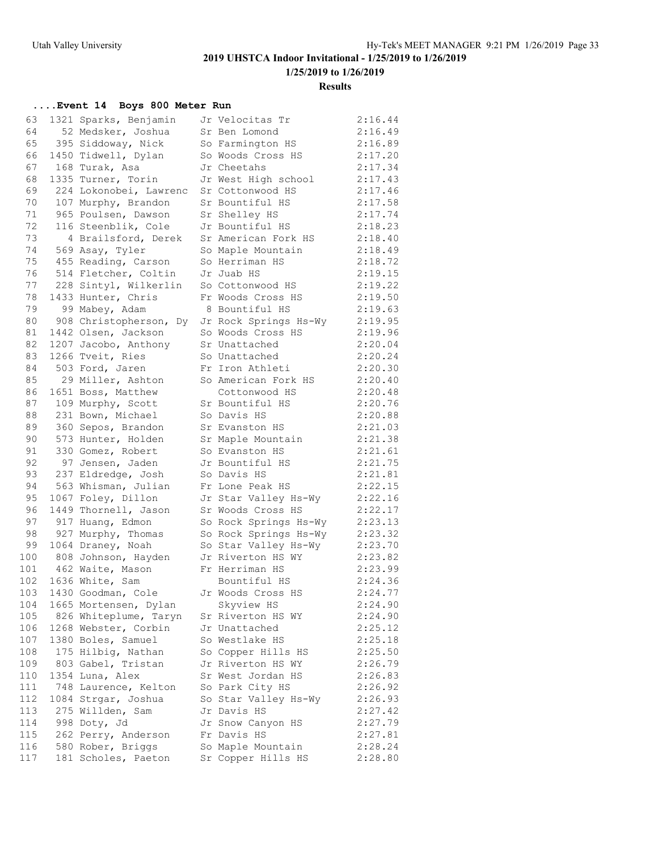**1/25/2019 to 1/26/2019**

#### **Results**

| 63  | 1321 Sparks, Benjamin  | Jr Velocitas Tr       | 2:16.44 |
|-----|------------------------|-----------------------|---------|
| 64  | 52 Medsker, Joshua     | Sr Ben Lomond         | 2:16.49 |
| 65  | 395 Siddoway, Nick     | So Farmington HS      | 2:16.89 |
| 66  | 1450 Tidwell, Dylan    | So Woods Cross HS     | 2:17.20 |
| 67  | 168 Turak, Asa         | Jr Cheetahs           | 2:17.34 |
| 68  | 1335 Turner, Torin     | Jr West High school   | 2:17.43 |
| 69  | 224 Lokonobei, Lawrenc | Sr Cottonwood HS      | 2:17.46 |
| 70  | 107 Murphy, Brandon    | Sr Bountiful HS       | 2:17.58 |
| 71  | 965 Poulsen, Dawson    | Sr Shelley HS         | 2:17.74 |
| 72  | 116 Steenblik, Cole    | Jr Bountiful HS       | 2:18.23 |
| 73  | 4 Brailsford, Derek    | Sr American Fork HS   | 2:18.40 |
| 74  | 569 Asay, Tyler        | So Maple Mountain     | 2:18.49 |
| 75  | 455 Reading, Carson    | So Herriman HS        | 2:18.72 |
| 76  | 514 Fletcher, Coltin   | Jr Juab HS            | 2:19.15 |
| 77  | 228 Sintyl, Wilkerlin  | So Cottonwood HS      | 2:19.22 |
| 78  | 1433 Hunter, Chris     | Fr Woods Cross HS     | 2:19.50 |
| 79  | 99 Mabey, Adam         | 8 Bountiful HS        | 2:19.63 |
| 80  | 908 Christopherson, Dy | Jr Rock Springs Hs-Wy | 2:19.95 |
| 81  | 1442 Olsen, Jackson    | So Woods Cross HS     | 2:19.96 |
| 82  | 1207 Jacobo, Anthony   | Sr Unattached         | 2:20.04 |
| 83  | 1266 Tveit, Ries       | So Unattached         | 2:20.24 |
| 84  | 503 Ford, Jaren        | Fr Iron Athleti       | 2:20.30 |
| 85  | 29 Miller, Ashton      | So American Fork HS   | 2:20.40 |
| 86  | 1651 Boss, Matthew     | Cottonwood HS         | 2:20.48 |
| 87  | 109 Murphy, Scott      | Sr Bountiful HS       | 2:20.76 |
| 88  | 231 Bown, Michael      | So Davis HS           | 2:20.88 |
| 89  | 360 Sepos, Brandon     | Sr Evanston HS        | 2:21.03 |
| 90  | 573 Hunter, Holden     | Sr Maple Mountain     | 2:21.38 |
| 91  | 330 Gomez, Robert      | So Evanston HS        | 2:21.61 |
| 92  | 97 Jensen, Jaden       | Jr Bountiful HS       | 2:21.75 |
| 93  | 237 Eldredge, Josh     | So Davis HS           | 2:21.81 |
| 94  | 563 Whisman, Julian    | Fr Lone Peak HS       | 2:22.15 |
| 95  | 1067 Foley, Dillon     | Jr Star Valley Hs-Wy  | 2:22.16 |
| 96  | 1449 Thornell, Jason   | Sr Woods Cross HS     | 2:22.17 |
| 97  | 917 Huang, Edmon       | So Rock Springs Hs-Wy | 2:23.13 |
| 98  | 927 Murphy, Thomas     | So Rock Springs Hs-Wy | 2:23.32 |
| 99  | 1064 Draney, Noah      | So Star Valley Hs-Wy  | 2:23.70 |
| 100 | 808 Johnson, Hayden    | Jr Riverton HS WY     | 2:23.82 |
| 101 | 462 Waite, Mason       | Fr Herriman HS        | 2:23.99 |
| 102 | 1636 White, Sam        | Bountiful HS          | 2:24.36 |
| 103 | 1430 Goodman, Cole     | Jr Woods Cross HS     | 2:24.77 |
| 104 | 1665 Mortensen, Dylan  | Skyview HS            | 2:24.90 |
| 105 | 826 Whiteplume, Taryn  | Sr Riverton HS WY     | 2:24.90 |
| 106 | 1268 Webster, Corbin   | Jr Unattached         | 2:25.12 |
| 107 | 1380 Boles, Samuel     | So Westlake HS        | 2:25.18 |
| 108 | 175 Hilbig, Nathan     | So Copper Hills HS    | 2:25.50 |
| 109 | 803 Gabel, Tristan     | Jr Riverton HS WY     | 2:26.79 |
| 110 | 1354 Luna, Alex        | Sr West Jordan HS     | 2:26.83 |
| 111 | 748 Laurence, Kelton   | So Park City HS       | 2:26.92 |
| 112 | 1084 Strgar, Joshua    | So Star Valley Hs-Wy  | 2:26.93 |
| 113 | 275 Willden, Sam       | Jr Davis HS           | 2:27.42 |
| 114 | 998 Doty, Jd           | Jr Snow Canyon HS     | 2:27.79 |
| 115 | 262 Perry, Anderson    | Fr Davis HS           | 2:27.81 |
| 116 | 580 Rober, Briggs      | So Maple Mountain     | 2:28.24 |
| 117 | 181 Scholes, Paeton    | Sr Copper Hills HS    | 2:28.80 |
|     |                        |                       |         |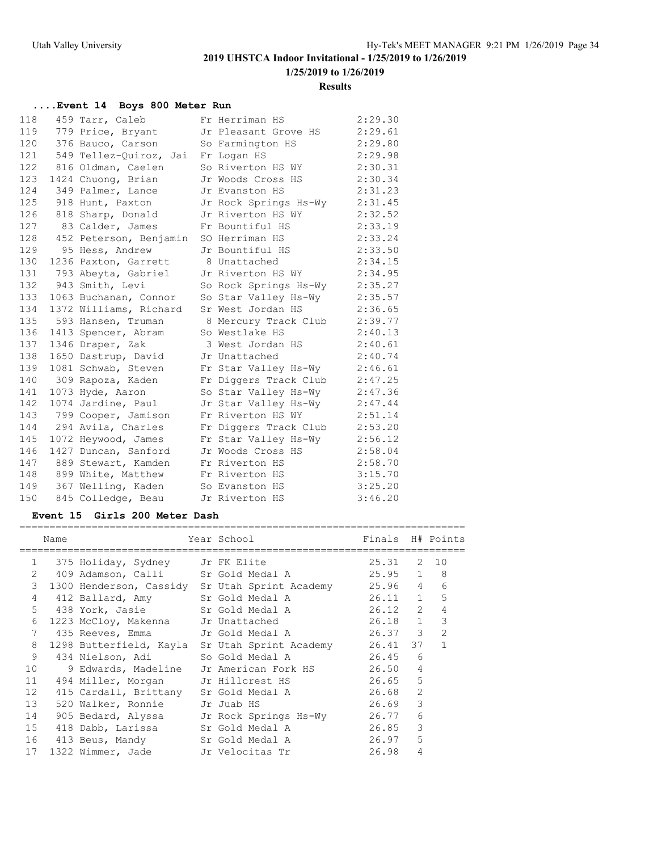**1/25/2019 to 1/26/2019**

#### **Results**

### **....Event 14 Boys 800 Meter Run**

| 118 | 459 Tarr, Caleb                       | Fr Herriman HS        | 2:29.30 |
|-----|---------------------------------------|-----------------------|---------|
| 119 | 779 Price, Bryant                     | Jr Pleasant Grove HS  | 2:29.61 |
| 120 | 376 Bauco, Carson                     | So Farmington HS      | 2:29.80 |
| 121 | 549 Tellez-Quiroz, Jai                | Fr Logan HS           | 2:29.98 |
| 122 | 816 Oldman, Caelen                    | So Riverton HS WY     | 2:30.31 |
| 123 | 1424 Chuong, Brian                    | Jr Woods Cross HS     | 2:30.34 |
| 124 | 349 Palmer, Lance                     | Jr Evanston HS        | 2:31.23 |
| 125 | 918 Hunt, Paxton                      | Jr Rock Springs Hs-Wy | 2:31.45 |
| 126 | 818 Sharp, Donald                     | Jr Riverton HS WY     | 2:32.52 |
| 127 | 83 Calder, James                      | Fr Bountiful HS       | 2:33.19 |
| 128 | 452 Peterson, Benjamin SO Herriman HS |                       | 2:33.24 |
| 129 | 95 Hess, Andrew                       | Jr Bountiful HS       | 2:33.50 |
| 130 | 1236 Paxton, Garrett                  | 8 Unattached          | 2:34.15 |
| 131 | 793 Abeyta, Gabriel                   | Jr Riverton HS WY     | 2:34.95 |
| 132 | 943 Smith, Levi                       | So Rock Springs Hs-Wy | 2:35.27 |
| 133 | 1063 Buchanan, Connor                 | So Star Valley Hs-Wy  | 2:35.57 |
| 134 | 1372 Williams, Richard                | Sr West Jordan HS     | 2:36.65 |
| 135 | 593 Hansen, Truman                    | 8 Mercury Track Club  | 2:39.77 |
| 136 | 1413 Spencer, Abram                   | So Westlake HS        | 2:40.13 |
| 137 | 1346 Draper, Zak                      | 3 West Jordan HS      | 2:40.61 |
| 138 | 1650 Dastrup, David                   | Jr Unattached         | 2:40.74 |
| 139 | 1081 Schwab, Steven                   | Fr Star Valley Hs-Wy  | 2:46.61 |
| 140 | 309 Rapoza, Kaden                     | Fr Diggers Track Club | 2:47.25 |
| 141 | 1073 Hyde, Aaron                      | So Star Valley Hs-Wy  | 2:47.36 |
| 142 | 1074 Jardine, Paul                    | Jr Star Valley Hs-Wy  | 2:47.44 |
| 143 | 799 Cooper, Jamison                   | Fr Riverton HS WY     | 2:51.14 |
| 144 | 294 Avila, Charles                    | Fr Diggers Track Club | 2:53.20 |
| 145 | 1072 Heywood, James                   | Fr Star Valley Hs-Wy  | 2:56.12 |
| 146 | 1427 Duncan, Sanford                  | Jr Woods Cross HS     | 2:58.04 |
| 147 | 889 Stewart, Kamden                   | Fr Riverton HS        | 2:58.70 |
| 148 | 899 White, Matthew                    | Fr Riverton HS        | 3:15.70 |
| 149 | 367 Welling, Kaden                    | So Evanston HS        | 3:25.20 |
| 150 | 845 Colledge, Beau                    | Jr Riverton HS        | 3:46.20 |

### **Event 15 Girls 200 Meter Dash**

|                       | Name |                                   | Year School in the School and the School and the School and the School and the School and the School | Finals H# Points |                |                |
|-----------------------|------|-----------------------------------|------------------------------------------------------------------------------------------------------|------------------|----------------|----------------|
| $\mathbf{1}$          |      | 375 Holiday, Sydney Jr FK Elite   |                                                                                                      | 25.31 2 10       |                |                |
| $\mathbf{2}^{\prime}$ |      |                                   | 409 Adamson, Calli Sr Gold Medal A 25.95                                                             |                  | $\mathbf{1}$   | 8              |
| 3                     |      |                                   | 1300 Henderson, Cassidy Sr Utah Sprint Academy 25.96 4                                               |                  |                | 6              |
| 4                     |      | 412 Ballard, Amy                  | Sr Gold Medal A                                                                                      | 26.11 1          |                | 5              |
| 5                     |      | 438 York, Jasie                   | Sr Gold Medal A                                                                                      | 26.12            | $\overline{2}$ | 4              |
| 6                     |      | 1223 McCloy, Makenna              | Jr Unattached                                                                                        | 26.18 1          |                | 3              |
| 7                     |      | 435 Reeves, Emma                  | Jr Gold Medal A 26.37 3                                                                              |                  |                | $\overline{2}$ |
| 8                     |      | 1298 Butterfield, Kayla           | Sr Utah Sprint Academy 26.41                                                                         |                  | 37             | $\mathbf{1}$   |
| 9                     |      | 434 Nielson, Adi So Gold Medal A  |                                                                                                      | 26.45            | 6              |                |
| 10                    |      |                                   | 9 Edwards, Madeline Jr American Fork HS   26.50 4                                                    |                  |                |                |
| 11                    |      |                                   | 494 Miller, Morgan Jr Hillcrest HS 26.65 5                                                           |                  |                |                |
| 12                    |      | 415 Cardall, Brittany             | Sr Gold Medal A                                                                                      | 26.68            | $\overline{2}$ |                |
| 13                    |      | 520 Walker, Ronnie                | Jr Juab HS                                                                                           | 26.69            | 3              |                |
| 14                    |      | 905 Bedard, Alyssa                | Jr Rock Springs Hs-Wy 26.77                                                                          |                  | 6              |                |
| 15                    |      | 418 Dabb, Larissa                 | Sr Gold Medal A                                                                                      | 26.85            | 3              |                |
| 16                    |      | 413 Beus, Mandy                   | Sr Gold Medal A                                                                                      | 26.97            | 5              |                |
| 17                    |      | 1322 Wimmer, Jade Jr Velocitas Tr |                                                                                                      | 26.98            | 4              |                |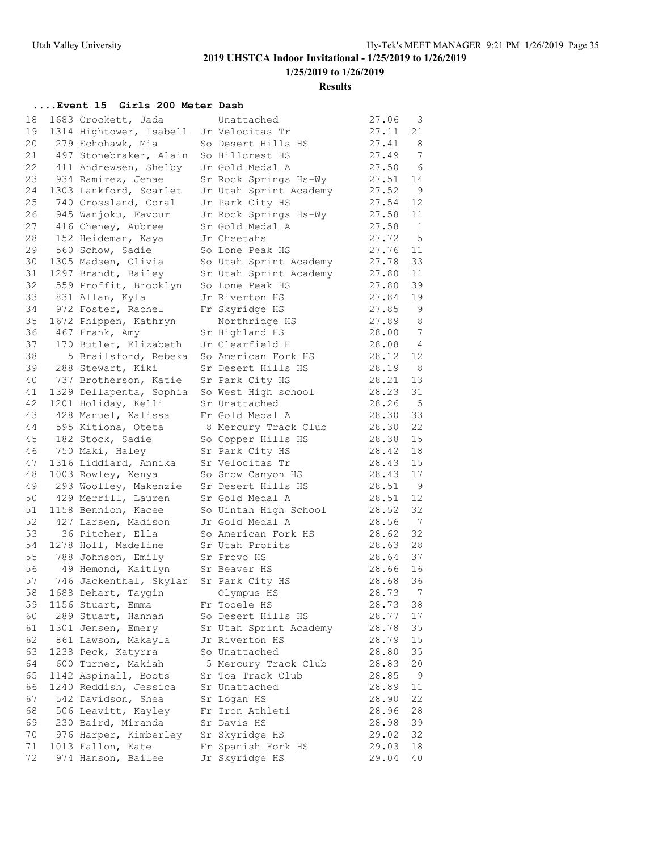**Results**

### **....Event 15 Girls 200 Meter Dash**

| 18 | 1683 Crockett, Jada                    | Unattached             | 27.06 | 3               |
|----|----------------------------------------|------------------------|-------|-----------------|
| 19 | 1314 Hightower, Isabell                | Jr Velocitas Tr        | 27.11 | 21              |
| 20 | 279 Echohawk, Mia                      | So Desert Hills HS     | 27.41 | -8              |
| 21 | 497 Stonebraker, Alain                 | So Hillcrest HS        | 27.49 | 7               |
| 22 | 411 Andrewsen, Shelby                  | Jr Gold Medal A        | 27.50 | - 6             |
| 23 | 934 Ramirez, Jenae                     | Sr Rock Springs Hs-Wy  | 27.51 | 14              |
| 24 | 1303 Lankford, Scarlet                 | Jr Utah Sprint Academy | 27.52 | - 9             |
| 25 | 740 Crossland, Coral                   | Jr Park City HS        | 27.54 | 12              |
| 26 | 945 Wanjoku, Favour                    | Jr Rock Springs Hs-Wy  | 27.58 | 11              |
| 27 | 416 Cheney, Aubree                     | Sr Gold Medal A        | 27.58 | 1               |
| 28 | 152 Heideman, Kaya                     | Jr Cheetahs            | 27.72 | $5^{\circ}$     |
| 29 | 560 Schow, Sadie                       | So Lone Peak HS        | 27.76 | 11              |
| 30 | 1305 Madsen, Olivia                    | So Utah Sprint Academy | 27.78 | 33              |
| 31 | 1297 Brandt, Bailey                    | Sr Utah Sprint Academy | 27.80 | 11              |
| 32 | 559 Proffit, Brooklyn                  | So Lone Peak HS        | 27.80 | 39              |
| 33 | 831 Allan, Kyla                        | Jr Riverton HS         | 27.84 | 19              |
| 34 | 972 Foster, Rachel                     | Fr Skyridge HS         | 27.85 | 9               |
| 35 | 1672 Phippen, Kathryn                  | Northridge HS          | 27.89 | 8               |
| 36 | 467 Frank, Amy                         | Sr Highland HS         | 28.00 | $\overline{7}$  |
| 37 | 170 Butler, Elizabeth                  | Jr Clearfield H        | 28.08 | $\overline{4}$  |
| 38 | 5 Brailsford, Rebeka                   | So American Fork HS    | 28.12 | 12              |
| 39 | 288 Stewart, Kiki                      | Sr Desert Hills HS     | 28.19 | - 8             |
| 40 | 737 Brotherson, Katie                  | Sr Park City HS        | 28.21 | 13              |
| 41 | 1329 Dellapenta, Sophia                | So West High school    | 28.23 | 31              |
| 42 | 1201 Holiday, Kelli                    | Sr Unattached          | 28.26 | $-5$            |
| 43 | 428 Manuel, Kalissa                    | Fr Gold Medal A        | 28.30 | 33              |
| 44 | 595 Kitiona, Oteta                     | 8 Mercury Track Club   | 28.30 | 22              |
| 45 | 182 Stock, Sadie                       | So Copper Hills HS     | 28.38 | 15              |
| 46 | 750 Maki, Haley                        | Sr Park City HS        | 28.42 | 18              |
| 47 | 1316 Liddiard, Annika                  | Sr Velocitas Tr        | 28.43 | 15              |
| 48 | 1003 Rowley, Kenya                     | So Snow Canyon HS      | 28.43 | 17              |
| 49 | 293 Woolley, Makenzie                  | Sr Desert Hills HS     | 28.51 | $\overline{9}$  |
| 50 | 429 Merrill, Lauren                    | Sr Gold Medal A        | 28.51 | 12              |
| 51 | 1158 Bennion, Kacee                    | So Uintah High School  | 28.52 | 32              |
| 52 | 427 Larsen, Madison                    | Jr Gold Medal A        | 28.56 | $\overline{7}$  |
| 53 | 36 Pitcher, Ella                       | So American Fork HS    | 28.62 | 32              |
| 54 | 1278 Holl, Madeline                    | Sr Utah Profits        | 28.63 | 28              |
| 55 | 788 Johnson, Emily Sr Provo HS         |                        | 28.64 | 37              |
| 56 | 49 Hemond, Kaitlyn Sr Beaver HS        |                        | 28.66 | 16              |
| 57 | 746 Jackenthal, Skylar Sr Park City HS |                        | 28.68 | 36              |
| 58 | 1688 Dehart, Taygin                    | Olympus HS             | 28.73 | $7\phantom{.0}$ |
| 59 | 1156 Stuart, Emma                      | Fr Tooele HS           | 28.73 | 38              |
| 60 | 289 Stuart, Hannah                     | So Desert Hills HS     | 28.77 | 17              |
| 61 | 1301 Jensen, Emery                     | Sr Utah Sprint Academy | 28.78 | 35              |
| 62 | 861 Lawson, Makayla                    | Jr Riverton HS         | 28.79 | 15              |
| 63 | 1238 Peck, Katyrra                     | So Unattached          | 28.80 | 35              |
| 64 | 600 Turner, Makiah                     | 5 Mercury Track Club   | 28.83 | 20              |
| 65 | 1142 Aspinall, Boots                   | Sr Toa Track Club      | 28.85 | 9               |
| 66 | 1240 Reddish, Jessica                  | Sr Unattached          | 28.89 | 11              |
| 67 | 542 Davidson, Shea                     | Sr Logan HS            | 28.90 | 22              |
| 68 | 506 Leavitt, Kayley                    | Fr Iron Athleti        | 28.96 | 28              |
| 69 | 230 Baird, Miranda                     | Sr Davis HS            | 28.98 | 39              |
| 70 | 976 Harper, Kimberley                  | Sr Skyridge HS         | 29.02 | 32              |
| 71 | 1013 Fallon, Kate                      | Fr Spanish Fork HS     | 29.03 | 18              |
| 72 | 974 Hanson, Bailee                     | Jr Skyridge HS         | 29.04 | 40              |
|    |                                        |                        |       |                 |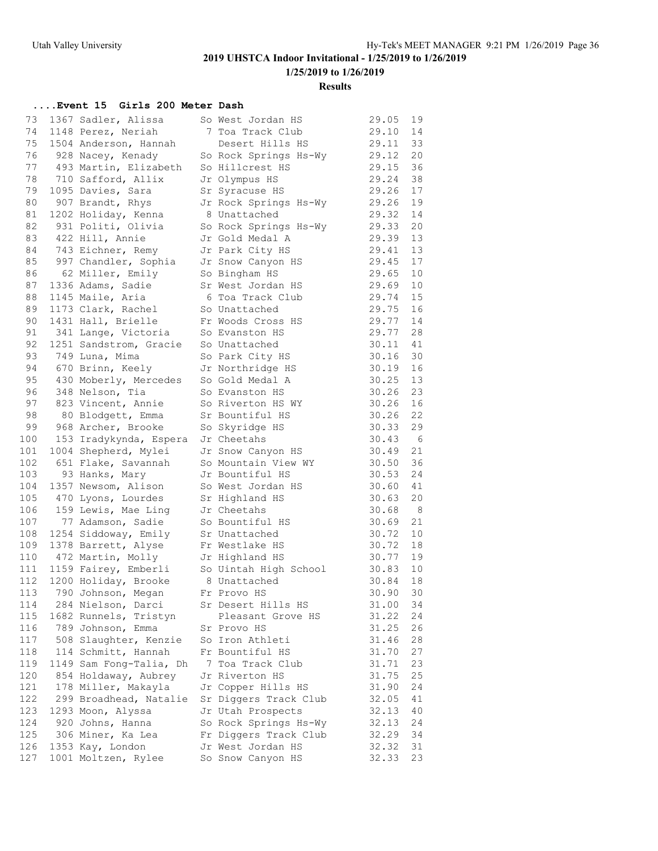**1/25/2019 to 1/26/2019**

### **Results**

### **....Event 15 Girls 200 Meter Dash**

| 73<br>74 | 1367 Sadler, Alissa<br>1148 Perez, Neriah | So West Jordan HS<br>7 Toa Track Club | 29.05<br>29.10 | 19<br>14        |
|----------|-------------------------------------------|---------------------------------------|----------------|-----------------|
| 75       | 1504 Anderson, Hannah                     | Desert Hills HS                       | 29.11          | 33              |
| 76       | 928 Nacey, Kenady                         | So Rock Springs Hs-Wy                 | 29.12          | 20              |
| 77       | 493 Martin, Elizabeth                     | So Hillcrest HS                       | 29.15          | 36              |
| 78       | 710 Safford, Allix                        | Jr Olympus HS                         | 29.24          | 38              |
| 79       | 1095 Davies, Sara                         | Sr Syracuse HS                        | 29.26          | 17              |
| 80       | 907 Brandt, Rhys                          | Jr Rock Springs Hs-Wy                 | 29.26          | 19              |
| 81       | 1202 Holiday, Kenna                       | 8 Unattached                          | 29.32          | 14              |
| 82       | 931 Politi, Olivia                        | So Rock Springs Hs-Wy                 | 29.33          | 20              |
| 83       | 422 Hill, Annie                           | Jr Gold Medal A                       | 29.39          | 13              |
| 84       | 743 Eichner, Remy                         | Jr Park City HS                       | 29.41          | 13              |
| 85       | 997 Chandler, Sophia Jr Snow Canyon HS    |                                       | 29.45          | 17              |
| 86       | 62 Miller, Emily                          | So Bingham HS                         | 29.65          | 10              |
| 87       | 1336 Adams, Sadie                         | Sr West Jordan HS                     | 29.69          | 10              |
| 88       | 1145 Maile, Aria                          | 6 Toa Track Club                      | 29.74          | 15              |
| 89       | 1173 Clark, Rachel                        | So Unattached                         | 29.75          | 16              |
| 90       | 1431 Hall, Brielle                        | Fr Woods Cross HS                     | 29.77          | 14              |
| 91       | 341 Lange, Victoria                       | So Evanston HS                        | 29.77          | 28              |
| 92       | 1251 Sandstrom, Gracie                    | So Unattached                         | 30.11          | 41              |
| 93       | 749 Luna, Mima                            | So Park City HS                       | 30.16          | 30              |
| 94       | 670 Brinn, Keely                          | Jr Northridge HS                      | 30.19          | 16              |
| 95       | 430 Moberly, Mercedes                     | So Gold Medal A                       | 30.25          | 13              |
| 96       | 348 Nelson, Tia                           | So Evanston HS                        | 30.26          | 23              |
| 97       | 823 Vincent, Annie                        | So Riverton HS WY                     | 30.26          | 16              |
| 98       | 80 Blodgett, Emma                         | Sr Bountiful HS                       | 30.26          | 22              |
| 99       | 968 Archer, Brooke                        | So Skyridge HS                        | 30.33          | 29              |
| 100      | 153 Iradykynda, Espera                    | Jr Cheetahs                           | 30.43          | $6\overline{6}$ |
| 101      | 1004 Shepherd, Mylei                      | Jr Snow Canyon HS                     | 30.49          | 21              |
| 102      | 651 Flake, Savannah                       | So Mountain View WY                   | 30.50          | 36              |
| 103      | 93 Hanks, Mary                            | Jr Bountiful HS                       | 30.53          | 24              |
| 104      | 1357 Newsom, Alison                       | So West Jordan HS                     | 30.60          | 41              |
| 105      | 470 Lyons, Lourdes                        | Sr Highland HS                        | 30.63          | 20              |
| 106      | 159 Lewis, Mae Ling                       | Jr Cheetahs                           | 30.68          | 8 <sup>8</sup>  |
| 107      | 77 Adamson, Sadie                         | So Bountiful HS                       | 30.69          | 21              |
| 108      | 1254 Siddoway, Emily                      | Sr Unattached                         | 30.72          | 10              |
| 109      | 1378 Barrett, Alyse                       | Fr Westlake HS                        | 30.72          | 18              |
| 110      | 472 Martin, Molly                         | Jr Highland HS                        | 30.77          | 19              |
| 111      | 1159 Fairey, Emberli                      | So Uintah High School                 | 30.83          | 10              |
| 112      | 1200 Holiday, Brooke                      | 8 Unattached                          | 30.84          | 18              |
| 113      | 790 Johnson, Megan                        | Fr Provo HS                           | 30.90          | 30              |
| 114      | 284 Nielson, Darci                        | Sr Desert Hills HS                    | 31.00          | 34              |
| 115      | 1682 Runnels, Tristyn                     | Pleasant Grove HS                     | 31.22          | 24              |
| 116      | 789 Johnson, Emma                         | Sr Provo HS                           | 31.25          | 26              |
| 117      | 508 Slaughter, Kenzie                     | So Iron Athleti                       | 31.46          | 28              |
| 118      | 114 Schmitt, Hannah                       | Fr Bountiful HS                       | 31.70          | 27              |
| 119      | 1149 Sam Fong-Talia, Dh                   | 7 Toa Track Club                      | 31.71          | 23              |
| 120      | 854 Holdaway, Aubrey                      | Jr Riverton HS                        | 31.75          | 25              |
| 121      | 178 Miller, Makayla                       | Jr Copper Hills HS                    | 31.90          | 24              |
| 122      | 299 Broadhead, Natalie                    | Sr Diggers Track Club                 | 32.05          | 41              |
| 123      | 1293 Moon, Alyssa                         | Jr Utah Prospects                     | 32.13          | 40              |
| 124      | 920 Johns, Hanna                          | So Rock Springs Hs-Wy                 | 32.13          | 24              |
| 125      | 306 Miner, Ka Lea                         | Fr Diggers Track Club                 | 32.29          | 34              |
| 126      | 1353 Kay, London                          | Jr West Jordan HS                     | 32.32          | 31              |
| 127      | 1001 Moltzen, Rylee                       | So Snow Canyon HS                     | 32.33          | 23              |
|          |                                           |                                       |                |                 |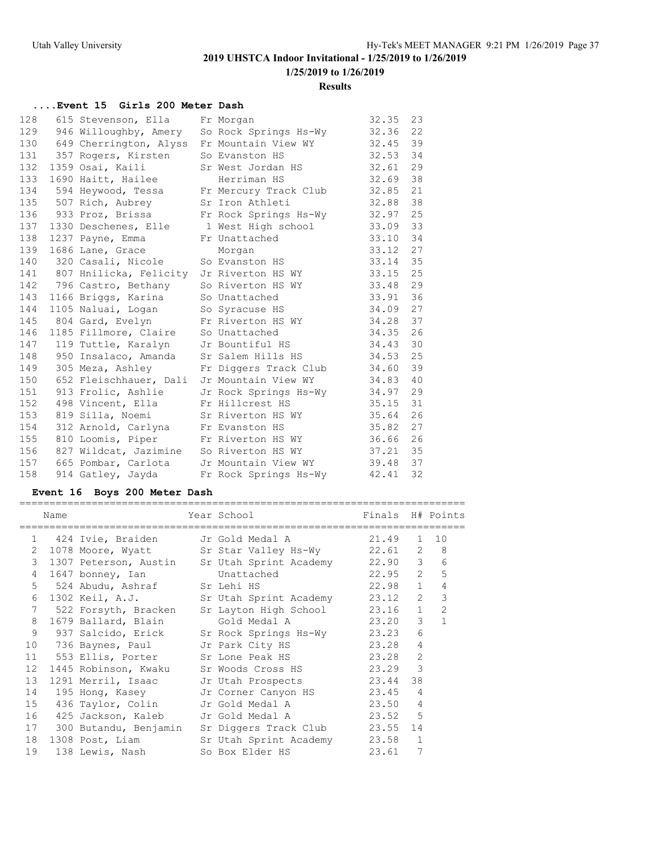# **1/25/2019 to 1/26/2019**

### **Results**

### **....Event 15 Girls 200 Meter Dash**

| 128 | 615 Stevenson, Ella                            | Fr Morgan                                   | 32.35 | 23 |
|-----|------------------------------------------------|---------------------------------------------|-------|----|
| 129 |                                                | 946 Willoughby, Amery So Rock Springs Hs-Wy | 32.36 | 22 |
|     | 130 649 Cherrington, Alyss Fr Mountain View WY |                                             | 32.45 | 39 |
| 131 | 357 Rogers, Kirsten                            | So Evanston HS                              | 32.53 | 34 |
| 132 | 1359 Osai, Kaili                               | Sr West Jordan HS                           | 32.61 | 29 |
| 133 | 1690 Haitt, Hailee                             | Herriman HS                                 | 32.69 | 38 |
| 134 |                                                | 594 Heywood, Tessa Fr Mercury Track Club    | 32.85 | 21 |
| 135 | 507 Rich, Aubrey                               | Sr Iron Athleti                             | 32.88 | 38 |
| 136 | 933 Proz, Brissa                               | Fr Rock Springs Hs-Wy                       | 32.97 | 25 |
| 137 | 1330 Deschenes, Elle                           | 1 West High school                          | 33.09 | 33 |
| 138 | 1237 Payne, Emma                               | Fr Unattached                               | 33.10 | 34 |
| 139 | 1686 Lane, Grace                               | Morgan                                      | 33.12 | 27 |
| 140 | 320 Casali, Nicole                             | So Evanston HS                              | 33.14 | 35 |
| 141 | 807 Hnilicka, Felicity Jr Riverton HS WY       |                                             | 33.15 | 25 |
| 142 | 796 Castro, Bethany So Riverton HS WY          |                                             | 33.48 | 29 |
| 143 | 1166 Briggs, Karina                            | So Unattached                               | 33.91 | 36 |
| 144 | 1105 Naluai, Logan So Syracuse HS              |                                             | 34.09 | 27 |
| 145 | 804 Gard, Evelyn                               | Fr Riverton HS WY                           | 34.28 | 37 |
| 146 | 1185 Fillmore, Claire                          | So Unattached                               | 34.35 | 26 |
| 147 | 119 Tuttle, Karalyn Jr Bountiful HS            |                                             | 34.43 | 30 |
| 148 | 950 Insalaco, Amanda                           | Sr Salem Hills HS                           | 34.53 | 25 |
| 149 | 305 Meza, Ashley                               | Fr Diggers Track Club                       | 34.60 | 39 |
| 150 | 652 Fleischhauer, Dali                         | Jr Mountain View WY                         | 34.83 | 40 |
| 151 | 913 Frolic, Ashlie                             | Jr Rock Springs Hs-Wy                       | 34.97 | 29 |
| 152 | 498 Vincent, Ella                              | Fr Hillcrest HS                             | 35.15 | 31 |
| 153 | 819 Silla, Noemi Sr Riverton HS WY             |                                             | 35.64 | 26 |
| 154 | 312 Arnold, Carlyna Fr Evanston HS             |                                             | 35.82 | 27 |
| 155 | 810 Loomis, Piper                              | Fr Riverton HS WY                           | 36.66 | 26 |
| 156 | 827 Wildcat, Jazimine So Riverton HS WY        |                                             | 37.21 | 35 |
| 157 | 665 Pombar, Carlota     Jr Mountain View WY    |                                             | 39.48 | 37 |
| 158 | 914 Gatley, Jayda                              | Fr Rock Springs Hs-Wy                       | 42.41 | 32 |

### **Event 16 Boys 200 Meter Dash**

|                 | Name |                               | Year School<br>======================                  | Finals H# Points |                |                  |
|-----------------|------|-------------------------------|--------------------------------------------------------|------------------|----------------|------------------|
|                 |      | 1 424 Ivie, Braiden           | Jr Gold Medal A                                        | 21.49            |                | $1 \quad 10$     |
|                 |      |                               | 2 1078 Moore, Wyatt Sr Star Valley Hs-Wy 22.61 2       |                  |                | 8                |
|                 |      |                               | 3 1307 Peterson, Austin Sr Utah Sprint Academy 22.90 3 |                  |                | 6                |
|                 |      | 4 1647 bonney, Ian Unattached |                                                        | 22.95            |                | 5<br>$2^{\circ}$ |
| 5               |      | 524 Abudu, Ashraf Sr Lehi HS  |                                                        | 22.98            | $\mathbf{1}$   | $\overline{4}$   |
| 6               |      | 1302 Keil, A.J.               | Sr Utah Sprint Academy 23.12                           |                  | $\overline{2}$ | 3                |
| $7\phantom{.0}$ |      | 522 Forsyth, Bracken          | Sr Layton High School 23.16 1                          |                  |                | $\overline{2}$   |
|                 |      |                               | 8 1679 Ballard, Blain Gold Medal A 23.20               |                  | 3              | $\mathbf{1}$     |
| 9               |      | 937 Salcido, Erick            | Sr Rock Springs Hs-Wy 23.23                            |                  | 6              |                  |
| 10              |      | 736 Baynes, Paul              | 23.28<br>Jr Park City HS                               |                  | 4              |                  |
|                 |      | 11 553 Ellis, Porter          | Sr Lone Peak HS 23.28                                  |                  | $\overline{2}$ |                  |
| 12              |      |                               | 1445 Robinson, Kwaku Sr Woods Cross HS 23.29 3         |                  |                |                  |
| 13              |      | 1291 Merril, Isaac            | Jr Utah Prospects 23.44                                |                  | 38             |                  |
| 14              |      | 195 Hong, Kasey               | Jr Corner Canyon HS 23.45                              |                  | $\overline{4}$ |                  |
|                 |      | 15 436 Taylor, Colin          | Jr Gold Medal A 23.50                                  |                  | $\overline{4}$ |                  |
| 16              |      | 425 Jackson, Kaleb            | Jr Gold Medal A 23.52 5                                |                  |                |                  |
| 17              |      | 300 Butandu, Benjamin         | Sr Diggers Track Club 23.55                            |                  | 14             |                  |
| 18              |      | 1308 Post, Liam               | Sr Utah Sprint Academy 23.58                           |                  | $\mathbf{1}$   |                  |
| 19              |      | 138 Lewis, Nash               | So Box Elder HS                                        | 23.61            | 7              |                  |

==========================================================================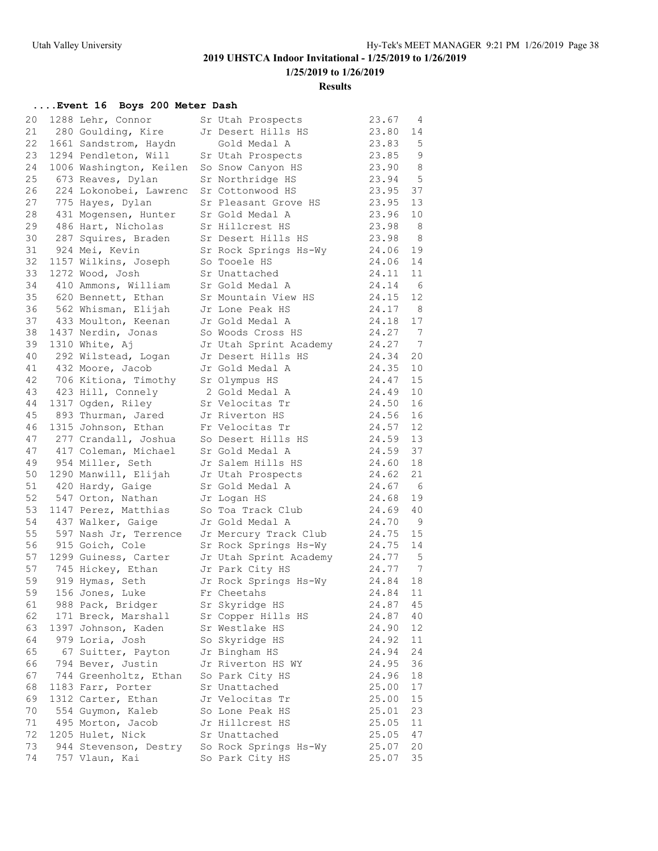**1/25/2019 to 1/26/2019**

### **Results**

### **....Event 16 Boys 200 Meter Dash**

| 20 | 1288 Lehr, Connor                                               | Sr Utah Prospects                  | 23.67          | 4        |
|----|-----------------------------------------------------------------|------------------------------------|----------------|----------|
| 21 | 280 Goulding, Kire                                              | Jr Desert Hills HS                 | 23.80          | 14       |
| 22 | 1661 Sandstrom, Haydn                                           | Gold Medal A                       | 23.83          | 5        |
| 23 | 1294 Pendleton, Will                                            | Sr Utah Prospects                  | 23.85          | 9        |
| 24 | 1006 Washington, Keilen                                         | So Snow Canyon HS                  | 23.90          | 8        |
| 25 | 673 Reaves, Dylan                                               | Sr Northridge HS                   | 23.94          | 5        |
| 26 | 224 Lokonobei, Lawrenc                                          | Sr Cottonwood HS                   | 23.95          | 37       |
| 27 | 775 Hayes, Dylan                                                | Sr Pleasant Grove HS               | 23.95          | 13       |
| 28 | 431 Mogensen, Hunter                                            | Sr Gold Medal A                    | 23.96          | 10       |
| 29 | 486 Hart, Nicholas                                              | Sr Hillcrest HS                    | 23.98          | - 8      |
| 30 | 287 Squires, Braden                                             | Sr Desert Hills HS                 | 23.98          | - 8      |
| 31 | 924 Mei, Kevin                                                  | Sr Rock Springs Hs-Wy              | 24.06          | 19       |
| 32 | 1157 Wilkins, Joseph                                            | So Tooele HS                       | 24.06          | 14       |
| 33 | 1272 Wood, Josh                                                 | Sr Unattached                      | 24.11          | 11       |
| 34 | 410 Ammons, William                                             | Sr Gold Medal A                    | 24.14          | 6        |
| 35 | 620 Bennett, Ethan                                              | Sr Mountain View HS                | 24.15          | 12       |
| 36 | 562 Whisman, Elijah                                             | Jr Lone Peak HS                    | 24.17          | -8       |
| 37 | 433 Moulton, Keenan                                             | Jr Gold Medal A                    | 24.18          | 17       |
| 38 | 1437 Nerdin, Jonas                                              | So Woods Cross HS                  | 24.27          | 7        |
| 39 | 1310 White, Aj                                                  | Jr Utah Sprint Academy             | 24.27          | 7        |
| 40 | 292 Wilstead, Logan                                             | Jr Desert Hills HS                 | 24.34          | 20       |
| 41 | 432 Moore, Jacob                                                | Jr Gold Medal A                    | 24.35          | 10       |
| 42 | 706 Kitiona, Timothy                                            | Sr Olympus HS                      | 24.47          | 15       |
| 43 | 423 Hill, Connely                                               | 2 Gold Medal A                     | 24.49          | 10       |
| 44 | 1317 Ogden, Riley                                               | Sr Velocitas Tr                    | 24.50          | 16       |
| 45 | 893 Thurman, Jared                                              | Jr Riverton HS                     | 24.56          | 16       |
| 46 | 1315 Johnson, Ethan                                             | Fr Velocitas Tr                    | 24.57          | 12       |
| 47 | 277 Crandall, Joshua                                            | So Desert Hills HS                 | 24.59          | 13       |
| 47 | 417 Coleman, Michael                                            | Sr Gold Medal A                    | 24.59          | 37       |
| 49 | 954 Miller, Seth                                                | Jr Salem Hills HS                  | 24.60          | 18       |
| 50 | 1290 Manwill, Elijah                                            | Jr Utah Prospects                  | 24.62          | 21       |
| 51 | 420 Hardy, Gaige                                                | Sr Gold Medal A                    | 24.67          | - 6      |
| 52 | 547 Orton, Nathan                                               | Jr Logan HS                        | 24.68          | 19       |
| 53 | 1147 Perez, Matthias                                            | So Toa Track Club                  | 24.69          | 40       |
| 54 | 437 Walker, Gaige                                               | Jr Gold Medal A                    | 24.70          | - 9      |
| 55 | 597 Nash Jr, Terrence                                           | Jr Mercury Track Club              | 24.75          | 15       |
| 56 | 915 Goich, Cole                                                 | Sr Rock Springs Hs-Wy              | 24.75          | 14       |
| 57 | 1299 Guiness, Carter                                            | Jr Utah Sprint Academy             | 24.77          | -5       |
| 57 | 745 Hickey, Ethan                                               | Jr Park City HS                    | 24.77          | 7        |
| 59 | 919 Hymas, Seth                                                 | Jr Rock Springs Hs-Wy              | 24.84          | 18       |
| 59 | 156 Jones, Luke                                                 | Fr Cheetahs                        | 24.84          | 11       |
| 61 | 988 Pack, Bridger                                               | Sr Skyridge HS                     | 24.87          | 45       |
| 62 | 171 Breck, Marshall                                             | Sr Copper Hills HS                 | 24.87          | 40       |
| 63 | 1397 Johnson, Kaden                                             | Sr Westlake HS                     | 24.90          | 12       |
| 64 | 979 Loria, Josh                                                 |                                    | 24.92          | 11       |
| 65 | 67 Suitter, Payton                                              | So Skyridge HS<br>Jr Bingham HS    | 24.94          | 24       |
| 66 | 794 Bever, Justin                                               | Jr Riverton HS WY                  | 24.95          | 36       |
| 67 | 744 Greenholtz, Ethan                                           |                                    |                |          |
| 68 | 1183 Farr, Porter                                               | So Park City HS<br>Sr Unattached   | 24.96<br>25.00 | 18<br>17 |
| 69 |                                                                 |                                    |                | 15       |
| 70 | 1312 Carter, Ethan<br>554 Guymon, Kaleb                         | Jr Velocitas Tr                    | 25.00          | 23       |
| 71 | 495 Morton, Jacob                                               | So Lone Peak HS<br>Jr Hillcrest HS | 25.01<br>25.05 | 11       |
| 72 |                                                                 |                                    |                |          |
| 73 | 1205 Hulet, Nick<br>944 Stevenson, Destry So Rock Springs Hs-Wy | Sr Unattached                      | 25.05<br>25.07 | 47<br>20 |
| 74 | 757 Vlaun, Kai                                                  |                                    | 25.07          | 35       |
|    |                                                                 | So Park City HS                    |                |          |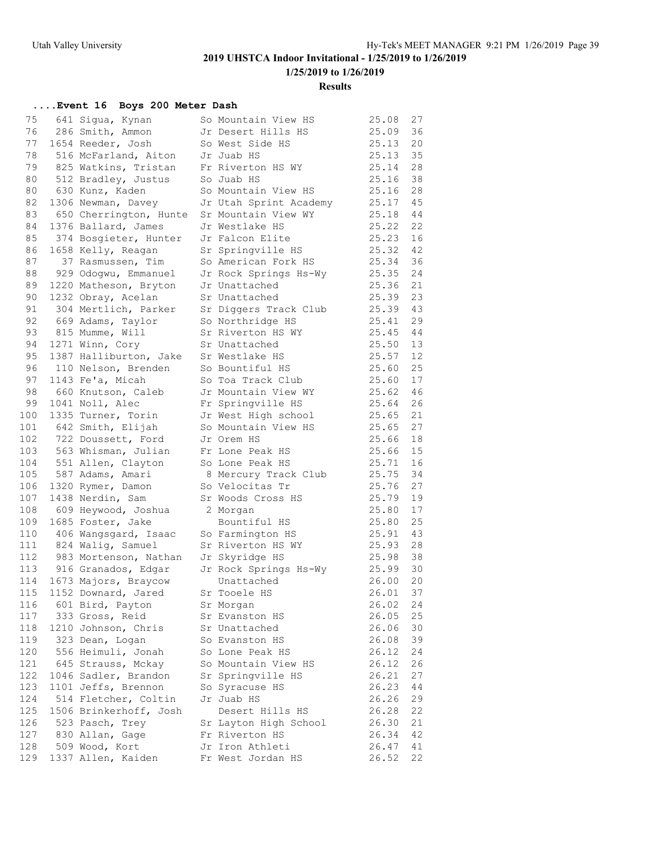**1/25/2019 to 1/26/2019**

**Results**

### **....Event 16 Boys 200 Meter Dash**

| 75         | 641 Sigua, Kynan                    | So Mountain View HS         | 25.08          | 27       |
|------------|-------------------------------------|-----------------------------|----------------|----------|
| 76         | 286 Smith, Ammon                    | Jr Desert Hills HS          | 25.09          | 36       |
| 77         | 1654 Reeder, Josh                   | So West Side HS             | 25.13          | 20       |
| 78         | 516 McFarland, Aiton                | Jr Juab HS                  | 25.13          | 35       |
| 79         | 825 Watkins, Tristan                | Fr Riverton HS WY           | 25.14          | 28       |
| 80         | 512 Bradley, Justus                 | So Juab HS                  | 25.16          | 38       |
| 80         | 630 Kunz, Kaden                     | So Mountain View HS         | 25.16          | 28       |
| 82         | 1306 Newman, Davey                  | Jr Utah Sprint Academy      | 25.17          | 45       |
| 83         | 650 Cherrington, Hunte              | Sr Mountain View WY         | 25.18          | 44       |
| 84         | 1376 Ballard, James                 | Jr Westlake HS              | 25.22          | 22       |
| 85         | 374 Bosgieter, Hunter               | Jr Falcon Elite             | 25.23          | 16       |
| 86         | 1658 Kelly, Reagan                  | Sr Springville HS           | 25.32          | 42       |
| 87         | 37 Rasmussen, Tim                   | So American Fork HS         | 25.34          | 36       |
| 88         | 929 Odogwu, Emmanuel                | Jr Rock Springs Hs-Wy       | 25.35          | 24       |
| 89         | 1220 Matheson, Bryton               | Jr Unattached               | 25.36          | 21       |
| 90         | 1232 Obray, Acelan                  | Sr Unattached               | 25.39          | 23       |
| 91         | 304 Mertlich, Parker                | Sr Diggers Track Club       | 25.39          | 43       |
| 92         | 669 Adams, Taylor                   | So Northridge HS            | 25.41          | 29       |
| 93         | 815 Mumme, Will                     | Sr Riverton HS WY           | 25.45          | 44       |
| 94         | 1271 Winn, Cory                     | Sr Unattached               | 25.50          | 13       |
| 95         | 1387 Halliburton, Jake              | Sr Westlake HS              | 25.57          | 12       |
| 96         | 110 Nelson, Brenden                 | So Bountiful HS             | 25.60          | 25       |
| 97         | 1143 Fe'a, Micah                    | So Toa Track Club           | 25.60          | 17       |
| 98         | 660 Knutson, Caleb                  | Jr Mountain View WY         | 25.62          | 46       |
| 99         | 1041 Noll, Alec                     | Fr Springville HS           | 25.64          | 26       |
| 100        | 1335 Turner, Torin                  | Jr West High school         | 25.65          | 21       |
| 101        | 642 Smith, Elijah                   | So Mountain View HS         | 25.65          | 27       |
| 102        | 722 Doussett, Ford                  | Jr Orem HS                  | 25.66          | 18       |
| 103        | 563 Whisman, Julian                 | Fr Lone Peak HS             | 25.66          | 15       |
| 104        | 551 Allen, Clayton                  | So Lone Peak HS             | 25.71          | 16       |
| 105        | 587 Adams, Amari                    | 8 Mercury Track Club        | 25.75          | 34       |
| 106        | 1320 Rymer, Damon                   | So Velocitas Tr             | 25.76          | 27       |
| 107        | 1438 Nerdin, Sam                    | Sr Woods Cross HS           | 25.79          | 19       |
| 108        | 609 Heywood, Joshua                 | 2 Morgan                    | 25.80          | 17       |
| 109        | 1685 Foster, Jake                   | Bountiful HS                | 25.80          | 25       |
| 110        | 406 Wangsgard, Isaac                | So Farmington HS            | 25.91          | 43       |
| 111        | 824 Walig, Samuel                   | Sr Riverton HS WY           | 25.93          | 28       |
| 112<br>113 | 983 Mortenson, Nathan               | Jr Skyridge HS              | 25.98          | 38<br>30 |
| 114        | 916 Granados, Edgar                 | Jr Rock Springs Hs-Wy       | 25.99<br>26.00 | 20       |
|            | 1673 Majors, Braycow                | Unattached                  |                | 37       |
| 115        | 1152 Downard, Jared                 | Sr Tooele HS                | 26.01<br>26.02 |          |
| 116<br>117 | 601 Bird, Payton<br>333 Gross, Reid | Sr Morgan<br>Sr Evanston HS | 26.05          | 24<br>25 |
| 118        | 1210 Johnson, Chris                 | Sr Unattached               | 26.06          | 30       |
| 119        | 323 Dean, Logan                     | So Evanston HS              | 26.08          | 39       |
| 120        | 556 Heimuli, Jonah                  | So Lone Peak HS             | 26.12          | 24       |
| 121        | 645 Strauss, Mckay                  | So Mountain View HS         | 26.12          | 26       |
| 122        | 1046 Sadler, Brandon                | Sr Springville HS           | 26.21          | 27       |
| 123        | 1101 Jeffs, Brennon                 | So Syracuse HS              | 26.23          | 44       |
| 124        | 514 Fletcher, Coltin                | Jr Juab HS                  | 26.26          | 29       |
| 125        | 1506 Brinkerhoff, Josh              | Desert Hills HS             | 26.28          | 22       |
| 126        | 523 Pasch, Trey                     | Sr Layton High School       | 26.30          | 21       |
| 127        | 830 Allan, Gage                     | Fr Riverton HS              | 26.34          | 42       |
| 128        | 509 Wood, Kort                      | Jr Iron Athleti             | 26.47          | 41       |
| 129        | 1337 Allen, Kaiden                  | Fr West Jordan HS           | 26.52          | 22       |
|            |                                     |                             |                |          |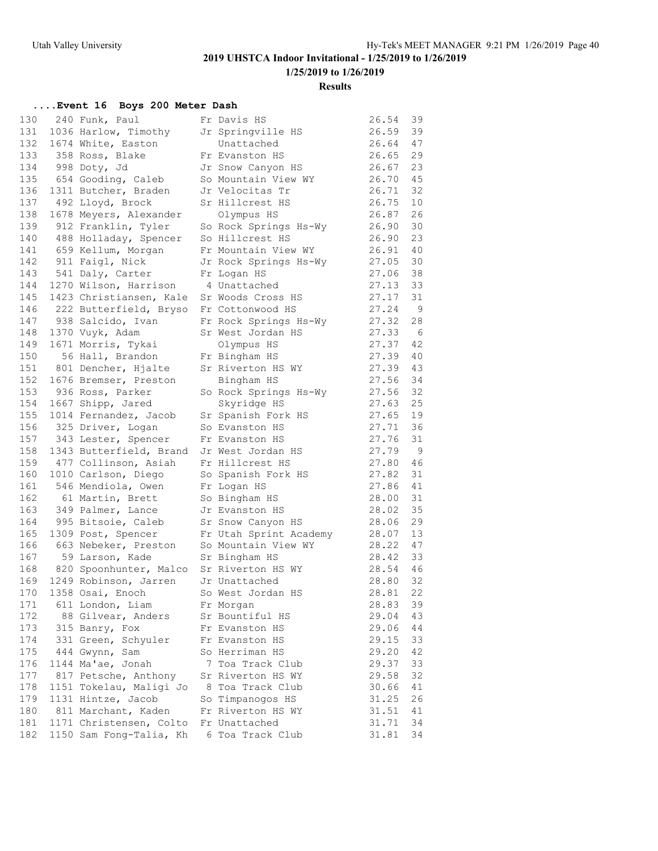## **Results**

### **....Event 16 Boys 200 Meter Dash**

| 240 Funk, Paul<br>Fr Davis HS<br>131<br>1036 Harlow, Timothy<br>39<br>Jr Springville HS<br>26.59<br>132<br>26.64<br>47<br>1674 White, Easton<br>Unattached<br>133 358 Ross, Blake<br>29<br>26.65<br>Fr Evanston HS<br>134<br>23<br>998 Doty, Jd<br>26.67<br>Jr Snow Canyon HS<br>654 Gooding, Caleb<br>135<br>26.70<br>45<br>So Mountain View WY<br>136<br>26.71<br>32<br>1311 Butcher, Braden<br>Jr Velocitas Tr<br>137<br>26.75<br>10<br>492 Lloyd, Brock<br>Sr Hillcrest HS<br>138<br>26.87<br>26<br>1678 Meyers, Alexander<br>Olympus HS<br>139<br>26.90<br>30<br>912 Franklin, Tyler<br>So Rock Springs Hs-Wy<br>140<br>26.90<br>23<br>488 Holladay, Spencer<br>So Hillcrest HS<br>659 Kellum, Morgan<br>141<br>26.91<br>40<br>Fr Mountain View WY<br>142 911 Faigl, Nick<br>30<br>27.05<br>Jr Rock Springs Hs-Wy<br>143<br>27.06<br>38<br>541 Daly, Carter<br>Fr Logan HS<br>144<br>27.13<br>33<br>1270 Wilson, Harrison<br>4 Unattached<br>145<br>27.17<br>31<br>1423 Christiansen, Kale<br>Sr Woods Cross HS<br>27.24<br>146<br>$\overline{9}$<br>222 Butterfield, Bryso<br>Fr Cottonwood HS<br>938 Salcido, Ivan<br>147<br>27.32<br>28<br>Fr Rock Springs Hs-Wy<br>148<br>27.33<br>1370 Vuyk, Adam<br>Sr West Jordan HS<br>- 6<br>149<br>27.37<br>42<br>1671 Morris, Tykai<br>Olympus HS<br>150<br>27.39<br>40<br>56 Hall, Brandon<br>Fr Bingham HS<br>151<br>27.39<br>43<br>801 Dencher, Hjalte<br>Sr Riverton HS WY<br>152<br>27.56<br>34<br>1676 Bremser, Preston<br>Bingham HS<br>153<br>936 Ross, Parker<br>27.56<br>32<br>So Rock Springs Hs-Wy<br>154<br>25<br>1667 Shipp, Jared<br>Skyridge HS<br>27.63<br>155<br>27.65<br>19<br>1014 Fernandez, Jacob<br>Sr Spanish Fork HS<br>156<br>325 Driver, Logan<br>36<br>So Evanston HS<br>27.71<br>157<br>27.76<br>31<br>343 Lester, Spencer<br>Fr Evanston HS<br>158<br>Jr West Jordan HS<br>27.79<br>9<br>1343 Butterfield, Brand<br>159<br>477 Collinson, Asiah<br>Fr Hillcrest HS<br>27.80<br>46<br>160<br>31<br>1010 Carlson, Diego<br>So Spanish Fork HS<br>27.82<br>161<br>27.86<br>41<br>546 Mendiola, Owen<br>Fr Logan HS<br>162<br>28.00<br>31<br>61 Martin, Brett<br>So Bingham HS<br>35<br>163<br>28.02<br>349 Palmer, Lance<br>Jr Evanston HS<br>164<br>28.06<br>29<br>995 Bitsoie, Caleb<br>Sr Snow Canyon HS<br>165<br>13<br>1309 Post, Spencer<br>Fr Utah Sprint Academy<br>28.07<br>47<br>166<br>663 Nebeker, Preston<br>So Mountain View WY<br>28.22<br>167<br>33<br>59 Larson, Kade<br>Sr Bingham HS<br>28.42<br>168<br>28.54<br>46<br>820 Spoonhunter, Malco<br>Sr Riverton HS WY<br>32<br>28.80<br>169<br>1249 Robinson, Jarren<br>Jr Unattached<br>22<br>28.81<br>170 1358 Osai, Enoch<br>So West Jordan HS<br>611 London, Liam<br>39<br>171<br>28.83<br>Fr Morgan<br>172<br>88 Gilvear, Anders<br>Sr Bountiful HS<br>29.04<br>43<br>173<br>315 Banry, Fox<br>29.06<br>Fr Evanston HS<br>44<br>174<br>29.15<br>33<br>331 Green, Schyuler<br>Fr Evanston HS<br>175<br>So Herriman HS<br>29.20<br>42<br>444 Gwynn, Sam<br>176<br>1144 Ma'ae, Jonah<br>7 Toa Track Club<br>29.37<br>33<br>177<br>817 Petsche, Anthony<br>Sr Riverton HS WY<br>29.58<br>32<br>178<br>1151 Tokelau, Maligi Jo<br>8 Toa Track Club<br>30.66<br>41<br>179<br>1131 Hintze, Jacob<br>31.25<br>26<br>So Timpanogos HS<br>180<br>811 Marchant, Kaden<br>Fr Riverton HS WY<br>31.51<br>41<br>181<br>31.71<br>34<br>1171 Christensen, Colto<br>Fr Unattached | 130 |                         |                  | 26.54 | 39 |
|------------------------------------------------------------------------------------------------------------------------------------------------------------------------------------------------------------------------------------------------------------------------------------------------------------------------------------------------------------------------------------------------------------------------------------------------------------------------------------------------------------------------------------------------------------------------------------------------------------------------------------------------------------------------------------------------------------------------------------------------------------------------------------------------------------------------------------------------------------------------------------------------------------------------------------------------------------------------------------------------------------------------------------------------------------------------------------------------------------------------------------------------------------------------------------------------------------------------------------------------------------------------------------------------------------------------------------------------------------------------------------------------------------------------------------------------------------------------------------------------------------------------------------------------------------------------------------------------------------------------------------------------------------------------------------------------------------------------------------------------------------------------------------------------------------------------------------------------------------------------------------------------------------------------------------------------------------------------------------------------------------------------------------------------------------------------------------------------------------------------------------------------------------------------------------------------------------------------------------------------------------------------------------------------------------------------------------------------------------------------------------------------------------------------------------------------------------------------------------------------------------------------------------------------------------------------------------------------------------------------------------------------------------------------------------------------------------------------------------------------------------------------------------------------------------------------------------------------------------------------------------------------------------------------------------------------------------------------------------------------------------------------------------------------------------------------------------------------------------------------------------------------------------------------------------------------------------------------------------------------------------------------------------------------------------------------------------------------------------------------------------------------------------------|-----|-------------------------|------------------|-------|----|
|                                                                                                                                                                                                                                                                                                                                                                                                                                                                                                                                                                                                                                                                                                                                                                                                                                                                                                                                                                                                                                                                                                                                                                                                                                                                                                                                                                                                                                                                                                                                                                                                                                                                                                                                                                                                                                                                                                                                                                                                                                                                                                                                                                                                                                                                                                                                                                                                                                                                                                                                                                                                                                                                                                                                                                                                                                                                                                                                                                                                                                                                                                                                                                                                                                                                                                                                                                                                                  |     |                         |                  |       |    |
|                                                                                                                                                                                                                                                                                                                                                                                                                                                                                                                                                                                                                                                                                                                                                                                                                                                                                                                                                                                                                                                                                                                                                                                                                                                                                                                                                                                                                                                                                                                                                                                                                                                                                                                                                                                                                                                                                                                                                                                                                                                                                                                                                                                                                                                                                                                                                                                                                                                                                                                                                                                                                                                                                                                                                                                                                                                                                                                                                                                                                                                                                                                                                                                                                                                                                                                                                                                                                  |     |                         |                  |       |    |
|                                                                                                                                                                                                                                                                                                                                                                                                                                                                                                                                                                                                                                                                                                                                                                                                                                                                                                                                                                                                                                                                                                                                                                                                                                                                                                                                                                                                                                                                                                                                                                                                                                                                                                                                                                                                                                                                                                                                                                                                                                                                                                                                                                                                                                                                                                                                                                                                                                                                                                                                                                                                                                                                                                                                                                                                                                                                                                                                                                                                                                                                                                                                                                                                                                                                                                                                                                                                                  |     |                         |                  |       |    |
|                                                                                                                                                                                                                                                                                                                                                                                                                                                                                                                                                                                                                                                                                                                                                                                                                                                                                                                                                                                                                                                                                                                                                                                                                                                                                                                                                                                                                                                                                                                                                                                                                                                                                                                                                                                                                                                                                                                                                                                                                                                                                                                                                                                                                                                                                                                                                                                                                                                                                                                                                                                                                                                                                                                                                                                                                                                                                                                                                                                                                                                                                                                                                                                                                                                                                                                                                                                                                  |     |                         |                  |       |    |
|                                                                                                                                                                                                                                                                                                                                                                                                                                                                                                                                                                                                                                                                                                                                                                                                                                                                                                                                                                                                                                                                                                                                                                                                                                                                                                                                                                                                                                                                                                                                                                                                                                                                                                                                                                                                                                                                                                                                                                                                                                                                                                                                                                                                                                                                                                                                                                                                                                                                                                                                                                                                                                                                                                                                                                                                                                                                                                                                                                                                                                                                                                                                                                                                                                                                                                                                                                                                                  |     |                         |                  |       |    |
|                                                                                                                                                                                                                                                                                                                                                                                                                                                                                                                                                                                                                                                                                                                                                                                                                                                                                                                                                                                                                                                                                                                                                                                                                                                                                                                                                                                                                                                                                                                                                                                                                                                                                                                                                                                                                                                                                                                                                                                                                                                                                                                                                                                                                                                                                                                                                                                                                                                                                                                                                                                                                                                                                                                                                                                                                                                                                                                                                                                                                                                                                                                                                                                                                                                                                                                                                                                                                  |     |                         |                  |       |    |
|                                                                                                                                                                                                                                                                                                                                                                                                                                                                                                                                                                                                                                                                                                                                                                                                                                                                                                                                                                                                                                                                                                                                                                                                                                                                                                                                                                                                                                                                                                                                                                                                                                                                                                                                                                                                                                                                                                                                                                                                                                                                                                                                                                                                                                                                                                                                                                                                                                                                                                                                                                                                                                                                                                                                                                                                                                                                                                                                                                                                                                                                                                                                                                                                                                                                                                                                                                                                                  |     |                         |                  |       |    |
|                                                                                                                                                                                                                                                                                                                                                                                                                                                                                                                                                                                                                                                                                                                                                                                                                                                                                                                                                                                                                                                                                                                                                                                                                                                                                                                                                                                                                                                                                                                                                                                                                                                                                                                                                                                                                                                                                                                                                                                                                                                                                                                                                                                                                                                                                                                                                                                                                                                                                                                                                                                                                                                                                                                                                                                                                                                                                                                                                                                                                                                                                                                                                                                                                                                                                                                                                                                                                  |     |                         |                  |       |    |
|                                                                                                                                                                                                                                                                                                                                                                                                                                                                                                                                                                                                                                                                                                                                                                                                                                                                                                                                                                                                                                                                                                                                                                                                                                                                                                                                                                                                                                                                                                                                                                                                                                                                                                                                                                                                                                                                                                                                                                                                                                                                                                                                                                                                                                                                                                                                                                                                                                                                                                                                                                                                                                                                                                                                                                                                                                                                                                                                                                                                                                                                                                                                                                                                                                                                                                                                                                                                                  |     |                         |                  |       |    |
|                                                                                                                                                                                                                                                                                                                                                                                                                                                                                                                                                                                                                                                                                                                                                                                                                                                                                                                                                                                                                                                                                                                                                                                                                                                                                                                                                                                                                                                                                                                                                                                                                                                                                                                                                                                                                                                                                                                                                                                                                                                                                                                                                                                                                                                                                                                                                                                                                                                                                                                                                                                                                                                                                                                                                                                                                                                                                                                                                                                                                                                                                                                                                                                                                                                                                                                                                                                                                  |     |                         |                  |       |    |
|                                                                                                                                                                                                                                                                                                                                                                                                                                                                                                                                                                                                                                                                                                                                                                                                                                                                                                                                                                                                                                                                                                                                                                                                                                                                                                                                                                                                                                                                                                                                                                                                                                                                                                                                                                                                                                                                                                                                                                                                                                                                                                                                                                                                                                                                                                                                                                                                                                                                                                                                                                                                                                                                                                                                                                                                                                                                                                                                                                                                                                                                                                                                                                                                                                                                                                                                                                                                                  |     |                         |                  |       |    |
|                                                                                                                                                                                                                                                                                                                                                                                                                                                                                                                                                                                                                                                                                                                                                                                                                                                                                                                                                                                                                                                                                                                                                                                                                                                                                                                                                                                                                                                                                                                                                                                                                                                                                                                                                                                                                                                                                                                                                                                                                                                                                                                                                                                                                                                                                                                                                                                                                                                                                                                                                                                                                                                                                                                                                                                                                                                                                                                                                                                                                                                                                                                                                                                                                                                                                                                                                                                                                  |     |                         |                  |       |    |
|                                                                                                                                                                                                                                                                                                                                                                                                                                                                                                                                                                                                                                                                                                                                                                                                                                                                                                                                                                                                                                                                                                                                                                                                                                                                                                                                                                                                                                                                                                                                                                                                                                                                                                                                                                                                                                                                                                                                                                                                                                                                                                                                                                                                                                                                                                                                                                                                                                                                                                                                                                                                                                                                                                                                                                                                                                                                                                                                                                                                                                                                                                                                                                                                                                                                                                                                                                                                                  |     |                         |                  |       |    |
|                                                                                                                                                                                                                                                                                                                                                                                                                                                                                                                                                                                                                                                                                                                                                                                                                                                                                                                                                                                                                                                                                                                                                                                                                                                                                                                                                                                                                                                                                                                                                                                                                                                                                                                                                                                                                                                                                                                                                                                                                                                                                                                                                                                                                                                                                                                                                                                                                                                                                                                                                                                                                                                                                                                                                                                                                                                                                                                                                                                                                                                                                                                                                                                                                                                                                                                                                                                                                  |     |                         |                  |       |    |
|                                                                                                                                                                                                                                                                                                                                                                                                                                                                                                                                                                                                                                                                                                                                                                                                                                                                                                                                                                                                                                                                                                                                                                                                                                                                                                                                                                                                                                                                                                                                                                                                                                                                                                                                                                                                                                                                                                                                                                                                                                                                                                                                                                                                                                                                                                                                                                                                                                                                                                                                                                                                                                                                                                                                                                                                                                                                                                                                                                                                                                                                                                                                                                                                                                                                                                                                                                                                                  |     |                         |                  |       |    |
|                                                                                                                                                                                                                                                                                                                                                                                                                                                                                                                                                                                                                                                                                                                                                                                                                                                                                                                                                                                                                                                                                                                                                                                                                                                                                                                                                                                                                                                                                                                                                                                                                                                                                                                                                                                                                                                                                                                                                                                                                                                                                                                                                                                                                                                                                                                                                                                                                                                                                                                                                                                                                                                                                                                                                                                                                                                                                                                                                                                                                                                                                                                                                                                                                                                                                                                                                                                                                  |     |                         |                  |       |    |
|                                                                                                                                                                                                                                                                                                                                                                                                                                                                                                                                                                                                                                                                                                                                                                                                                                                                                                                                                                                                                                                                                                                                                                                                                                                                                                                                                                                                                                                                                                                                                                                                                                                                                                                                                                                                                                                                                                                                                                                                                                                                                                                                                                                                                                                                                                                                                                                                                                                                                                                                                                                                                                                                                                                                                                                                                                                                                                                                                                                                                                                                                                                                                                                                                                                                                                                                                                                                                  |     |                         |                  |       |    |
|                                                                                                                                                                                                                                                                                                                                                                                                                                                                                                                                                                                                                                                                                                                                                                                                                                                                                                                                                                                                                                                                                                                                                                                                                                                                                                                                                                                                                                                                                                                                                                                                                                                                                                                                                                                                                                                                                                                                                                                                                                                                                                                                                                                                                                                                                                                                                                                                                                                                                                                                                                                                                                                                                                                                                                                                                                                                                                                                                                                                                                                                                                                                                                                                                                                                                                                                                                                                                  |     |                         |                  |       |    |
|                                                                                                                                                                                                                                                                                                                                                                                                                                                                                                                                                                                                                                                                                                                                                                                                                                                                                                                                                                                                                                                                                                                                                                                                                                                                                                                                                                                                                                                                                                                                                                                                                                                                                                                                                                                                                                                                                                                                                                                                                                                                                                                                                                                                                                                                                                                                                                                                                                                                                                                                                                                                                                                                                                                                                                                                                                                                                                                                                                                                                                                                                                                                                                                                                                                                                                                                                                                                                  |     |                         |                  |       |    |
|                                                                                                                                                                                                                                                                                                                                                                                                                                                                                                                                                                                                                                                                                                                                                                                                                                                                                                                                                                                                                                                                                                                                                                                                                                                                                                                                                                                                                                                                                                                                                                                                                                                                                                                                                                                                                                                                                                                                                                                                                                                                                                                                                                                                                                                                                                                                                                                                                                                                                                                                                                                                                                                                                                                                                                                                                                                                                                                                                                                                                                                                                                                                                                                                                                                                                                                                                                                                                  |     |                         |                  |       |    |
|                                                                                                                                                                                                                                                                                                                                                                                                                                                                                                                                                                                                                                                                                                                                                                                                                                                                                                                                                                                                                                                                                                                                                                                                                                                                                                                                                                                                                                                                                                                                                                                                                                                                                                                                                                                                                                                                                                                                                                                                                                                                                                                                                                                                                                                                                                                                                                                                                                                                                                                                                                                                                                                                                                                                                                                                                                                                                                                                                                                                                                                                                                                                                                                                                                                                                                                                                                                                                  |     |                         |                  |       |    |
|                                                                                                                                                                                                                                                                                                                                                                                                                                                                                                                                                                                                                                                                                                                                                                                                                                                                                                                                                                                                                                                                                                                                                                                                                                                                                                                                                                                                                                                                                                                                                                                                                                                                                                                                                                                                                                                                                                                                                                                                                                                                                                                                                                                                                                                                                                                                                                                                                                                                                                                                                                                                                                                                                                                                                                                                                                                                                                                                                                                                                                                                                                                                                                                                                                                                                                                                                                                                                  |     |                         |                  |       |    |
|                                                                                                                                                                                                                                                                                                                                                                                                                                                                                                                                                                                                                                                                                                                                                                                                                                                                                                                                                                                                                                                                                                                                                                                                                                                                                                                                                                                                                                                                                                                                                                                                                                                                                                                                                                                                                                                                                                                                                                                                                                                                                                                                                                                                                                                                                                                                                                                                                                                                                                                                                                                                                                                                                                                                                                                                                                                                                                                                                                                                                                                                                                                                                                                                                                                                                                                                                                                                                  |     |                         |                  |       |    |
|                                                                                                                                                                                                                                                                                                                                                                                                                                                                                                                                                                                                                                                                                                                                                                                                                                                                                                                                                                                                                                                                                                                                                                                                                                                                                                                                                                                                                                                                                                                                                                                                                                                                                                                                                                                                                                                                                                                                                                                                                                                                                                                                                                                                                                                                                                                                                                                                                                                                                                                                                                                                                                                                                                                                                                                                                                                                                                                                                                                                                                                                                                                                                                                                                                                                                                                                                                                                                  |     |                         |                  |       |    |
|                                                                                                                                                                                                                                                                                                                                                                                                                                                                                                                                                                                                                                                                                                                                                                                                                                                                                                                                                                                                                                                                                                                                                                                                                                                                                                                                                                                                                                                                                                                                                                                                                                                                                                                                                                                                                                                                                                                                                                                                                                                                                                                                                                                                                                                                                                                                                                                                                                                                                                                                                                                                                                                                                                                                                                                                                                                                                                                                                                                                                                                                                                                                                                                                                                                                                                                                                                                                                  |     |                         |                  |       |    |
|                                                                                                                                                                                                                                                                                                                                                                                                                                                                                                                                                                                                                                                                                                                                                                                                                                                                                                                                                                                                                                                                                                                                                                                                                                                                                                                                                                                                                                                                                                                                                                                                                                                                                                                                                                                                                                                                                                                                                                                                                                                                                                                                                                                                                                                                                                                                                                                                                                                                                                                                                                                                                                                                                                                                                                                                                                                                                                                                                                                                                                                                                                                                                                                                                                                                                                                                                                                                                  |     |                         |                  |       |    |
|                                                                                                                                                                                                                                                                                                                                                                                                                                                                                                                                                                                                                                                                                                                                                                                                                                                                                                                                                                                                                                                                                                                                                                                                                                                                                                                                                                                                                                                                                                                                                                                                                                                                                                                                                                                                                                                                                                                                                                                                                                                                                                                                                                                                                                                                                                                                                                                                                                                                                                                                                                                                                                                                                                                                                                                                                                                                                                                                                                                                                                                                                                                                                                                                                                                                                                                                                                                                                  |     |                         |                  |       |    |
|                                                                                                                                                                                                                                                                                                                                                                                                                                                                                                                                                                                                                                                                                                                                                                                                                                                                                                                                                                                                                                                                                                                                                                                                                                                                                                                                                                                                                                                                                                                                                                                                                                                                                                                                                                                                                                                                                                                                                                                                                                                                                                                                                                                                                                                                                                                                                                                                                                                                                                                                                                                                                                                                                                                                                                                                                                                                                                                                                                                                                                                                                                                                                                                                                                                                                                                                                                                                                  |     |                         |                  |       |    |
|                                                                                                                                                                                                                                                                                                                                                                                                                                                                                                                                                                                                                                                                                                                                                                                                                                                                                                                                                                                                                                                                                                                                                                                                                                                                                                                                                                                                                                                                                                                                                                                                                                                                                                                                                                                                                                                                                                                                                                                                                                                                                                                                                                                                                                                                                                                                                                                                                                                                                                                                                                                                                                                                                                                                                                                                                                                                                                                                                                                                                                                                                                                                                                                                                                                                                                                                                                                                                  |     |                         |                  |       |    |
|                                                                                                                                                                                                                                                                                                                                                                                                                                                                                                                                                                                                                                                                                                                                                                                                                                                                                                                                                                                                                                                                                                                                                                                                                                                                                                                                                                                                                                                                                                                                                                                                                                                                                                                                                                                                                                                                                                                                                                                                                                                                                                                                                                                                                                                                                                                                                                                                                                                                                                                                                                                                                                                                                                                                                                                                                                                                                                                                                                                                                                                                                                                                                                                                                                                                                                                                                                                                                  |     |                         |                  |       |    |
|                                                                                                                                                                                                                                                                                                                                                                                                                                                                                                                                                                                                                                                                                                                                                                                                                                                                                                                                                                                                                                                                                                                                                                                                                                                                                                                                                                                                                                                                                                                                                                                                                                                                                                                                                                                                                                                                                                                                                                                                                                                                                                                                                                                                                                                                                                                                                                                                                                                                                                                                                                                                                                                                                                                                                                                                                                                                                                                                                                                                                                                                                                                                                                                                                                                                                                                                                                                                                  |     |                         |                  |       |    |
|                                                                                                                                                                                                                                                                                                                                                                                                                                                                                                                                                                                                                                                                                                                                                                                                                                                                                                                                                                                                                                                                                                                                                                                                                                                                                                                                                                                                                                                                                                                                                                                                                                                                                                                                                                                                                                                                                                                                                                                                                                                                                                                                                                                                                                                                                                                                                                                                                                                                                                                                                                                                                                                                                                                                                                                                                                                                                                                                                                                                                                                                                                                                                                                                                                                                                                                                                                                                                  |     |                         |                  |       |    |
|                                                                                                                                                                                                                                                                                                                                                                                                                                                                                                                                                                                                                                                                                                                                                                                                                                                                                                                                                                                                                                                                                                                                                                                                                                                                                                                                                                                                                                                                                                                                                                                                                                                                                                                                                                                                                                                                                                                                                                                                                                                                                                                                                                                                                                                                                                                                                                                                                                                                                                                                                                                                                                                                                                                                                                                                                                                                                                                                                                                                                                                                                                                                                                                                                                                                                                                                                                                                                  |     |                         |                  |       |    |
|                                                                                                                                                                                                                                                                                                                                                                                                                                                                                                                                                                                                                                                                                                                                                                                                                                                                                                                                                                                                                                                                                                                                                                                                                                                                                                                                                                                                                                                                                                                                                                                                                                                                                                                                                                                                                                                                                                                                                                                                                                                                                                                                                                                                                                                                                                                                                                                                                                                                                                                                                                                                                                                                                                                                                                                                                                                                                                                                                                                                                                                                                                                                                                                                                                                                                                                                                                                                                  |     |                         |                  |       |    |
|                                                                                                                                                                                                                                                                                                                                                                                                                                                                                                                                                                                                                                                                                                                                                                                                                                                                                                                                                                                                                                                                                                                                                                                                                                                                                                                                                                                                                                                                                                                                                                                                                                                                                                                                                                                                                                                                                                                                                                                                                                                                                                                                                                                                                                                                                                                                                                                                                                                                                                                                                                                                                                                                                                                                                                                                                                                                                                                                                                                                                                                                                                                                                                                                                                                                                                                                                                                                                  |     |                         |                  |       |    |
|                                                                                                                                                                                                                                                                                                                                                                                                                                                                                                                                                                                                                                                                                                                                                                                                                                                                                                                                                                                                                                                                                                                                                                                                                                                                                                                                                                                                                                                                                                                                                                                                                                                                                                                                                                                                                                                                                                                                                                                                                                                                                                                                                                                                                                                                                                                                                                                                                                                                                                                                                                                                                                                                                                                                                                                                                                                                                                                                                                                                                                                                                                                                                                                                                                                                                                                                                                                                                  |     |                         |                  |       |    |
|                                                                                                                                                                                                                                                                                                                                                                                                                                                                                                                                                                                                                                                                                                                                                                                                                                                                                                                                                                                                                                                                                                                                                                                                                                                                                                                                                                                                                                                                                                                                                                                                                                                                                                                                                                                                                                                                                                                                                                                                                                                                                                                                                                                                                                                                                                                                                                                                                                                                                                                                                                                                                                                                                                                                                                                                                                                                                                                                                                                                                                                                                                                                                                                                                                                                                                                                                                                                                  |     |                         |                  |       |    |
|                                                                                                                                                                                                                                                                                                                                                                                                                                                                                                                                                                                                                                                                                                                                                                                                                                                                                                                                                                                                                                                                                                                                                                                                                                                                                                                                                                                                                                                                                                                                                                                                                                                                                                                                                                                                                                                                                                                                                                                                                                                                                                                                                                                                                                                                                                                                                                                                                                                                                                                                                                                                                                                                                                                                                                                                                                                                                                                                                                                                                                                                                                                                                                                                                                                                                                                                                                                                                  |     |                         |                  |       |    |
|                                                                                                                                                                                                                                                                                                                                                                                                                                                                                                                                                                                                                                                                                                                                                                                                                                                                                                                                                                                                                                                                                                                                                                                                                                                                                                                                                                                                                                                                                                                                                                                                                                                                                                                                                                                                                                                                                                                                                                                                                                                                                                                                                                                                                                                                                                                                                                                                                                                                                                                                                                                                                                                                                                                                                                                                                                                                                                                                                                                                                                                                                                                                                                                                                                                                                                                                                                                                                  |     |                         |                  |       |    |
|                                                                                                                                                                                                                                                                                                                                                                                                                                                                                                                                                                                                                                                                                                                                                                                                                                                                                                                                                                                                                                                                                                                                                                                                                                                                                                                                                                                                                                                                                                                                                                                                                                                                                                                                                                                                                                                                                                                                                                                                                                                                                                                                                                                                                                                                                                                                                                                                                                                                                                                                                                                                                                                                                                                                                                                                                                                                                                                                                                                                                                                                                                                                                                                                                                                                                                                                                                                                                  |     |                         |                  |       |    |
|                                                                                                                                                                                                                                                                                                                                                                                                                                                                                                                                                                                                                                                                                                                                                                                                                                                                                                                                                                                                                                                                                                                                                                                                                                                                                                                                                                                                                                                                                                                                                                                                                                                                                                                                                                                                                                                                                                                                                                                                                                                                                                                                                                                                                                                                                                                                                                                                                                                                                                                                                                                                                                                                                                                                                                                                                                                                                                                                                                                                                                                                                                                                                                                                                                                                                                                                                                                                                  |     |                         |                  |       |    |
|                                                                                                                                                                                                                                                                                                                                                                                                                                                                                                                                                                                                                                                                                                                                                                                                                                                                                                                                                                                                                                                                                                                                                                                                                                                                                                                                                                                                                                                                                                                                                                                                                                                                                                                                                                                                                                                                                                                                                                                                                                                                                                                                                                                                                                                                                                                                                                                                                                                                                                                                                                                                                                                                                                                                                                                                                                                                                                                                                                                                                                                                                                                                                                                                                                                                                                                                                                                                                  |     |                         |                  |       |    |
|                                                                                                                                                                                                                                                                                                                                                                                                                                                                                                                                                                                                                                                                                                                                                                                                                                                                                                                                                                                                                                                                                                                                                                                                                                                                                                                                                                                                                                                                                                                                                                                                                                                                                                                                                                                                                                                                                                                                                                                                                                                                                                                                                                                                                                                                                                                                                                                                                                                                                                                                                                                                                                                                                                                                                                                                                                                                                                                                                                                                                                                                                                                                                                                                                                                                                                                                                                                                                  |     |                         |                  |       |    |
|                                                                                                                                                                                                                                                                                                                                                                                                                                                                                                                                                                                                                                                                                                                                                                                                                                                                                                                                                                                                                                                                                                                                                                                                                                                                                                                                                                                                                                                                                                                                                                                                                                                                                                                                                                                                                                                                                                                                                                                                                                                                                                                                                                                                                                                                                                                                                                                                                                                                                                                                                                                                                                                                                                                                                                                                                                                                                                                                                                                                                                                                                                                                                                                                                                                                                                                                                                                                                  |     |                         |                  |       |    |
|                                                                                                                                                                                                                                                                                                                                                                                                                                                                                                                                                                                                                                                                                                                                                                                                                                                                                                                                                                                                                                                                                                                                                                                                                                                                                                                                                                                                                                                                                                                                                                                                                                                                                                                                                                                                                                                                                                                                                                                                                                                                                                                                                                                                                                                                                                                                                                                                                                                                                                                                                                                                                                                                                                                                                                                                                                                                                                                                                                                                                                                                                                                                                                                                                                                                                                                                                                                                                  |     |                         |                  |       |    |
|                                                                                                                                                                                                                                                                                                                                                                                                                                                                                                                                                                                                                                                                                                                                                                                                                                                                                                                                                                                                                                                                                                                                                                                                                                                                                                                                                                                                                                                                                                                                                                                                                                                                                                                                                                                                                                                                                                                                                                                                                                                                                                                                                                                                                                                                                                                                                                                                                                                                                                                                                                                                                                                                                                                                                                                                                                                                                                                                                                                                                                                                                                                                                                                                                                                                                                                                                                                                                  |     |                         |                  |       |    |
|                                                                                                                                                                                                                                                                                                                                                                                                                                                                                                                                                                                                                                                                                                                                                                                                                                                                                                                                                                                                                                                                                                                                                                                                                                                                                                                                                                                                                                                                                                                                                                                                                                                                                                                                                                                                                                                                                                                                                                                                                                                                                                                                                                                                                                                                                                                                                                                                                                                                                                                                                                                                                                                                                                                                                                                                                                                                                                                                                                                                                                                                                                                                                                                                                                                                                                                                                                                                                  |     |                         |                  |       |    |
|                                                                                                                                                                                                                                                                                                                                                                                                                                                                                                                                                                                                                                                                                                                                                                                                                                                                                                                                                                                                                                                                                                                                                                                                                                                                                                                                                                                                                                                                                                                                                                                                                                                                                                                                                                                                                                                                                                                                                                                                                                                                                                                                                                                                                                                                                                                                                                                                                                                                                                                                                                                                                                                                                                                                                                                                                                                                                                                                                                                                                                                                                                                                                                                                                                                                                                                                                                                                                  |     |                         |                  |       |    |
|                                                                                                                                                                                                                                                                                                                                                                                                                                                                                                                                                                                                                                                                                                                                                                                                                                                                                                                                                                                                                                                                                                                                                                                                                                                                                                                                                                                                                                                                                                                                                                                                                                                                                                                                                                                                                                                                                                                                                                                                                                                                                                                                                                                                                                                                                                                                                                                                                                                                                                                                                                                                                                                                                                                                                                                                                                                                                                                                                                                                                                                                                                                                                                                                                                                                                                                                                                                                                  |     |                         |                  |       |    |
|                                                                                                                                                                                                                                                                                                                                                                                                                                                                                                                                                                                                                                                                                                                                                                                                                                                                                                                                                                                                                                                                                                                                                                                                                                                                                                                                                                                                                                                                                                                                                                                                                                                                                                                                                                                                                                                                                                                                                                                                                                                                                                                                                                                                                                                                                                                                                                                                                                                                                                                                                                                                                                                                                                                                                                                                                                                                                                                                                                                                                                                                                                                                                                                                                                                                                                                                                                                                                  |     |                         |                  |       |    |
|                                                                                                                                                                                                                                                                                                                                                                                                                                                                                                                                                                                                                                                                                                                                                                                                                                                                                                                                                                                                                                                                                                                                                                                                                                                                                                                                                                                                                                                                                                                                                                                                                                                                                                                                                                                                                                                                                                                                                                                                                                                                                                                                                                                                                                                                                                                                                                                                                                                                                                                                                                                                                                                                                                                                                                                                                                                                                                                                                                                                                                                                                                                                                                                                                                                                                                                                                                                                                  |     |                         |                  |       |    |
|                                                                                                                                                                                                                                                                                                                                                                                                                                                                                                                                                                                                                                                                                                                                                                                                                                                                                                                                                                                                                                                                                                                                                                                                                                                                                                                                                                                                                                                                                                                                                                                                                                                                                                                                                                                                                                                                                                                                                                                                                                                                                                                                                                                                                                                                                                                                                                                                                                                                                                                                                                                                                                                                                                                                                                                                                                                                                                                                                                                                                                                                                                                                                                                                                                                                                                                                                                                                                  |     |                         |                  |       |    |
|                                                                                                                                                                                                                                                                                                                                                                                                                                                                                                                                                                                                                                                                                                                                                                                                                                                                                                                                                                                                                                                                                                                                                                                                                                                                                                                                                                                                                                                                                                                                                                                                                                                                                                                                                                                                                                                                                                                                                                                                                                                                                                                                                                                                                                                                                                                                                                                                                                                                                                                                                                                                                                                                                                                                                                                                                                                                                                                                                                                                                                                                                                                                                                                                                                                                                                                                                                                                                  |     |                         |                  |       |    |
|                                                                                                                                                                                                                                                                                                                                                                                                                                                                                                                                                                                                                                                                                                                                                                                                                                                                                                                                                                                                                                                                                                                                                                                                                                                                                                                                                                                                                                                                                                                                                                                                                                                                                                                                                                                                                                                                                                                                                                                                                                                                                                                                                                                                                                                                                                                                                                                                                                                                                                                                                                                                                                                                                                                                                                                                                                                                                                                                                                                                                                                                                                                                                                                                                                                                                                                                                                                                                  | 182 | 1150 Sam Fong-Talia, Kh | 6 Toa Track Club | 31.81 | 34 |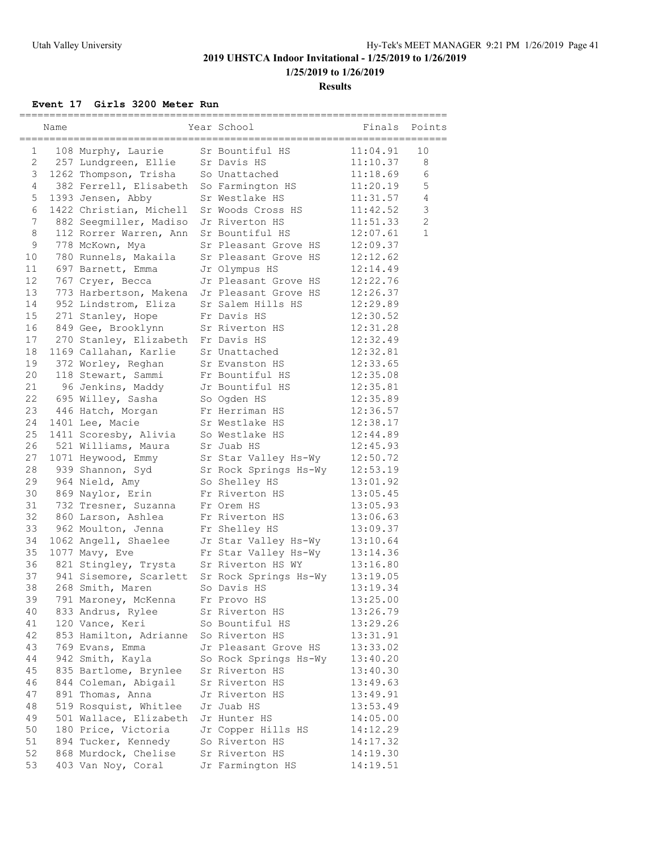**1/25/2019 to 1/26/2019**

#### **Results**

### **Event 17 Girls 3200 Meter Run**

|              | Name |                         | Year School           | Finals   | Points         |
|--------------|------|-------------------------|-----------------------|----------|----------------|
| 1            |      | 108 Murphy, Laurie      | Sr Bountiful HS       | 11:04.91 | 10             |
| $\mathbf{2}$ |      | 257 Lundgreen, Ellie    | Sr Davis HS           | 11:10.37 | 8              |
| 3            |      | 1262 Thompson, Trisha   | So Unattached         | 11:18.69 | 6              |
| 4            |      | 382 Ferrell, Elisabeth  | So Farmington HS      | 11:20.19 | 5              |
| 5            |      | 1393 Jensen, Abby       | Sr Westlake HS        | 11:31.57 | $\overline{4}$ |
| 6            |      | 1422 Christian, Michell | Sr Woods Cross HS     | 11:42.52 | 3              |
| 7            |      | 882 Seegmiller, Madiso  | Jr Riverton HS        | 11:51.33 | $\overline{c}$ |
| 8            |      | 112 Rorrer Warren, Ann  | Sr Bountiful HS       | 12:07.61 | $\mathbf{1}$   |
| 9            |      | 778 McKown, Mya         | Sr Pleasant Grove HS  | 12:09.37 |                |
| 10           |      | 780 Runnels, Makaila    | Sr Pleasant Grove HS  | 12:12.62 |                |
| 11           |      | 697 Barnett, Emma       | Jr Olympus HS         | 12:14.49 |                |
| 12           |      | 767 Cryer, Becca        | Jr Pleasant Grove HS  | 12:22.76 |                |
| 13           |      | 773 Harbertson, Makena  | Jr Pleasant Grove HS  | 12:26.37 |                |
| 14           |      | 952 Lindstrom, Eliza    | Sr Salem Hills HS     | 12:29.89 |                |
| 15           |      | 271 Stanley, Hope       | Fr Davis HS           | 12:30.52 |                |
| 16           |      | 849 Gee, Brooklynn      | Sr Riverton HS        | 12:31.28 |                |
| 17           |      | 270 Stanley, Elizabeth  | Fr Davis HS           | 12:32.49 |                |
| 18           |      | 1169 Callahan, Karlie   | Sr Unattached         | 12:32.81 |                |
| 19           |      | 372 Worley, Reghan      | Sr Evanston HS        | 12:33.65 |                |
| 20           |      | 118 Stewart, Sammi      | Fr Bountiful HS       | 12:35.08 |                |
| 21           |      | 96 Jenkins, Maddy       | Jr Bountiful HS       | 12:35.81 |                |
| 22           |      | 695 Willey, Sasha       | So Ogden HS           | 12:35.89 |                |
| 23           |      | 446 Hatch, Morgan       | Fr Herriman HS        | 12:36.57 |                |
| 24           |      | 1401 Lee, Macie         | Sr Westlake HS        | 12:38.17 |                |
| 25           |      | 1411 Scoresby, Alivia   | So Westlake HS        | 12:44.89 |                |
| 26           |      | 521 Williams, Maura     | Sr Juab HS            | 12:45.93 |                |
| 27           |      | 1071 Heywood, Emmy      | Sr Star Valley Hs-Wy  | 12:50.72 |                |
| 28           |      | 939 Shannon, Syd        | Sr Rock Springs Hs-Wy | 12:53.19 |                |
| 29           |      | 964 Nield, Amy          | So Shelley HS         | 13:01.92 |                |
| 30           |      | 869 Naylor, Erin        | Fr Riverton HS        | 13:05.45 |                |
| 31           |      | 732 Tresner, Suzanna    | Fr Orem HS            | 13:05.93 |                |
| 32           |      | 860 Larson, Ashlea      | Fr Riverton HS        | 13:06.63 |                |
| 33           |      | 962 Moulton, Jenna      | Fr Shelley HS         | 13:09.37 |                |
| 34           |      | 1062 Angell, Shaelee    | Jr Star Valley Hs-Wy  | 13:10.64 |                |
| 35           |      | 1077 Mavy, Eve          | Fr Star Valley Hs-Wy  | 13:14.36 |                |
| 36           |      | 821 Stingley, Trysta    | Sr Riverton HS WY     | 13:16.80 |                |
| 37           |      | 941 Sisemore, Scarlett  | Sr Rock Springs Hs-Wy | 13:19.05 |                |
| 38           |      | 268 Smith, Maren        | So Davis HS           | 13:19.34 |                |
| 39           |      | 791 Maroney, McKenna    | Fr Provo HS           | 13:25.00 |                |
| 40           |      | 833 Andrus, Rylee       | Sr Riverton HS        | 13:26.79 |                |
| 41           |      | 120 Vance, Keri         | So Bountiful HS       | 13:29.26 |                |
| 42           |      | 853 Hamilton, Adrianne  | So Riverton HS        | 13:31.91 |                |
| 43           |      | 769 Evans, Emma         | Jr Pleasant Grove HS  | 13:33.02 |                |
| 44           |      | 942 Smith, Kayla        | So Rock Springs Hs-Wy | 13:40.20 |                |
| 45           |      | 835 Bartlome, Brynlee   | Sr Riverton HS        | 13:40.30 |                |
| 46           |      | 844 Coleman, Abigail    | Sr Riverton HS        | 13:49.63 |                |
| 47           |      | 891 Thomas, Anna        | Jr Riverton HS        | 13:49.91 |                |
| 48           |      | 519 Rosquist, Whitlee   | Jr Juab HS            | 13:53.49 |                |
| 49           |      | 501 Wallace, Elizabeth  | Jr Hunter HS          | 14:05.00 |                |
| 50           |      | 180 Price, Victoria     | Jr Copper Hills HS    | 14:12.29 |                |
| 51           |      | 894 Tucker, Kennedy     | So Riverton HS        | 14:17.32 |                |
| 52           |      | 868 Murdock, Chelise    | Sr Riverton HS        | 14:19.30 |                |
| 53           |      | 403 Van Noy, Coral      |                       |          |                |
|              |      |                         | Jr Farmington HS      | 14:19.51 |                |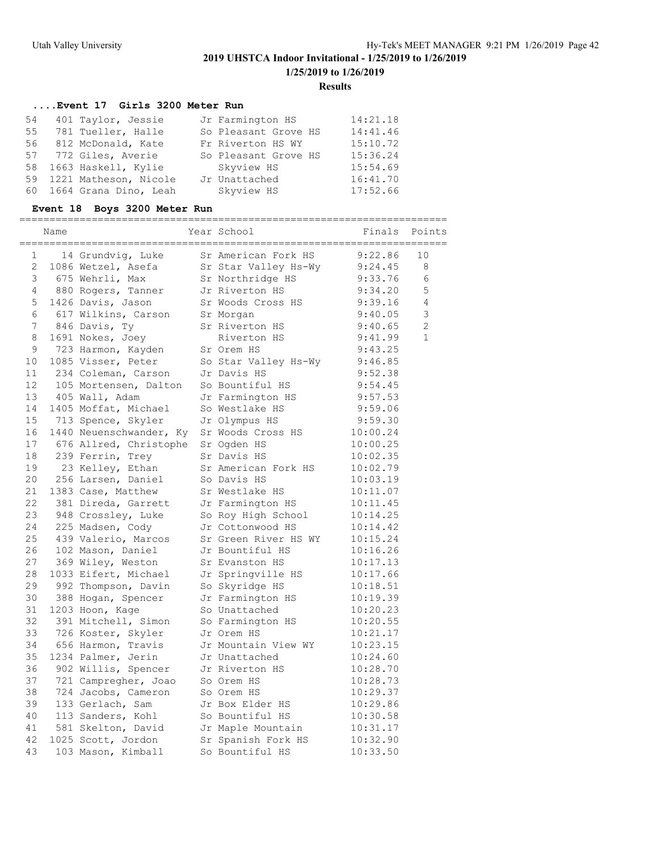#### **Results**

### **....Event 17 Girls 3200 Meter Run**

| 54 | 401 Taylor, Jessie       | Jr Farmington HS     | 14:21.18 |
|----|--------------------------|----------------------|----------|
| 55 | 781 Tueller, Halle       | So Pleasant Grove HS | 14:41.46 |
|    | 56 812 McDonald, Kate    | Fr Riverton HS WY    | 15:10.72 |
|    | 57 772 Giles, Averie     | So Pleasant Grove HS | 15:36.24 |
|    | 58 1663 Haskell, Kylie   | Skyview HS           | 15:54.69 |
|    | 59 1221 Matheson, Nicole | Jr Unattached        | 16:41.70 |
|    | 60 1664 Grana Dino, Leah | Skyview HS           | 17:52.66 |

### **Event 18 Boys 3200 Meter Run**

|                   | Name |                         | Year School          | Finals   | Points         |
|-------------------|------|-------------------------|----------------------|----------|----------------|
| 1                 |      | 14 Grundvig, Luke       | Sr American Fork HS  | 9:22.86  | 10             |
| 2                 |      | 1086 Wetzel, Asefa      | Sr Star Valley Hs-Wy | 9:24.45  | 8              |
| 3                 |      | 675 Wehrli, Max         | Sr Northridge HS     | 9:33.76  | 6              |
| 4                 |      | 880 Rogers, Tanner      | Jr Riverton HS       | 9:34.20  | 5              |
| 5                 |      | 1426 Davis, Jason       | Sr Woods Cross HS    | 9:39.16  | 4              |
| 6                 |      | 617 Wilkins, Carson     | Sr Morgan            | 9:40.05  | 3              |
| $7\phantom{.}$    |      | 846 Davis, Ty           | Sr Riverton HS       | 9:40.65  | $\overline{2}$ |
| 8                 |      | 1691 Nokes, Joey        | Riverton HS          | 9:41.99  | $\mathbf{1}$   |
| 9                 |      | 723 Harmon, Kayden      | Sr Orem HS           | 9:43.25  |                |
| 10                |      | 1085 Visser, Peter      | So Star Valley Hs-Wy | 9:46.85  |                |
| 11                |      | 234 Coleman, Carson     | Jr Davis HS          | 9:52.38  |                |
| $12 \overline{ }$ |      | 105 Mortensen, Dalton   | So Bountiful HS      | 9:54.45  |                |
| 13                |      | 405 Wall, Adam          | Jr Farmington HS     | 9:57.53  |                |
| 14                |      | 1405 Moffat, Michael    | So Westlake HS       | 9:59.06  |                |
| 15                |      | 713 Spence, Skyler      | Jr Olympus HS        | 9:59.30  |                |
| 16                |      | 1440 Neuenschwander, Ky | Sr Woods Cross HS    | 10:00.24 |                |
| 17                |      | 676 Allred, Christophe  | Sr Ogden HS          | 10:00.25 |                |
| 18                |      | 239 Ferrin, Trey        | Sr Davis HS          | 10:02.35 |                |
| 19                |      | 23 Kelley, Ethan        | Sr American Fork HS  | 10:02.79 |                |
| 20                |      | 256 Larsen, Daniel      | So Davis HS          | 10:03.19 |                |
| 21                |      | 1383 Case, Matthew      | Sr Westlake HS       | 10:11.07 |                |
| 22                |      | 381 Direda, Garrett     | Jr Farmington HS     | 10:11.45 |                |
| 23                |      | 948 Crossley, Luke      | So Roy High School   | 10:14.25 |                |
| 24                |      | 225 Madsen, Cody        | Jr Cottonwood HS     | 10:14.42 |                |
| 25                |      | 439 Valerio, Marcos     | Sr Green River HS WY | 10:15.24 |                |
| 26                |      | 102 Mason, Daniel       | Jr Bountiful HS      | 10:16.26 |                |
| 27                |      | 369 Wiley, Weston       | Sr Evanston HS       | 10:17.13 |                |
| 28                |      | 1033 Eifert, Michael    | Jr Springville HS    | 10:17.66 |                |
| 29                |      | 992 Thompson, Davin     | So Skyridge HS       | 10:18.51 |                |
| 30                |      | 388 Hogan, Spencer      | Jr Farmington HS     | 10:19.39 |                |
| 31                |      | 1203 Hoon, Kage         | So Unattached        | 10:20.23 |                |
| 32                |      | 391 Mitchell, Simon     | So Farmington HS     | 10:20.55 |                |
| 33                |      | 726 Koster, Skyler      | Jr Orem HS           | 10:21.17 |                |
| 34                |      | 656 Harmon, Travis      | Jr Mountain View WY  | 10:23.15 |                |
| 35                |      | 1234 Palmer, Jerin      | Jr Unattached        | 10:24.60 |                |
| 36                |      | 902 Willis, Spencer     | Jr Riverton HS       | 10:28.70 |                |
| 37                |      | 721 Campregher, Joao    | So Orem HS           | 10:28.73 |                |
| 38                |      | 724 Jacobs, Cameron     | So Orem HS           | 10:29.37 |                |
| 39                |      | 133 Gerlach, Sam        | Jr Box Elder HS      | 10:29.86 |                |
| 40                |      | 113 Sanders, Kohl       | So Bountiful HS      | 10:30.58 |                |
| 41                |      | 581 Skelton, David      | Jr Maple Mountain    | 10:31.17 |                |
| 42                |      | 1025 Scott, Jordon      | Sr Spanish Fork HS   | 10:32.90 |                |
| 43                |      | 103 Mason, Kimball      | So Bountiful HS      | 10:33.50 |                |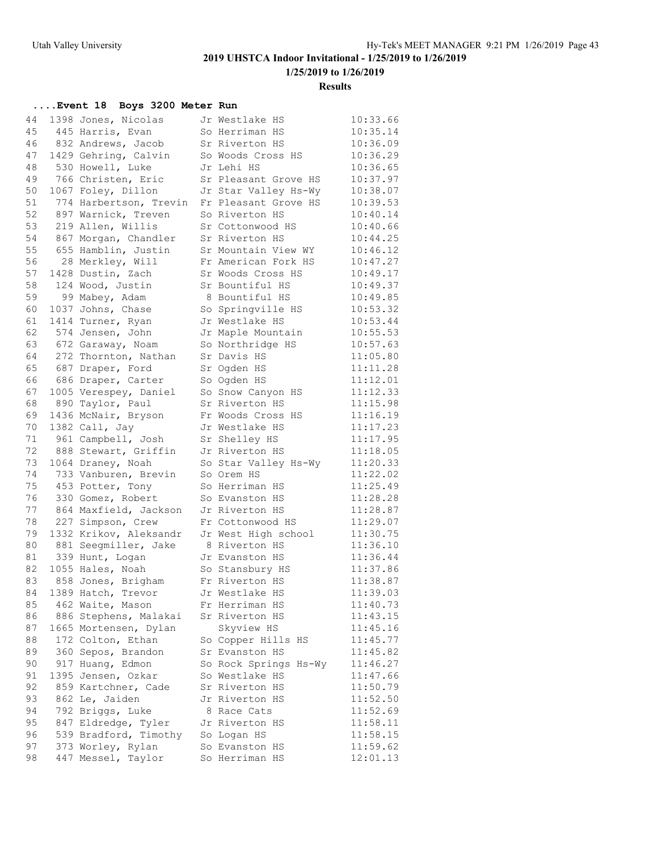**1/25/2019 to 1/26/2019**

#### **Results**

### **....Event 18 Boys 3200 Meter Run**

| 44 | 1398 Jones, Nicolas      | Jr Westlake HS        | 10:33.66 |
|----|--------------------------|-----------------------|----------|
| 45 | 445 Harris, Evan         | So Herriman HS        | 10:35.14 |
| 46 | 832 Andrews, Jacob       | Sr Riverton HS        | 10:36.09 |
| 47 | 1429 Gehring, Calvin     | So Woods Cross HS     | 10:36.29 |
| 48 | 530 Howell, Luke         | Jr Lehi HS            | 10:36.65 |
| 49 | 766 Christen, Eric       | Sr Pleasant Grove HS  | 10:37.97 |
| 50 | 1067 Foley, Dillon       | Jr Star Valley Hs-Wy  | 10:38.07 |
| 51 | 774 Harbertson, Trevin   | Fr Pleasant Grove HS  | 10:39.53 |
| 52 | 897 Warnick, Treven      | So Riverton HS        | 10:40.14 |
| 53 | 219 Allen, Willis        | Sr Cottonwood HS      | 10:40.66 |
| 54 | 867 Morgan, Chandler     | Sr Riverton HS        | 10:44.25 |
| 55 | 655 Hamblin, Justin      | Sr Mountain View WY   | 10:46.12 |
| 56 |                          |                       | 10:47.27 |
|    | 28 Merkley, Will         | Fr American Fork HS   |          |
| 57 | 1428 Dustin, Zach        | Sr Woods Cross HS     | 10:49.17 |
| 58 | 124 Wood, Justin         | Sr Bountiful HS       | 10:49.37 |
| 59 | 99 Mabey, Adam           | 8 Bountiful HS        | 10:49.85 |
| 60 | 1037 Johns, Chase        | So Springville HS     | 10:53.32 |
| 61 | 1414 Turner, Ryan        | Jr Westlake HS        | 10:53.44 |
| 62 | 574 Jensen, John         | Jr Maple Mountain     | 10:55.53 |
| 63 | 672 Garaway, Noam        | So Northridge HS      | 10:57.63 |
| 64 | 272 Thornton, Nathan     | Sr Davis HS           | 11:05.80 |
| 65 | 687 Draper, Ford         | Sr Ogden HS           | 11:11.28 |
| 66 | 686 Draper, Carter       | So Ogden HS           | 11:12.01 |
| 67 | 1005 Verespey, Daniel    | So Snow Canyon HS     | 11:12.33 |
| 68 | 890 Taylor, Paul         | Sr Riverton HS        | 11:15.98 |
| 69 | 1436 McNair, Bryson      | Fr Woods Cross HS     | 11:16.19 |
| 70 | 1382 Call, Jay           | Jr Westlake HS        | 11:17.23 |
| 71 | 961 Campbell, Josh       | Sr Shelley HS         | 11:17.95 |
|    | 72 888 Stewart, Griffin  | Jr Riverton HS        | 11:18.05 |
| 73 | 1064 Draney, Noah        | So Star Valley Hs-Wy  | 11:20.33 |
| 74 | 733 Vanburen, Brevin     | So Orem HS            | 11:22.02 |
| 75 | 453 Potter, Tony         | So Herriman HS        | 11:25.49 |
| 76 | 330 Gomez, Robert        |                       | 11:28.28 |
|    | 77 864 Maxfield, Jackson | So Evanston HS        | 11:28.87 |
|    |                          | Jr Riverton HS        |          |
|    | 78 227 Simpson, Crew     | Fr Cottonwood HS      | 11:29.07 |
| 79 | 1332 Krikov, Aleksandr   | Jr West High school   | 11:30.75 |
| 80 | 881 Seegmiller, Jake     | 8 Riverton HS         | 11:36.10 |
| 81 | 339 Hunt, Logan          | Jr Evanston HS        | 11:36.44 |
| 82 | 1055 Hales, Noah         | So Stansbury HS       | 11:37.86 |
| 83 | 858 Jones, Brigham       | Fr Riverton HS        | 11:38.87 |
| 84 | 1389 Hatch, Trevor       | Jr Westlake HS        | 11:39.03 |
| 85 | 462 Waite, Mason         | Fr Herriman HS        | 11:40.73 |
| 86 | 886 Stephens, Malakai    | Sr Riverton HS        | 11:43.15 |
| 87 | 1665 Mortensen, Dylan    | Skyview HS            | 11:45.16 |
| 88 | 172 Colton, Ethan        | So Copper Hills HS    | 11:45.77 |
| 89 | 360 Sepos, Brandon       | Sr Evanston HS        | 11:45.82 |
| 90 | 917 Huang, Edmon         | So Rock Springs Hs-Wy | 11:46.27 |
| 91 | 1395 Jensen, Ozkar       | So Westlake HS        | 11:47.66 |
| 92 | 859 Kartchner, Cade      | Sr Riverton HS        | 11:50.79 |
| 93 | 862 Le, Jaiden           | Jr Riverton HS        | 11:52.50 |
| 94 | 792 Briggs, Luke         | 8 Race Cats           | 11:52.69 |
| 95 | 847 Eldredge, Tyler      | Jr Riverton HS        | 11:58.11 |
| 96 | 539 Bradford, Timothy    | So Logan HS           | 11:58.15 |
| 97 | 373 Worley, Rylan        | So Evanston HS        | 11:59.62 |
| 98 | 447 Messel, Taylor       | So Herriman HS        | 12:01.13 |
|    |                          |                       |          |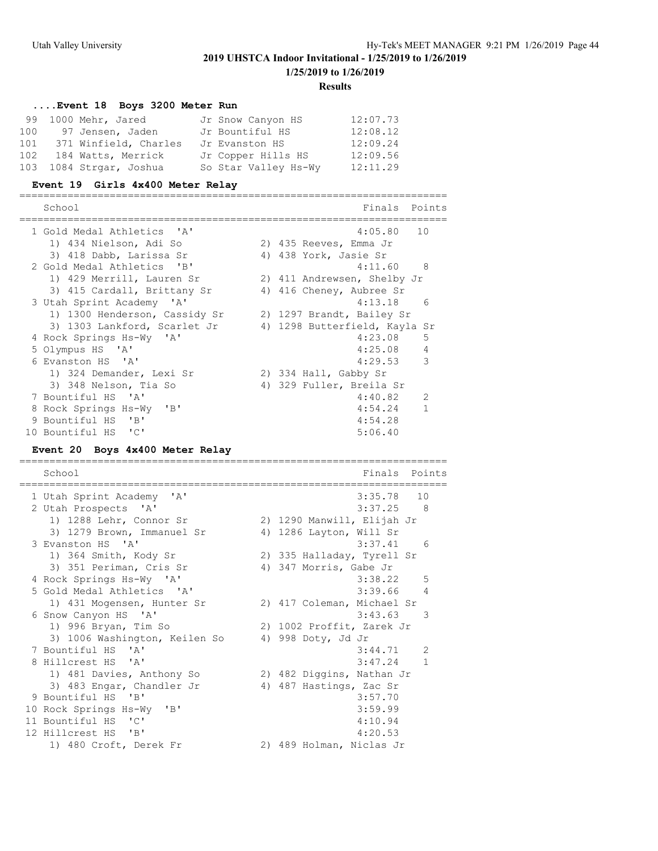**1/25/2019 to 1/26/2019**

#### **Results**

### **....Event 18 Boys 3200 Meter Run**

|     | 99 1000 Mehr, Jared     | Jr Snow Canyon HS    | 12:07.73 |
|-----|-------------------------|----------------------|----------|
|     | 100 97 Jensen, Jaden    | Jr Bountiful HS      | 12:08.12 |
| 101 | 371 Winfield, Charles   | Jr Evanston HS       | 12:09.24 |
|     | 102 184 Watts, Merrick  | Jr Copper Hills HS   | 12:09.56 |
|     | 103 1084 Strgar, Joshua | So Star Valley Hs-Wy | 12:11.29 |

### **Event 19 Girls 4x400 Meter Relay**

| School                        | Finals Points                 |                |
|-------------------------------|-------------------------------|----------------|
| 1 Gold Medal Athletics 'A'    | 4:05.80 10                    |                |
| 1) 434 Nielson, Adi So        | 2) 435 Reeves, Emma Jr        |                |
| 3) 418 Dabb, Larissa Sr       | 4) 438 York, Jasie Sr         |                |
| 2 Gold Medal Athletics 'B'    | 4:11.60 8                     |                |
| 1) 429 Merrill, Lauren Sr     | 2) 411 Andrewsen, Shelby Jr   |                |
| 3) 415 Cardall, Brittany Sr   | 4) 416 Cheney, Aubree Sr      |                |
| 3 Utah Sprint Academy 'A'     | 4:13.18                       | 6              |
| 1) 1300 Henderson, Cassidy Sr | 2) 1297 Brandt, Bailey Sr     |                |
| 3) 1303 Lankford, Scarlet Jr  | 4) 1298 Butterfield, Kayla Sr |                |
| 4 Rock Springs Hs-Wy 'A'      | 4:23.08                       | -5             |
| 5 Olympus HS 'A'              | 4:25.08                       | $\overline{4}$ |
| 6 Evanston HS 'A'             | 4:29.53                       | 3              |
| 1) 324 Demander, Lexi Sr      | 2) 334 Hall, Gabby Sr         |                |
| 3) 348 Nelson, Tia So         | 4) 329 Fuller, Breila Sr      |                |
| 7 Bountiful HS 'A'            | 4:40.82                       | 2              |
| 8 Rock Springs Hs-Wy 'B'      | 4:54.24                       |                |
| 9 Bountiful HS 'B'            | 4:54.28                       |                |
| 10 Bountiful HS 'C'           | 5:06.40                       |                |

### **Event 20 Boys 4x400 Meter Relay**

=======================================================================

| School                        | Finals<br>Points           |
|-------------------------------|----------------------------|
| 1 Utah Sprint Academy 'A'     | 3:35.78<br>10              |
| 2 Utah Prospects 'A'          | $3:37.25$ 8                |
| 1) 1288 Lehr, Connor Sr       | 2) 1290 Manwill, Elijah Jr |
| 3) 1279 Brown, Immanuel Sr    | 4) 1286 Layton, Will Sr    |
| 3 Evanston HS 'A'             | $3:37.41$ 6                |
| 1) 364 Smith, Kody Sr         | 2) 335 Halladay, Tyrell Sr |
| 3) 351 Periman, Cris Sr       | 4) 347 Morris, Gabe Jr     |
| 4 Rock Springs Hs-Wy 'A'      | $3:38.22$ 5                |
| 5 Gold Medal Athletics 'A'    | 3:39.66<br>4               |
| 1) 431 Mogensen, Hunter Sr    | 2) 417 Coleman, Michael Sr |
| 6 Snow Canyon HS 'A'          | 3:43.63<br>3               |
| 1) 996 Bryan, Tim So          | 2) 1002 Proffit, Zarek Jr  |
| 3) 1006 Washington, Keilen So | 4) 998 Doty, Jd Jr         |
| 7 Bountiful HS 'A'            | 2<br>3:44.71               |
| 8 Hillcrest HS 'A'            | $\mathbf{1}$<br>3:47.24    |
| 1) 481 Davies, Anthony So     | 2) 482 Diggins, Nathan Jr  |
| 3) 483 Engar, Chandler Jr     | 4) 487 Hastings, Zac Sr    |
| 9 Bountiful HS 'B'            | 3:57.70                    |
| 10 Rock Springs Hs-Wy 'B'     | 3:59.99                    |
| 11 Bountiful HS 'C'           | 4:10.94                    |
| 12 Hillcrest HS 'B'           | 4:20.53                    |
| 1) 480 Croft, Derek Fr        | 2) 489 Holman, Niclas Jr   |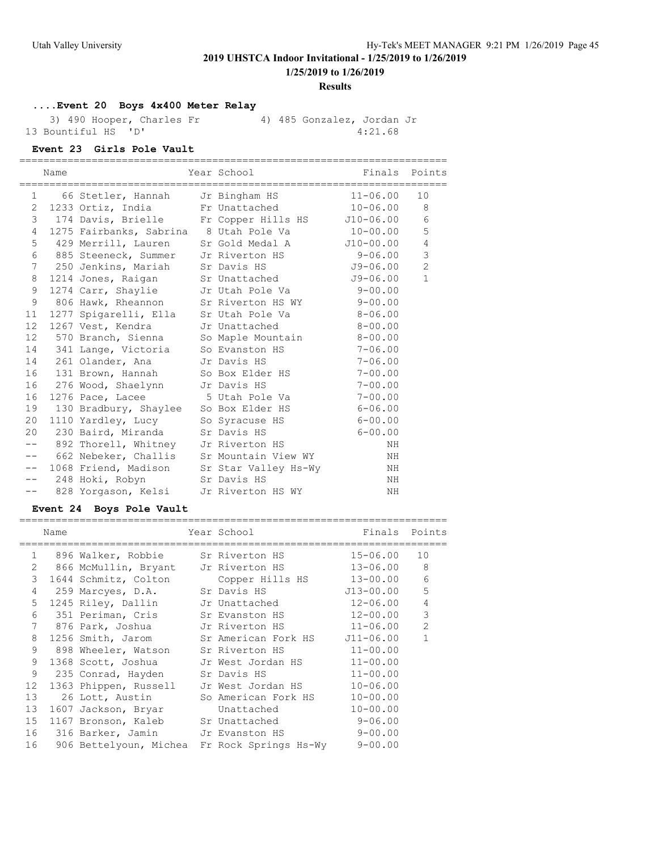**1/25/2019 to 1/26/2019**

#### **Results**

### **....Event 20 Boys 4x400 Meter Relay**

 3) 490 Hooper, Charles Fr 4) 485 Gonzalez, Jordan Jr 13 Bountiful HS 'D' 4:21.68

### **Event 23 Girls Pole Vault**

|       | Name |                             |                                                     |    |                |
|-------|------|-----------------------------|-----------------------------------------------------|----|----------------|
|       |      |                             | 1 66 Stetler, Hannah Jr Bingham HS 11-06.00         |    | 10             |
|       |      |                             | 2 1233 Ortiz, India Fr Unattached 10-06.00 8        |    |                |
|       |      |                             | 3 174 Davis, Brielle Fr Copper Hills HS J10-06.00 6 |    |                |
|       |      |                             | 4 1275 Fairbanks, Sabrina 8 Utah Pole Va $10-00.00$ |    | 5              |
|       |      |                             | 5 429 Merrill, Lauren Sr Gold Medal A J10-00.00     |    | $\overline{4}$ |
|       |      |                             | 6 885 Steeneck, Summer Jr Riverton HS 9-06.00       |    | $\mathsf 3$    |
|       |      |                             | 7 250 Jenkins, Mariah Sr Davis HS 59-06.00          |    | $\overline{c}$ |
| 8     |      |                             | 1214 Jones, Raigan Sr Unattached J9-06.00           |    | $\mathbf{1}$   |
| 9     |      |                             | 1274 Carr, Shaylie Jr Utah Pole Va 9-00.00          |    |                |
| 9     |      |                             | 806 Hawk, Rheannon Sr Riverton HS WY 9-00.00        |    |                |
|       |      |                             | 11 1277 Spigarelli, Ella Sr Utah Pole Va 8-06.00    |    |                |
|       |      |                             | 12 1267 Vest, Kendra Jr Unattached 8-00.00          |    |                |
|       |      |                             | 12 570 Branch, Sienna So Maple Mountain 8-00.00     |    |                |
|       |      |                             | 14 341 Lange, Victoria So Evanston HS 7-06.00       |    |                |
|       |      |                             | 14 261 Olander, Ana Jr Davis HS 7-06.00             |    |                |
|       |      |                             | 16 131 Brown, Hannah So Box Elder HS 7-00.00        |    |                |
| 16    |      |                             | 276 Wood, Shaelynn Jr Davis HS 7-00.00              |    |                |
| 16    |      |                             | 1276 Pace, Lacee 5 Utah Pole Va 7-00.00             |    |                |
|       |      |                             | 19 130 Bradbury, Shaylee So Box Elder HS 6-06.00    |    |                |
|       |      |                             | 20 1110 Yardley, Lucy So Syracuse HS 6-00.00        |    |                |
|       |      |                             | 20 230 Baird, Miranda Sr Davis HS 6-00.00           |    |                |
|       |      |                             | -- 892 Thorell, Whitney Jr Riverton HS              | NH |                |
|       |      |                             | -- 662 Nebeker, Challis Sr Mountain View WY         | NH |                |
| $--$  |      |                             | 1068 Friend, Madison Sr Star Valley Hs-Wy           | ΝH |                |
| $- -$ |      | 248 Hoki, Robyn Sr Davis HS |                                                     | ΝH |                |
| $- -$ |      |                             | 828 Yorgason, Kelsi Jr Riverton HS WY               | NH |                |

### **Event 24 Boys Pole Vault**

|                       | Name |                                        | Year School and the School                           | Finals       | Points         |
|-----------------------|------|----------------------------------------|------------------------------------------------------|--------------|----------------|
| $\mathbf{1}$          |      |                                        | 896 Walker, Robbie       Sr Riverton HS              | 15-06.00     | 10             |
| $\mathbf{2}^{\prime}$ |      |                                        | 866 McMullin, Bryant - Jr Riverton HS                | 13-06.00     | 8              |
| 3                     |      | 1644 Schmitz, Colton                   | Copper Hills HS                                      | 13-00.00     | 6              |
| $\overline{4}$        |      | 259 Marcyes, D.A. Sr Davis HS          |                                                      | J13-00.00    | 5              |
| 5                     |      |                                        | 1245 Riley, Dallin Jr Unattached                     | $12 - 06.00$ | $\overline{4}$ |
| 6                     |      |                                        | 351 Periman, Cris Sr Evanston HS                     | 12-00.00     | 3              |
| 7                     |      |                                        | 876 Park, Joshua Jr Riverton HS 11-06.00             |              | $\overline{2}$ |
| 8                     |      |                                        | 1256 Smith, Jarom Sr American Fork HS J11-06.00      |              | $\mathbf{1}$   |
| 9                     |      |                                        | 898 Wheeler, Watson Sr Riverton HS                   | $11 - 00.00$ |                |
| 9                     |      |                                        | 1368 Scott, Joshua Jr West Jordan HS                 | $11 - 00.00$ |                |
| 9                     |      | 235 Conrad, Hayden Sr Davis HS         |                                                      | $11 - 00.00$ |                |
| 12                    |      |                                        | 1363 Phippen, Russell Jr West Jordan HS              | $10 - 06.00$ |                |
| 13                    |      | 26 Lott, Austin                        | So American Fork HS                                  | $10 - 00.00$ |                |
| 13                    |      | 1607 Jackson, Bryar                    | Unattached                                           | $10 - 00.00$ |                |
| 15                    |      |                                        | 1167 Bronson, Kaleb Sr Unattached 9-06.00            |              |                |
| 16                    |      | 316 Barker, Jamin       Jr Evanston HS |                                                      | $9 - 00.00$  |                |
| 16                    |      |                                        | 906 Bettelyoun, Michea Fr Rock Springs Hs-Wy 9-00.00 |              |                |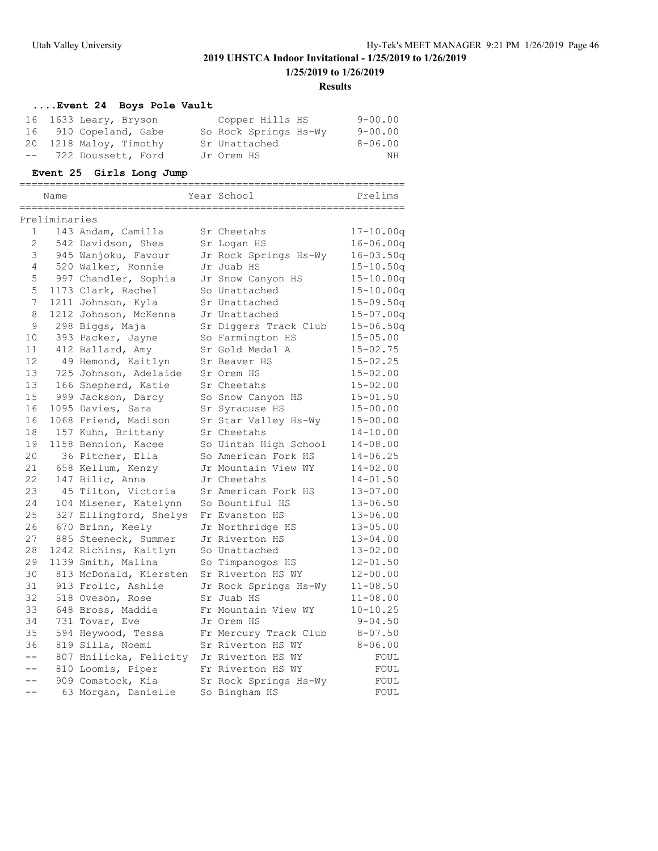#### **Results**

### **....Event 24 Boys Pole Vault**

| 16 1633 Leary, Bryson  | Copper Hills HS       | $9 - 00.00$ |
|------------------------|-----------------------|-------------|
| 16 910 Copeland, Gabe  | So Rock Springs Hs-Wy | $9 - 00.00$ |
| 20 1218 Maloy, Timothy | Sr Unattached         | $8 - 06.00$ |
| -- 722 Doussett, Ford  | Jr Orem HS            | NΗ          |
|                        |                       |             |

### **Event 25 Girls Long Jump**

| Name          |                    | Year School | Prelims             |
|---------------|--------------------|-------------|---------------------|
|               |                    |             |                     |
| Preliminaries |                    |             |                     |
|               | 143 Andam. Camilla | Sr Cheetahs | 00a<br>$17 - 10.00$ |

| 1               | 143 Andam, Camilla                       | Sr Cheetahs           | $17 - 10.00q$ |
|-----------------|------------------------------------------|-----------------------|---------------|
| 2               | 542 Davidson, Shea                       | Sr Logan HS           | $16 - 06.00q$ |
| 3               | 945 Wanjoku, Favour                      | Jr Rock Springs Hs-Wy | $16 - 03.50q$ |
| 4               | 520 Walker, Ronnie                       | Jr Juab HS            | $15 - 10.50q$ |
| 5               | 997 Chandler, Sophia                     | Jr Snow Canyon HS     | $15 - 10.00q$ |
| 5               | 1173 Clark, Rachel                       | So Unattached         | $15 - 10.00q$ |
| 7               | 1211 Johnson, Kyla                       | Sr Unattached         | $15 - 09.50q$ |
| 8               | 1212 Johnson, McKenna                    | Jr Unattached         | $15 - 07.00q$ |
| 9               | 298 Biggs, Maja                          | Sr Diggers Track Club | $15 - 06.50q$ |
| 10              | 393 Packer, Jayne                        | So Farmington HS      | $15 - 05.00$  |
| 11              | 412 Ballard, Amy                         | Sr Gold Medal A       | $15 - 02.75$  |
| 12 <sup>2</sup> | 49 Hemond, Kaitlyn                       | Sr Beaver HS          | $15 - 02.25$  |
| 13              | 725 Johnson, Adelaide                    | Sr Orem HS            | $15 - 02.00$  |
| 13              | 166 Shepherd, Katie                      | Sr Cheetahs           | $15 - 02.00$  |
| 15              | 999 Jackson, Darcy                       | So Snow Canyon HS     | $15 - 01.50$  |
| 16              | 1095 Davies, Sara                        | Sr Syracuse HS        | $15 - 00.00$  |
| 16              | 1068 Friend, Madison                     | Sr Star Valley Hs-Wy  | $15 - 00.00$  |
| 18              | 157 Kuhn, Brittany                       | Sr Cheetahs           | $14 - 10.00$  |
| 19              | 1158 Bennion, Kacee                      | So Uintah High School | $14 - 08.00$  |
| 20              | 36 Pitcher, Ella                         | So American Fork HS   | $14 - 06.25$  |
| 21              | 658 Kellum, Kenzy                        | Jr Mountain View WY   | $14 - 02.00$  |
| 22              | 147 Bilic, Anna                          | Jr Cheetahs           | $14 - 01.50$  |
| 23              | 45 Tilton, Victoria                      | Sr American Fork HS   | $13 - 07.00$  |
| 24              | 104 Misener, Katelynn                    | So Bountiful HS       | $13 - 06.50$  |
| 25              | 327 Ellingford, Shelys                   | Fr Evanston HS        | $13 - 06.00$  |
| 26              | 670 Brinn, Keely                         | Jr Northridge HS      | $13 - 05.00$  |
| 27              | 885 Steeneck, Summer                     | Jr Riverton HS        | $13 - 04.00$  |
| 28              | 1242 Richins, Kaitlyn                    | So Unattached         | $13 - 02.00$  |
| 29              | 1139 Smith, Malina                       | So Timpanogos HS      | $12 - 01.50$  |
| 30              | 813 McDonald, Kiersten                   | Sr Riverton HS WY     | $12 - 00.00$  |
| 31              | 913 Frolic, Ashlie                       | Jr Rock Springs Hs-Wy | $11 - 08.50$  |
| 32              | 518 Oveson, Rose                         | Sr Juab HS            | $11 - 08.00$  |
| 33              | 648 Bross, Maddie                        | Fr Mountain View WY   | $10 - 10.25$  |
| 34              | 731 Tovar, Eve                           | Jr Orem HS            | $9 - 04.50$   |
| 35              | 594 Heywood, Tessa                       | Fr Mercury Track Club | $8 - 07.50$   |
| 36              | 819 Silla, Noemi                         | Sr Riverton HS WY     | $8 - 06.00$   |
| $--$            | 807 Hnilicka, Felicity Jr Riverton HS WY |                       | FOUL          |
| $--$            | 810 Loomis, Piper                        | Fr Riverton HS WY     | FOUL          |
| $- -$           | 909 Comstock, Kia                        | Sr Rock Springs Hs-Wy | FOUL          |
| $-1$            | 63 Morgan, Danielle                      | So Bingham HS         | FOUL          |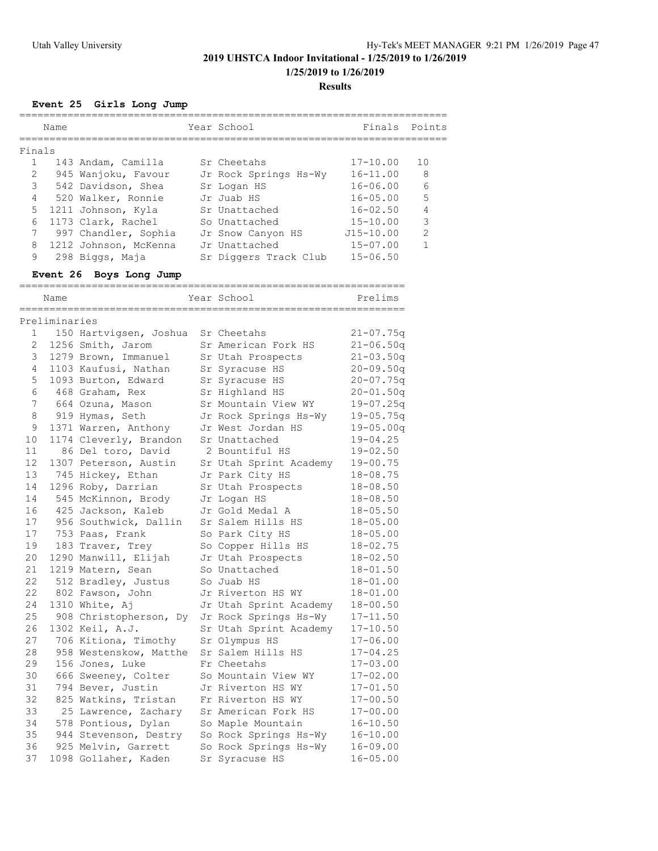**1/25/2019 to 1/26/2019**

**Results**

# **Event 25 Girls Long Jump**

|        | Name<br>========== |                                     | Year School<br>________________________        | Finals        | Points         |
|--------|--------------------|-------------------------------------|------------------------------------------------|---------------|----------------|
| Finals |                    |                                     |                                                |               |                |
| 1      |                    | 143 Andam, Camilla                  | Sr Cheetahs                                    | $17 - 10.00$  | 10             |
| 2      |                    | 945 Wanjoku, Favour                 | Jr Rock Springs Hs-Wy                          | $16 - 11.00$  | 8              |
| 3      |                    | 542 Davidson, Shea                  | Sr Logan HS                                    | $16 - 06.00$  | 6              |
| 4      |                    | 520 Walker, Ronnie                  | Jr Juab HS                                     | $16 - 05.00$  | 5              |
| 5      |                    | 1211 Johnson, Kyla                  | Sr Unattached                                  | $16 - 02.50$  | 4              |
| 6      |                    | 1173 Clark, Rachel                  | So Unattached                                  | $15 - 10.00$  | $\mathcal{S}$  |
| 7      |                    | 997 Chandler, Sophia                | Jr Snow Canyon HS                              | $J15 - 10.00$ | $\overline{2}$ |
| 8      |                    | 1212 Johnson, McKenna               | Jr Unattached                                  | $15 - 07.00$  | $\mathbf{1}$   |
| 9      |                    | 298 Biggs, Maja                     | Sr Diggers Track Club                          | $15 - 06.50$  |                |
|        |                    | Event 26 Boys Long Jump             |                                                |               |                |
|        | Name               | =================================== | ===============================<br>Year School | Prelims       |                |
|        | Preliminaries      |                                     |                                                |               |                |
| 1      |                    | 150 Hartvigsen, Joshua              | Sr Cheetahs                                    | $21 - 07.75q$ |                |
| 2      |                    | 1256 Smith, Jarom                   | Sr American Fork HS                            | $21 - 06.50q$ |                |
| 3      |                    | 1279 Brown, Immanuel                | Sr Utah Prospects                              | $21 - 03.50q$ |                |
| 4      |                    | 1103 Kaufusi, Nathan                | Sr Syracuse HS                                 | $20 - 09.50q$ |                |
| 5      |                    | 1093 Burton, Edward                 | Sr Syracuse HS                                 | $20 - 07.75q$ |                |
| 6      |                    | 468 Graham, Rex                     | Sr Highland HS                                 | $20 - 01.50q$ |                |
| 7      |                    | 664 Ozuna, Mason                    | Sr Mountain View WY                            | $19 - 07.25q$ |                |
| 8      |                    | 919 Hymas, Seth                     | Jr Rock Springs Hs-Wy                          | $19 - 05.75q$ |                |
| 9      |                    | 1371 Warren, Anthony                | Jr West Jordan HS                              | $19 - 05.00q$ |                |
| 10     |                    | 1174 Cleverly, Brandon              | Sr Unattached                                  | $19 - 04.25$  |                |
| 11     |                    | 86 Del toro, David                  | 2 Bountiful HS                                 | $19 - 02.50$  |                |
| 12     |                    | 1307 Peterson, Austin               | Sr Utah Sprint Academy                         | 19-00.75      |                |
| 13     |                    | 745 Hickey, Ethan                   | Jr Park City HS                                | $18 - 08.75$  |                |
| 14     |                    | 1296 Roby, Darrian                  | Sr Utah Prospects                              | $18 - 08.50$  |                |
| 14     |                    | 545 McKinnon, Brody                 | Jr Logan HS                                    | $18 - 08.50$  |                |
| 16     |                    | 425 Jackson, Kaleb                  | Jr Gold Medal A                                | $18 - 05.50$  |                |
| 17     |                    | 956 Southwick, Dallin               | Sr Salem Hills HS                              | $18 - 05.00$  |                |
| 17     |                    | 753 Paas, Frank                     | So Park City HS                                | $18 - 05.00$  |                |
| 19     |                    | 183 Traver, Trey                    | So Copper Hills HS                             | $18 - 02.75$  |                |
| 20     |                    | 1290 Manwill, Elijah                | Jr Utah Prospects                              | $18 - 02.50$  |                |
| 21     |                    | 1219 Matern, Sean                   | So Unattached                                  | $18 - 01.50$  |                |
| 22     |                    | 512 Bradley, Justus                 | So Juab HS                                     | $18 - 01.00$  |                |
| 22     |                    | 802 Fawson, John                    | Jr Riverton HS WY                              | $18 - 01.00$  |                |
| 24     |                    | 1310 White, Aj                      | Jr Utah Sprint Academy                         | $18 - 00.50$  |                |
| 25     |                    | 908 Christopherson, Dy              | Jr Rock Springs Hs-Wy                          | $17 - 11.50$  |                |
| 26     |                    | 1302 Keil, A.J.                     | Sr Utah Sprint Academy                         | $17 - 10.50$  |                |
| 27     |                    | 706 Kitiona, Timothy                | Sr Olympus HS                                  | $17 - 06.00$  |                |
| 28     |                    | 958 Westenskow, Matthe              | Sr Salem Hills HS                              | $17 - 04.25$  |                |
| 29     |                    | 156 Jones, Luke                     | Fr Cheetahs                                    | $17 - 03.00$  |                |
| 30     |                    | 666 Sweeney, Colter                 | So Mountain View WY                            | $17 - 02.00$  |                |
| 31     |                    | 794 Bever, Justin                   | Jr Riverton HS WY                              | $17 - 01.50$  |                |
| 32     |                    | 825 Watkins, Tristan                | Fr Riverton HS WY                              | $17 - 00.50$  |                |
| 33     |                    | 25 Lawrence, Zachary                | Sr American Fork HS                            | $17 - 00.00$  |                |
| 34     |                    | 578 Pontious, Dylan                 | So Maple Mountain                              | $16 - 10.50$  |                |
| 35     |                    | 944 Stevenson, Destry               | So Rock Springs Hs-Wy                          | 16-10.00      |                |
| 36     |                    | 925 Melvin, Garrett                 | So Rock Springs Hs-Wy                          | 16-09.00      |                |
| 37     |                    | 1098 Gollaher, Kaden                | Sr Syracuse HS                                 | $16 - 05.00$  |                |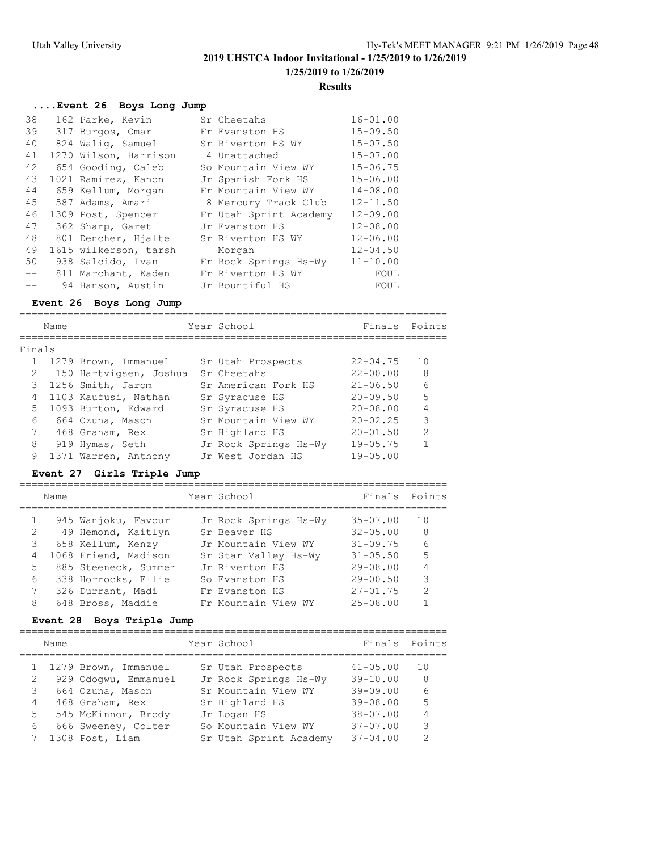### **Results**

### **....Event 26 Boys Long Jump**

| 38    | 162 Parke, Kevin      | Sr Cheetahs            | $16 - 01.00$ |
|-------|-----------------------|------------------------|--------------|
| 39    | 317 Burgos, Omar      | Fr Evanston HS         | $15 - 09.50$ |
| 40    | 824 Walig, Samuel     | Sr Riverton HS WY      | $15 - 07.50$ |
| 41    | 1270 Wilson, Harrison | 4 Unattached           | $15 - 07.00$ |
| 42    | 654 Gooding, Caleb    | So Mountain View WY    | $15 - 06.75$ |
| 43    | 1021 Ramirez, Kanon   | Jr Spanish Fork HS     | $15 - 06.00$ |
| 44    | 659 Kellum, Morgan    | Fr Mountain View WY    | $14 - 08.00$ |
| 45    | 587 Adams, Amari      | 8 Mercury Track Club   | $12 - 11.50$ |
| 46    | 1309 Post, Spencer    | Fr Utah Sprint Academy | $12 - 09.00$ |
| 47    | 362 Sharp, Garet      | Jr Evanston HS         | $12 - 08.00$ |
| 48    | 801 Dencher, Hjalte   | Sr Riverton HS WY      | $12 - 06.00$ |
| 49    | 1615 wilkerson, tarsh | Morgan                 | $12 - 04.50$ |
| 50    | 938 Salcido, Ivan     | Fr Rock Springs Hs-Wy  | $11 - 10.00$ |
| $- -$ | 811 Marchant, Kaden   | Fr Riverton HS WY      | FOUL         |
|       | 94 Hanson, Austin     | Jr Bountiful HS        | FOUL         |

### **Event 26 Boys Long Jump**

|        | Name |                        | Year School           | Finals Points |               |
|--------|------|------------------------|-----------------------|---------------|---------------|
| Finals |      |                        |                       |               |               |
|        |      | 1 1279 Brown, Immanuel | Sr Utah Prospects     | $22 - 04.75$  | 10            |
| 2      |      | 150 Hartvigsen, Joshua | Sr Cheetahs           | $22 - 00.00$  | 8             |
| 3      |      | 1256 Smith, Jarom      | Sr American Fork HS   | $21 - 06.50$  | 6             |
| 4      |      | 1103 Kaufusi, Nathan   | Sr Syracuse HS        | $20 - 09.50$  | 5             |
| 5      |      | 1093 Burton, Edward    | Sr Syracuse HS        | $20 - 08.00$  |               |
| 6      |      | 664 Ozuna, Mason       | Sr Mountain View WY   | $20 - 02.25$  | 3             |
| 7      |      | 468 Graham, Rex        | Sr Highland HS        | $20 - 01.50$  | $\mathcal{P}$ |
| 8      |      | 919 Hymas, Seth        | Jr Rock Springs Hs-Wy | $19 - 05.75$  |               |
| 9      |      | 1371 Warren, Anthony   | Jr West Jordan HS     | $19 - 05.00$  |               |
|        |      |                        |                       |               |               |

### **Event 27 Girls Triple Jump**

|                | Name |                      | Year School           | Finals Points |               |
|----------------|------|----------------------|-----------------------|---------------|---------------|
|                |      | 945 Wanjoku, Favour  | Jr Rock Springs Hs-Wy | $35 - 07.00$  | 10            |
| 2              |      | 49 Hemond, Kaitlyn   | Sr Beaver HS          | $32 - 05.00$  | - 8           |
| 3              |      | 658 Kellum, Kenzy    | Jr Mountain View WY   | $31 - 09.75$  | 6             |
| $\overline{4}$ |      | 1068 Friend, Madison | Sr Star Valley Hs-Wy  | $31 - 05.50$  | 5             |
|                | 5    | 885 Steeneck, Summer | Jr Riverton HS        | $29 - 08.00$  |               |
|                | 6    | 338 Horrocks, Ellie  | So Evanston HS        | $29 - 00.50$  | 3             |
| $7\phantom{0}$ |      | 326 Durrant, Madi    | Fr Evanston HS        | $27 - 01.75$  | $\mathcal{L}$ |
| 8              |      | 648 Bross, Maddie    | Fr Mountain View WY   | $25 - 08.00$  |               |
|                |      |                      |                       |               |               |

### **Event 28 Boys Triple Jump**

|   | Name      |                        | Year School            | Finals       | Points        |
|---|-----------|------------------------|------------------------|--------------|---------------|
|   |           | 1 1279 Brown, Immanuel | Sr Utah Prospects      | $41 - 05.00$ | 10            |
| 2 |           | 929 Odogwu, Emmanuel   | Jr Rock Springs Hs-Wy  | $39 - 10.00$ | -8            |
|   |           | 3 664 Ozuna, Mason     | Sr Mountain View WY    | $39 - 09.00$ | 6             |
|   | $4 \quad$ | 468 Graham, Rex        | Sr Highland HS         | $39 - 08.00$ | 5             |
|   | 5         | 545 McKinnon, Brody    | Jr Logan HS            | $38 - 07.00$ | 4             |
| 6 |           | 666 Sweeney, Colter    | So Mountain View WY    | $37 - 07.00$ | 3             |
|   |           | 1308 Post, Liam        | Sr Utah Sprint Academy | $37 - 04.00$ | $\mathcal{P}$ |